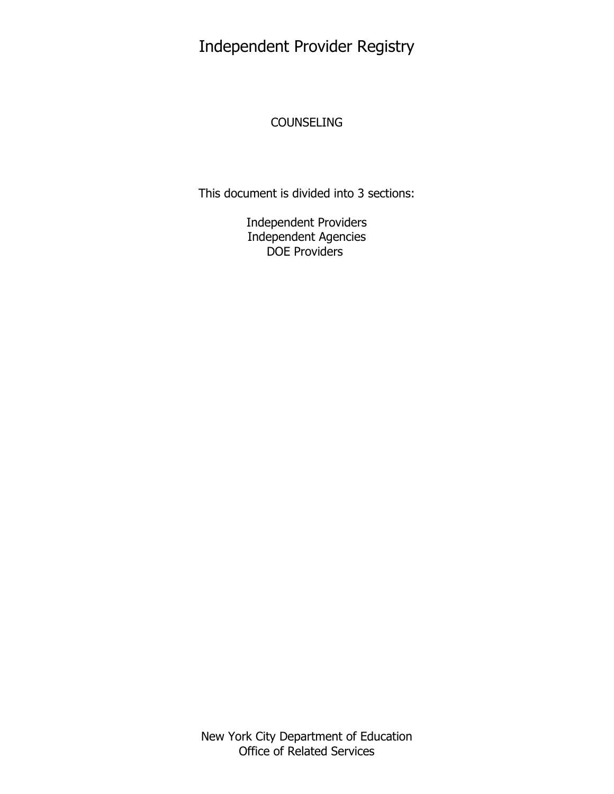# Independent Provider Registry

# **COUNSELING**

This document is divided into 3 sections:

Independent Providers Independent Agencies DOE Providers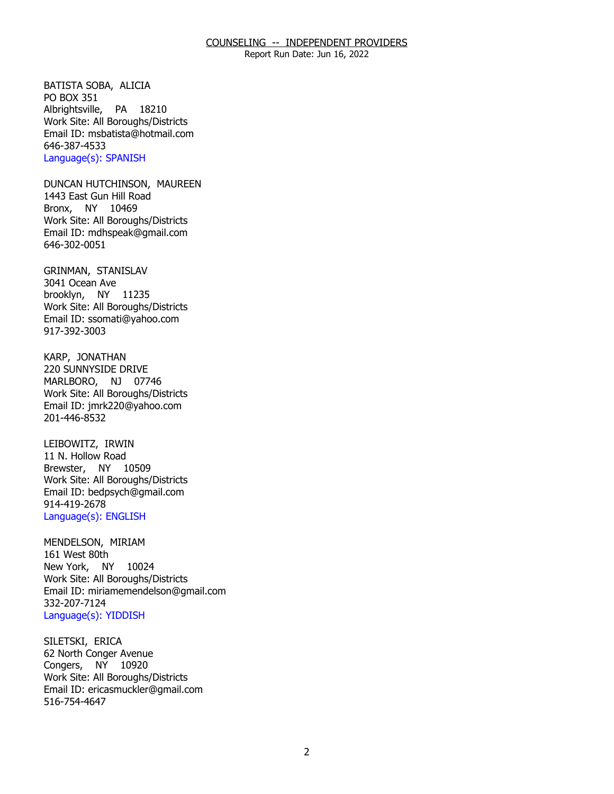Report Run Date: Jun 16, 2022

BATISTA SOBA, ALICIA<br>PO BOX 351 Albrightsville, PA 18210 Work Site: All Boroughs/Districts Email ID: [msbatista@hotmail.com](mailto:msbatista@hotmail.com) 646-387-4533 Language(s): SPANISH

DUNCAN HUTCHINSON, MAUREEN<br>1443 East Gun Hill Road Bronx, NY 10469 Work Site: All Boroughs/Districts Email ID: [mdhspeak@gmail.com](mailto:mdhspeak@gmail.com) 646-302-0051

GRINMAN, STANISLAV<br>3041 Ocean Ave brooklyn, NY 11235 Work Site: All Boroughs/Districts Email ID: [ssomati@yahoo.com](mailto:ssomati@yahoo.com)  917-392-3003

KARP, JONATHAN MARLBORO, NJ 07746 220 SUNNYSIDE DRIVE Work Site: All Boroughs/Districts Email ID: [jmrk220@yahoo.com](mailto:jmrk220@yahoo.com) 201-446-8532

LEIBOWITZ, IRWIN Brewster, NY 10509 11 N. Hollow Road Work Site: All Boroughs/Districts Email ID: [bedpsych@gmail.com](mailto:bedpsych@gmail.com)  914-419-2678 Language(s): ENGLISH

MENDELSON, MIRIAM<br>161 West 80th New York, NY 10024 Work Site: All Boroughs/Districts Email ID: [miriamemendelson@gmail.com](mailto:miriamemendelson@gmail.com) 332-207-7124 Language(s): YIDDISH

SILETSKI, ERICA Congers, NY 10920 62 North Conger Avenue Work Site: All Boroughs/Districts Email ID: [ericasmuckler@gmail.com](mailto:ericasmuckler@gmail.com) 516-754-4647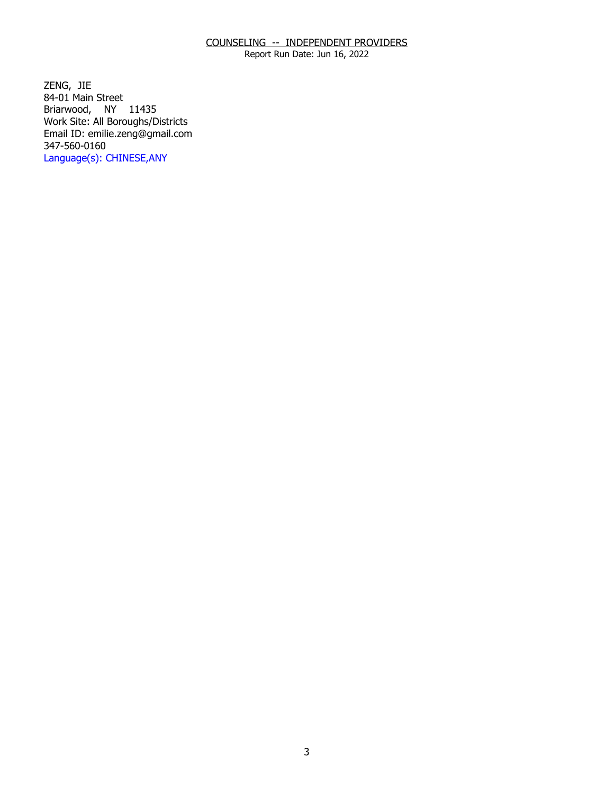Report Run Date: Jun 16, 2022

ZENG, JIE Briarwood, NY 11435 84-01 Main Street Work Site: All Boroughs/Districts Email ID: [emilie.zeng@gmail.com](mailto:emilie.zeng@gmail.com)  347-560-0160 Language(s): CHINESE,ANY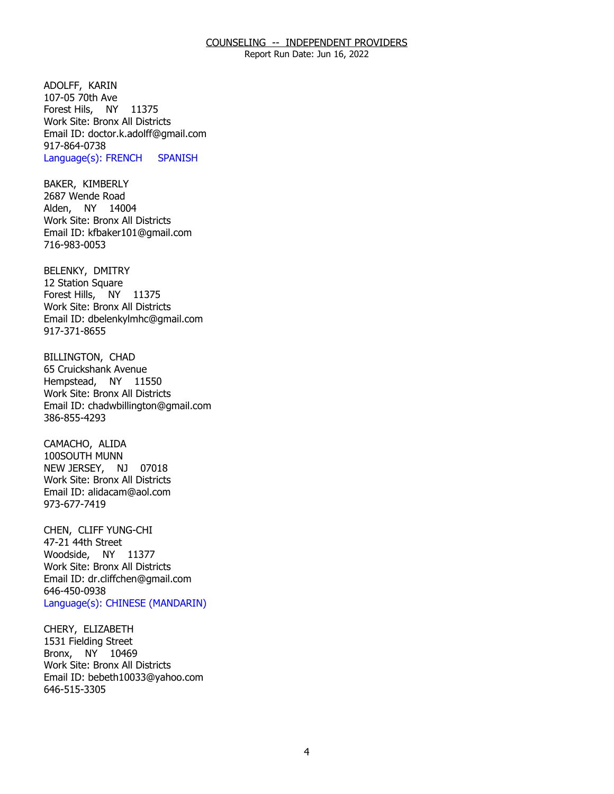Report Run Date: Jun 16, 2022

ADOLFF, KARIN Forest Hils, NY 11375 107-05 70th Ave Work Site: Bronx All Districts Email ID: [doctor.k.adolff@gmail.com](mailto:doctor.k.adolff@gmail.com) 917-864-0738 Language(s): FRENCH SPANISH

BAKER, KIMBERLY<br>2687 Wende Road Alden, NY 14004 Work Site: Bronx All Districts Email ID: [kfbaker101@gmail.com](mailto:kfbaker101@gmail.com) 716-983-0053

BELENKY, DMITRY<br>12 Station Square Forest Hills, NY 11375 Work Site: Bronx All Districts Email ID: [dbelenkylmhc@gmail.com](mailto:dbelenkylmhc@gmail.com)  917-371-8655

**BILLINGTON, CHAD**  Hempstead, NY 11550 65 Cruickshank Avenue Work Site: Bronx All Districts Email ID: [chadwbillington@gmail.com](mailto:chadwbillington@gmail.com)  386-855-4293

CAMACHO, ALIDA NEW JERSEY, NJ 07018 100SOUTH MUNN Work Site: Bronx All Districts Email ID: [alidacam@aol.com](mailto:alidacam@aol.com) 973-677-7419

CHEN, CLIFF YUNG-CHI<br>47-21 44th Street Woodside, NY 11377 Work Site: Bronx All Districts Email ID: [dr.cliffchen@gmail.com](mailto:dr.cliffchen@gmail.com)  646-450-0938 Language(s): CHINESE (MANDARIN)

CHERY, ELIZABETH Bronx, NY 10469 1531 Fielding Street Work Site: Bronx All Districts Email ID: [bebeth10033@yahoo.com](mailto:bebeth10033@yahoo.com)  646-515-3305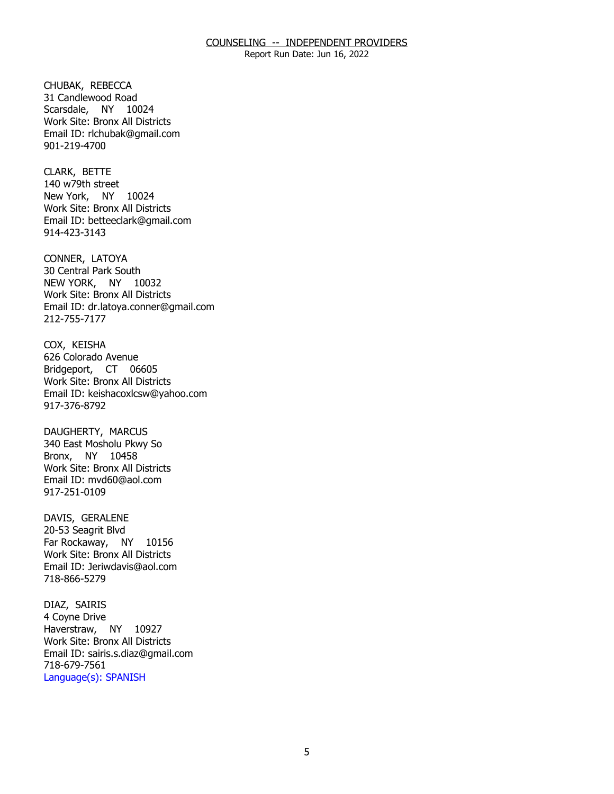Report Run Date: Jun 16, 2022

CHUBAK, REBECCA Scarsdale, NY 10024 31 Candlewood Road Work Site: Bronx All Districts Email ID: [rlchubak@gmail.com](mailto:rlchubak@gmail.com)  901-219-4700

CLARK, BETTE New York, NY 10024 140 w79th street Work Site: Bronx All Districts Email ID: [betteeclark@gmail.com](mailto:betteeclark@gmail.com)  914-423-3143

CONNER, LATOYA NEW YORK, NY 10032 30 Central Park South Work Site: Bronx All Districts Email ID: [dr.latoya.conner@gmail.com](mailto:dr.latoya.conner@gmail.com) 212-755-7177

COX, KEISHA Bridgeport, CT 06605 626 Colorado Avenue Work Site: Bronx All Districts Email ID: [keishacoxlcsw@yahoo.com](mailto:keishacoxlcsw@yahoo.com)  917-376-8792

DAUGHERTY, MARCUS Bronx, NY 10458 340 East Mosholu Pkwy So Work Site: Bronx All Districts Email ID: [mvd60@aol.com](mailto:mvd60@aol.com) 917-251-0109

DAVIS, GERALENE Far Rockaway, NY 10156 20-53 Seagrit Blvd Work Site: Bronx All Districts Email ID: [Jeriwdavis@aol.com](mailto:Jeriwdavis@aol.com)  718-866-5279

DIAZ, SAIRIS Haverstraw, NY 10927 4 Coyne Drive Work Site: Bronx All Districts Email ID: [sairis.s.diaz@gmail.com](mailto:sairis.s.diaz@gmail.com)  718-679-7561 Language(s): SPANISH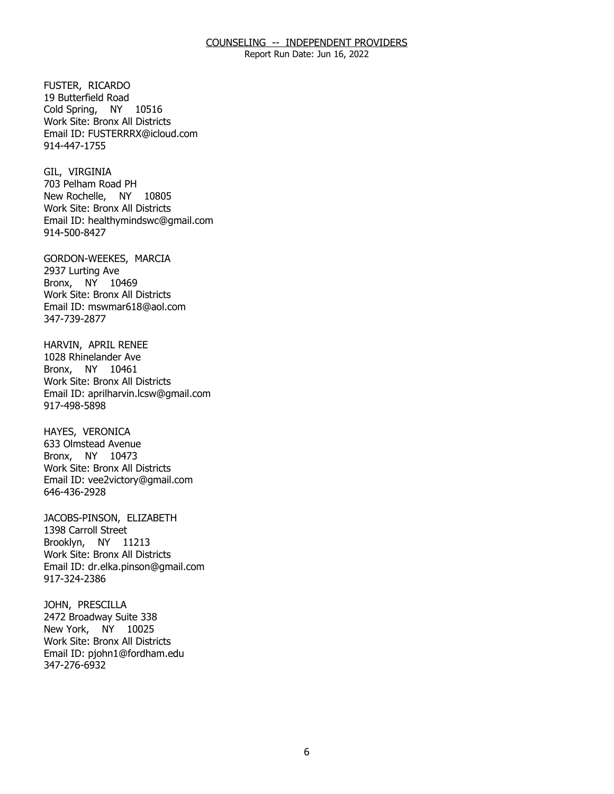Report Run Date: Jun 16, 2022

FUSTER, RICARDO Cold Spring, NY 10516 19 Butterfield Road Work Site: Bronx All Districts Email ID: [FUSTERRRX@icloud.com](mailto:FUSTERRRX@icloud.com) 914-447-1755

GIL, VIRGINIA New Rochelle, NY 10805 703 Pelham Road PH Work Site: Bronx All Districts Email ID: [healthymindswc@gmail.com](mailto:healthymindswc@gmail.com)  914-500-8427

GORDON-WEEKES, MARCIA<br>2937 Lurting Ave Bronx, NY 10469 Work Site: Bronx All Districts Email ID: [mswmar618@aol.com](mailto:mswmar618@aol.com) 347-739-2877

HARVIN, APRIL RENEE<br>1028 Rhinelander Ave Bronx, NY 10461 Work Site: Bronx All Districts Email ID: [aprilharvin.lcsw@gmail.com](mailto:aprilharvin.lcsw@gmail.com) 917-498-5898

HAYES, VERONICA Bronx, NY 10473 633 Olmstead Avenue Work Site: Bronx All Districts Email ID: [vee2victory@gmail.com](mailto:vee2victory@gmail.com) 646-436-2928

JACOBS-PINSON, ELIZABETH<br>1398 Carroll Street Brooklyn, NY 11213 Work Site: Bronx All Districts Email ID: [dr.elka.pinson@gmail.com](mailto:dr.elka.pinson@gmail.com) 917-324-2386

JOHN, PRESCILLA New York, NY 10025 2472 Broadway Suite 338 Work Site: Bronx All Districts Email ID: [pjohn1@fordham.edu](mailto:pjohn1@fordham.edu)  347-276-6932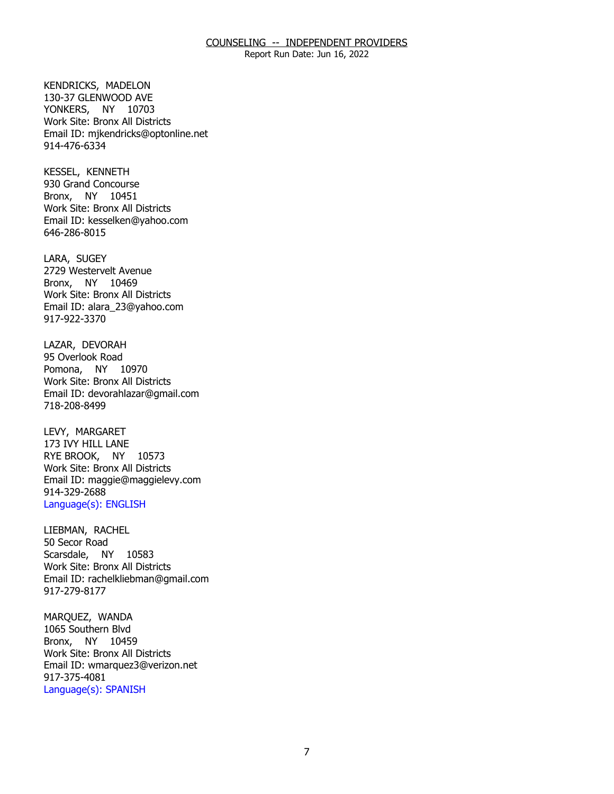Report Run Date: Jun 16, 2022

KENDRICKS, MADELON YONKERS, NY 10703 130-37 GLENWOOD AVE Work Site: Bronx All Districts Email ID: [mjkendricks@optonline.net](mailto:mjkendricks@optonline.net) 914-476-6334

KESSEL, KENNETH Bronx, NY 10451 930 Grand Concourse Work Site: Bronx All Districts Email ID: [kesselken@yahoo.com](mailto:kesselken@yahoo.com)  646-286-8015

LARA, SUGEY Bronx, NY 10469 2729 Westervelt Avenue Work Site: Bronx All Districts Email ID: [alara\\_23@yahoo.com](mailto:alara_23@yahoo.com) 917-922-3370

LAZAR, DEVORAH<br>95 Overlook Road Pomona, NY 10970 Work Site: Bronx All Districts Email ID: [devorahlazar@gmail.com](mailto:devorahlazar@gmail.com)  718-208-8499

LEVY, MARGARET RYE BROOK, NY 10573 173 IVY HILL LANE Work Site: Bronx All Districts Email ID: [maggie@maggielevy.com](mailto:maggie@maggielevy.com)  914-329-2688 Language(s): ENGLISH

LIEBMAN, RACHEL<br>50 Secor Road Scarsdale, NY 10583 Work Site: Bronx All Districts Email ID: [rachelkliebman@gmail.com](mailto:rachelkliebman@gmail.com) 917-279-8177

MAROUEZ, WANDA Bronx, NY 10459 1065 Southern Blvd Work Site: Bronx All Districts Email ID: [wmarquez3@verizon.net](mailto:wmarquez3@verizon.net)  917-375-4081 Language(s): SPANISH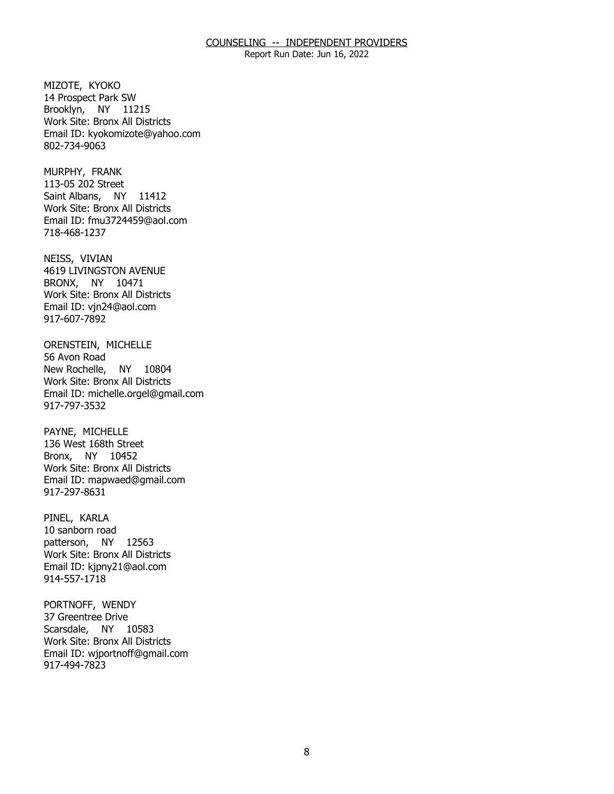Report Run Date: Jun 16, 2022

MIZOTE, KYOKO Brooklyn, NY 11215 14 Prospect Park SW Work Site: Bronx All Districts Email ID: [kyokomizote@yahoo.com](mailto:kyokomizote@yahoo.com) 802-734-9063

MURPHY, FRANK Saint Albans, NY 11412 113-05 202 Street Work Site: Bronx All Districts Email ID: [fmu3724459@aol.com](mailto:fmu3724459@aol.com)  718-468-1237

NEISS, VIVIAN BRONX, NY 10471 4619 LIVINGSTON AVENUE Work Site: Bronx All Districts Email ID: [vjn24@aol.com](mailto:vjn24@aol.com)  917-607-7892

ORENSTEIN, MICHELLE<br>56 Avon Road New Rochelle, NY 10804 Work Site: Bronx All Districts Email ID: [michelle.orgel@gmail.com](mailto:michelle.orgel@gmail.com) 917-797-3532

PAYNE, MICHELLE Bronx, NY 10452 136 West 168th Street Work Site: Bronx All Districts Email ID: [mapwaed@gmail.com](mailto:mapwaed@gmail.com)  917-297-8631

PINEL, KARLA patterson, NY 12563 10 sanborn road Work Site: Bronx All Districts Email ID: [kjpny21@aol.com](mailto:kjpny21@aol.com) 914-557-1718

PORTNOFF, WENDY<br>37 Greentree Drive Scarsdale, NY 10583 Work Site: Bronx All Districts Email ID: [wjportnoff@gmail.com](mailto:wjportnoff@gmail.com)  917-494-7823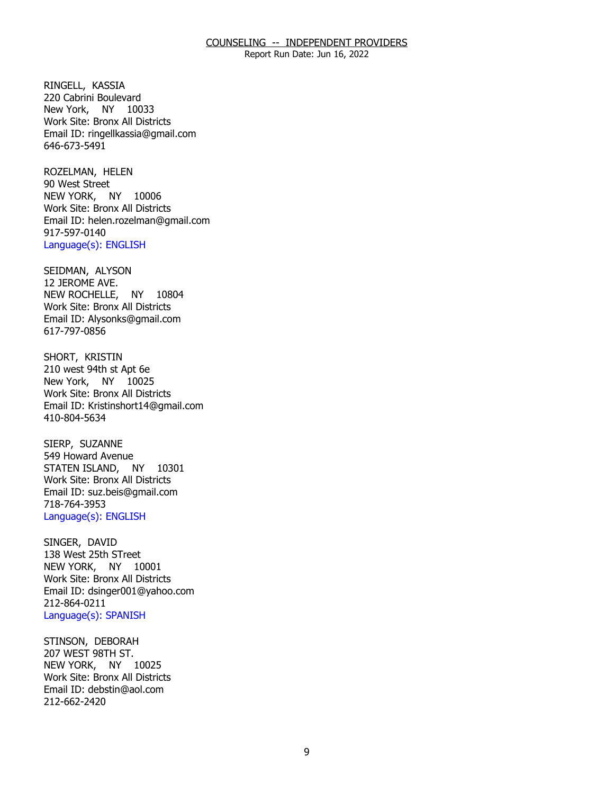Report Run Date: Jun 16, 2022

RINGELL, KASSIA New York, NY 10033 220 Cabrini Boulevard Work Site: Bronx All Districts Email ID: [ringellkassia@gmail.com](mailto:ringellkassia@gmail.com)  646-673-5491

ROZELMAN, HELEN<br>90 West Street NEW YORK, NY 10006 Work Site: Bronx All Districts Email ID: [helen.rozelman@gmail.com](mailto:helen.rozelman@gmail.com)  917-597-0140 Language(s): ENGLISH

 SEIDMAN, ALYSON NEW ROCHELLE, NY 10804 12 JEROME AVE. Work Site: Bronx All Districts Email ID: [Alysonks@gmail.com](mailto:Alysonks@gmail.com) 617-797-0856

SHORT, KRISTIN New York, NY 10025 210 west 94th st Apt 6e Work Site: Bronx All Districts Email ID: [Kristinshort14@gmail.com](mailto:Kristinshort14@gmail.com)  410-804-5634

SIERP, SUZANNE STATEN ISLAND, NY 10301 549 Howard Avenue Work Site: Bronx All Districts Email ID: [suz.beis@gmail.com](mailto:suz.beis@gmail.com) 718-764-3953 Language(s): ENGLISH

SINGER, DAVID NEW YORK, NY 10001 138 West 25th STreet Work Site: Bronx All Districts Email ID: [dsinger001@yahoo.com](mailto:dsinger001@yahoo.com)  212-864-0211 Language(s): SPANISH

STINSON, DEBORAH<br>207 WEST 98TH ST. NEW YORK, NY 10025 Work Site: Bronx All Districts Email ID: [debstin@aol.com](mailto:debstin@aol.com) 212-662-2420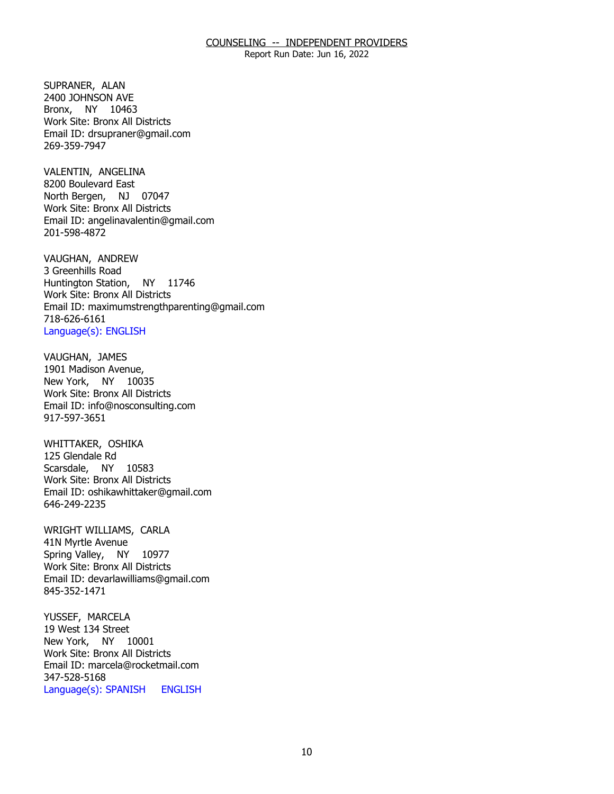Report Run Date: Jun 16, 2022

SUPRANER, ALAN Bronx, NY 10463 2400 JOHNSON AVE Work Site: Bronx All Districts Email ID: [drsupraner@gmail.com](mailto:drsupraner@gmail.com) 269-359-7947

VALENTIN, ANGELINA North Bergen, NJ 07047 8200 Boulevard East Work Site: Bronx All Districts Email ID: [angelinavalentin@gmail.com](mailto:angelinavalentin@gmail.com)  201-598-4872

VAUGHAN, ANDREW<br>3 Greenhills Road Huntington Station, NY 11746 Work Site: Bronx All Districts Email ID: [maximumstrengthparenting@gmail.com](mailto:maximumstrengthparenting@gmail.com) 718-626-6161 Language(s): ENGLISH

VAUGHAN, JAMES New York, NY 10035 1901 Madison Avenue, Work Site: Bronx All Districts Email ID: [info@nosconsulting.com](mailto:info@nosconsulting.com) 917-597-3651

WHITTAKER, OSHIKA<br>125 Glendale Rd Scarsdale, NY 10583 Work Site: Bronx All Districts Email ID: [oshikawhittaker@gmail.com](mailto:oshikawhittaker@gmail.com) 646-249-2235

WRIGHT WILLIAMS, CARLA<br>41N Myrtle Avenue Spring Valley, NY 10977 Work Site: Bronx All Districts Email ID: [devarlawilliams@gmail.com](mailto:devarlawilliams@gmail.com) 845-352-1471

YUSSEF, MARCELA New York, NY 10001 19 West 134 Street Work Site: Bronx All Districts Email ID: [marcela@rocketmail.com](mailto:marcela@rocketmail.com)  347-528-5168 Language(s): SPANISH ENGLISH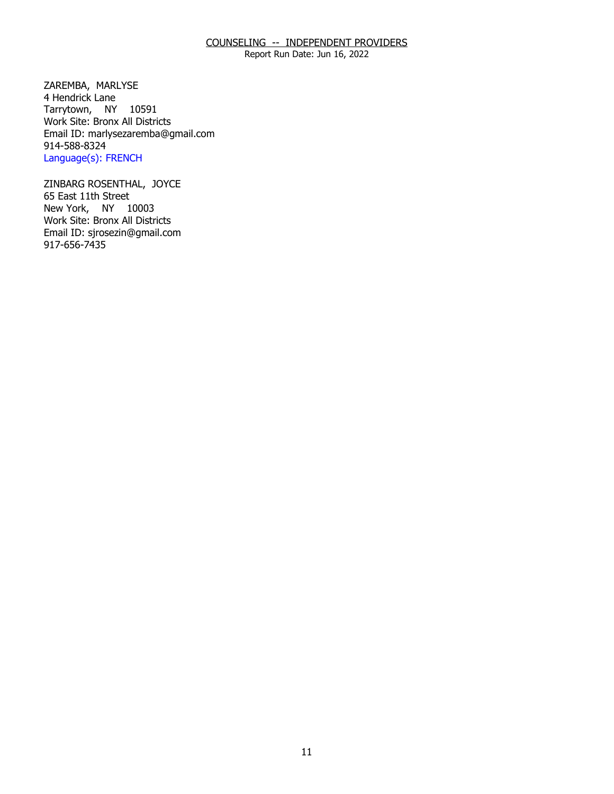Report Run Date: Jun 16, 2022

ZAREMBA, MARLYSE<br>4 Hendrick Lane Tarrytown, NY 10591 Work Site: Bronx All Districts Email ID: [marlysezaremba@gmail.com](mailto:marlysezaremba@gmail.com) 914-588-8324 Language(s): FRENCH

 ZINBARG ROSENTHAL, JOYCE 65 East 11th Street New York, NY 10003 Work Site: Bronx All Districts Email ID: [sjrosezin@gmail.com](mailto:sjrosezin@gmail.com)  917-656-7435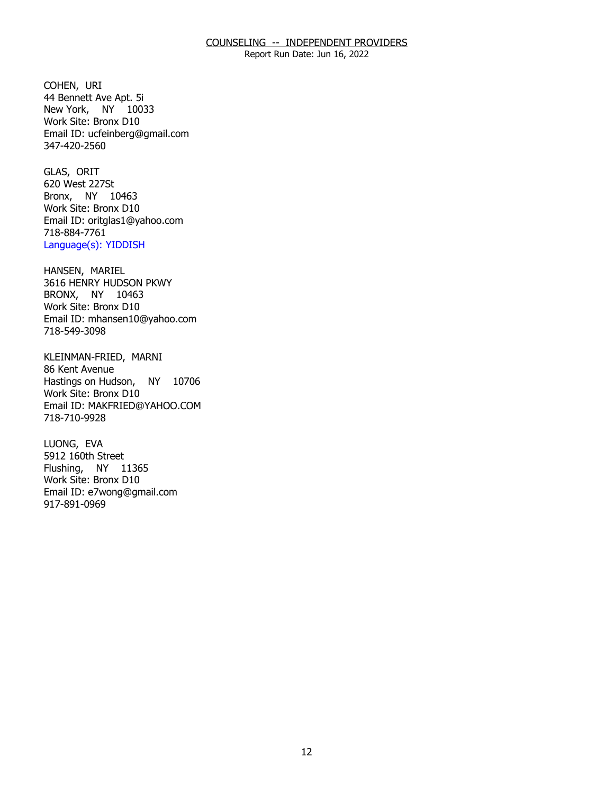Report Run Date: Jun 16, 2022

COHEN, URI New York, NY 10033 44 Bennett Ave Apt. 5i Work Site: Bronx D10 Email ID: [ucfeinberg@gmail.com](mailto:ucfeinberg@gmail.com)  347-420-2560

GLAS, ORIT Bronx, NY 10463 620 West 227St Work Site: Bronx D10 Email ID: [oritglas1@yahoo.com](mailto:oritglas1@yahoo.com)  718-884-7761 Language(s): YIDDISH

HANSEN, MARIEL BRONX, NY 10463 3616 HENRY HUDSON PKWY Work Site: Bronx D10 Email ID: [mhansen10@yahoo.com](mailto:mhansen10@yahoo.com) 718-549-3098

KLEINMAN-FRIED, MARNI<br>86 Kent Avenue Hastings on Hudson, NY 10706 Work Site: Bronx D10 Email ID: [MAKFRIED@YAHOO.COM](mailto:MAKFRIED@YAHOO.COM)  718-710-9928

LUONG, EVA Flushing, NY 11365 5912 160th Street Work Site: Bronx D10 Email ID: [e7wong@gmail.com](mailto:e7wong@gmail.com)  917-891-0969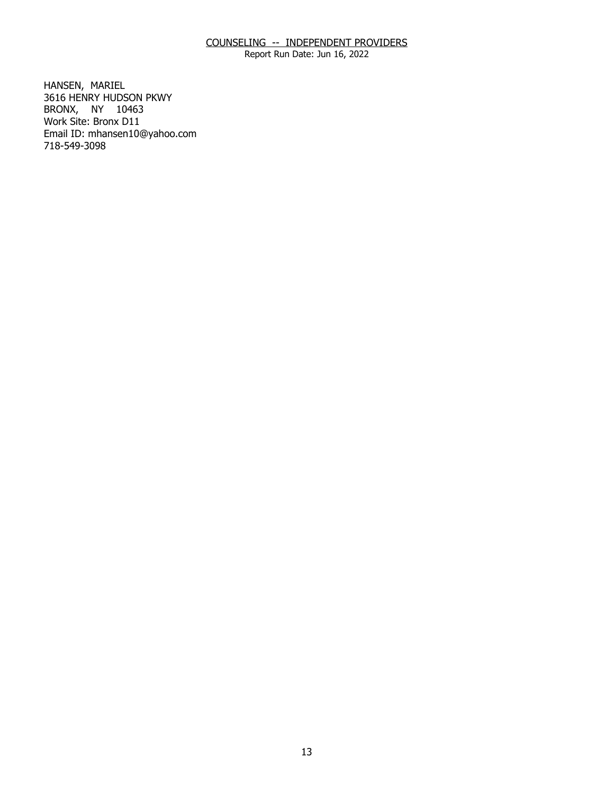Report Run Date: Jun 16, 2022

HANSEN, MARIEL BRONX, NY 10463 3616 HENRY HUDSON PKWY Work Site: Bronx D11 Email ID: [mhansen10@yahoo.com](mailto:mhansen10@yahoo.com) 718-549-3098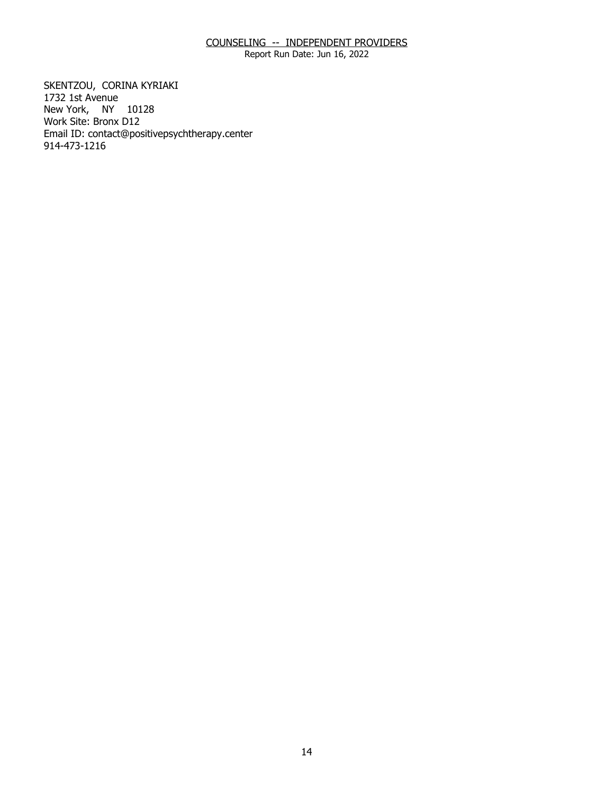Report Run Date: Jun 16, 2022

SKENTZOU, CORINA KYRIAKI<br>1732 1st Avenue New York, NY 10128 Work Site: Bronx D12 Email ID: [contact@positivepsychtherapy.center](mailto:contact@positivepsychtherapy.center) 914-473-1216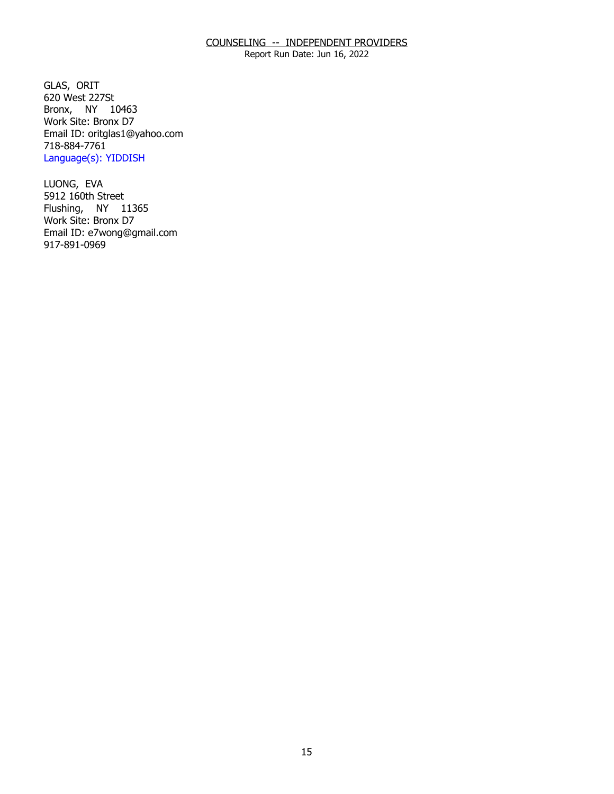Report Run Date: Jun 16, 2022

GLAS, ORIT Bronx, NY 10463 620 West 227St Work Site: Bronx D7 Email ID: [oritglas1@yahoo.com](mailto:oritglas1@yahoo.com)  718-884-7761 Language(s): YIDDISH

LUONG, EVA Flushing, NY 11365 5912 160th Street Work Site: Bronx D7 Email ID: [e7wong@gmail.com](mailto:e7wong@gmail.com)  917-891-0969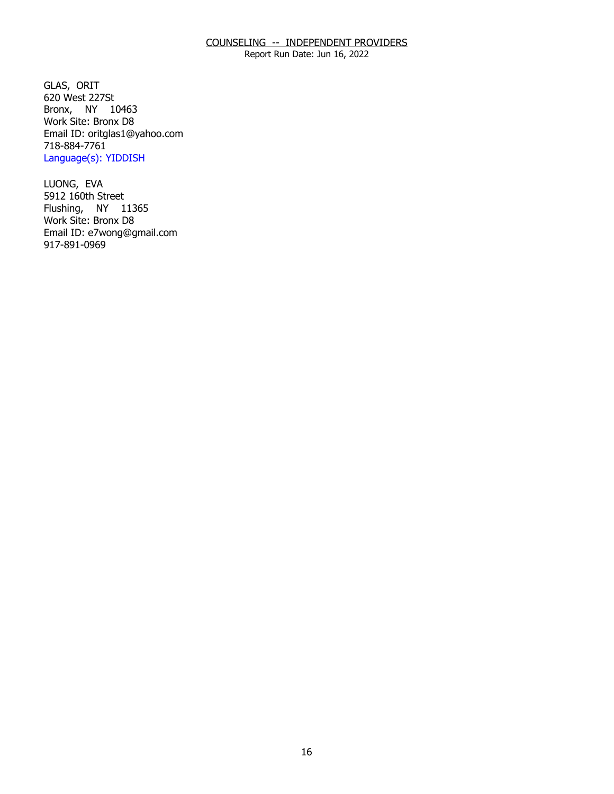Report Run Date: Jun 16, 2022

GLAS, ORIT Bronx, NY 10463 620 West 227St Work Site: Bronx D8 Email ID: [oritglas1@yahoo.com](mailto:oritglas1@yahoo.com)  718-884-7761 Language(s): YIDDISH

LUONG, EVA Flushing, NY 11365 5912 160th Street Work Site: Bronx D8 Email ID: [e7wong@gmail.com](mailto:e7wong@gmail.com)  917-891-0969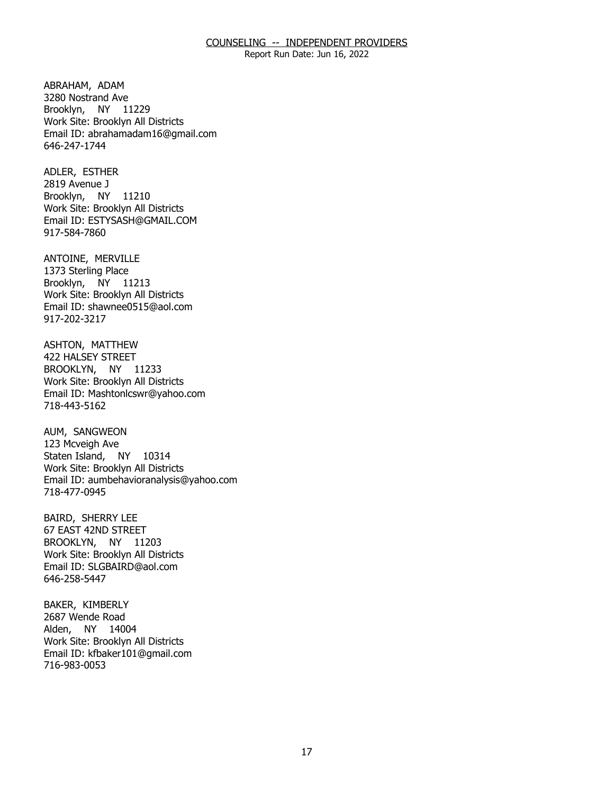Report Run Date: Jun 16, 2022

ABRAHAM, ADAM Brooklyn, NY 11229 3280 Nostrand Ave Work Site: Brooklyn All Districts Email ID: [abrahamadam16@gmail.com](mailto:abrahamadam16@gmail.com) 646-247-1744

ADLER, ESTHER Brooklyn, NY 11210 2819 Avenue J Work Site: Brooklyn All Districts Email ID: [ESTYSASH@GMAIL.COM](mailto:ESTYSASH@GMAIL.COM)  917-584-7860

ANTOINE, MERVILLE<br>1373 Sterling Place Brooklyn, NY 11213 Work Site: Brooklyn All Districts Email ID: [shawnee0515@aol.com](mailto:shawnee0515@aol.com) 917-202-3217

ASHTON, MATTHEW<br>422 HALSEY STREET BROOKLYN, NY 11233 Work Site: Brooklyn All Districts Email ID: [Mashtonlcswr@yahoo.com](mailto:Mashtonlcswr@yahoo.com)  718-443-5162

AUM, SANGWEON Staten Island, NY 10314 123 Mcveigh Ave Work Site: Brooklyn All Districts Email ID: [aumbehavioranalysis@yahoo.com](mailto:aumbehavioranalysis@yahoo.com)  718-477-0945

**BAIRD, SHERRY LEE**  BROOKLYN, NY 11203 67 EAST 42ND STREET Work Site: Brooklyn All Districts Email ID: [SLGBAIRD@aol.com](mailto:SLGBAIRD@aol.com) 646-258-5447

BAKER, KIMBERLY<br>2687 Wende Road Alden, NY 14004 Work Site: Brooklyn All Districts Email ID: [kfbaker101@gmail.com](mailto:kfbaker101@gmail.com) 716-983-0053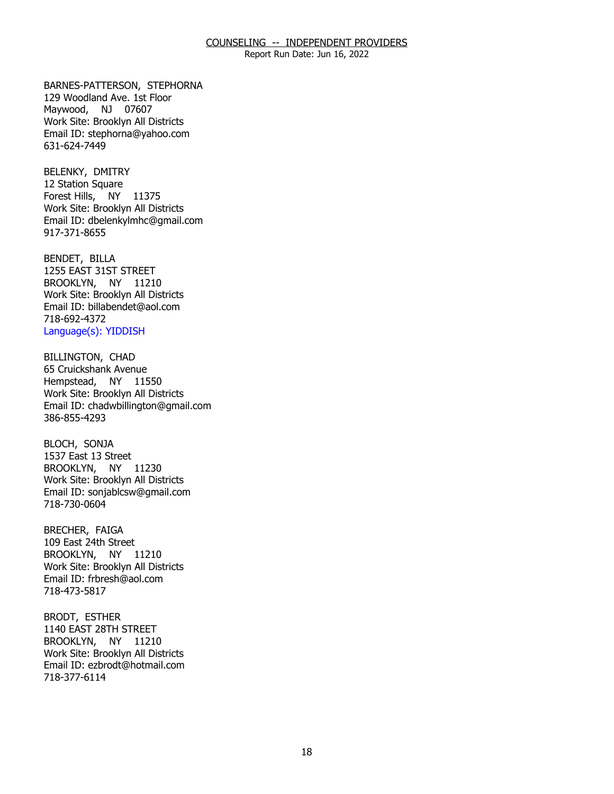Report Run Date: Jun 16, 2022

BARNES-PATTERSON, STEPHORNA Maywood, NJ 07607 129 Woodland Ave. 1st Floor Work Site: Brooklyn All Districts Email ID: [stephorna@yahoo.com](mailto:stephorna@yahoo.com) 631-624-7449

BELENKY, DMITRY Forest Hills, NY 11375 12 Station Square Work Site: Brooklyn All Districts Email ID: [dbelenkylmhc@gmail.com](mailto:dbelenkylmhc@gmail.com)  917-371-8655

BENDET, BILLA BROOKLYN, NY 11210 1255 EAST 31ST STREET Work Site: Brooklyn All Districts Email ID: [billabendet@aol.com](mailto:billabendet@aol.com)  718-692-4372 Language(s): YIDDISH

**BILLINGTON, CHAD**  Hempstead, NY 11550 65 Cruickshank Avenue Work Site: Brooklyn All Districts Email ID: [chadwbillington@gmail.com](mailto:chadwbillington@gmail.com)  386-855-4293

BLOCH, SONJA BROOKLYN, NY 11230 1537 East 13 Street Work Site: Brooklyn All Districts Email ID: [sonjablcsw@gmail.com](mailto:sonjablcsw@gmail.com) 718-730-0604

BRECHER, FAIGA BROOKLYN, NY 11210 109 East 24th Street Work Site: Brooklyn All Districts Email ID: [frbresh@aol.com](mailto:frbresh@aol.com)  718-473-5817

BRODT, ESTHER BROOKLYN, NY 11210 1140 EAST 28TH STREET Work Site: Brooklyn All Districts Email ID: [ezbrodt@hotmail.com](mailto:ezbrodt@hotmail.com) 718-377-6114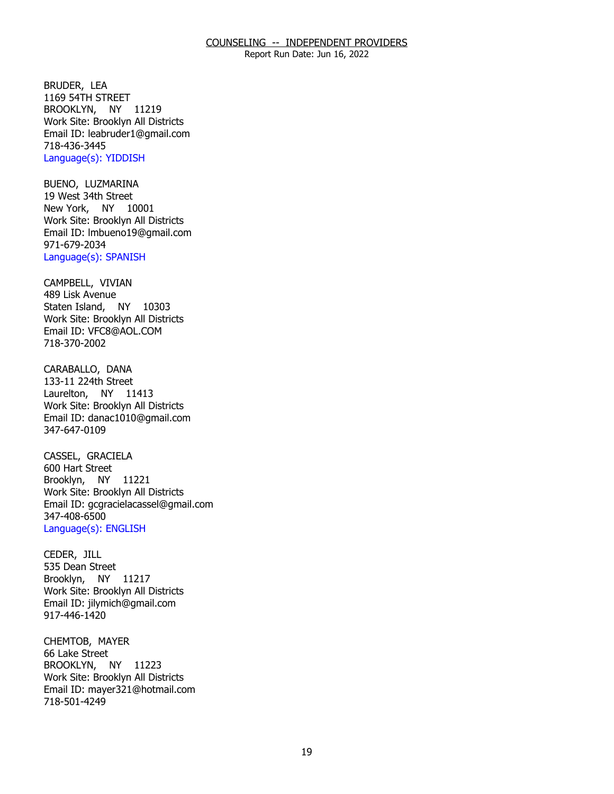Report Run Date: Jun 16, 2022

BRUDER, LEA BROOKLYN, NY 11219 1169 54TH STREET Work Site: Brooklyn All Districts Email ID: [leabruder1@gmail.com](mailto:leabruder1@gmail.com)  718-436-3445 Language(s): YIDDISH

BUENO, LUZMARINA<br>19 West 34th Street New York, NY 10001 Work Site: Brooklyn All Districts Email ID: [lmbueno19@gmail.com](mailto:lmbueno19@gmail.com) 971-679-2034 Language(s): SPANISH

CAMPBELL, VIVIAN Staten Island, NY 10303 489 Lisk Avenue Work Site: Brooklyn All Districts Email ID: [VFC8@AOL.COM](mailto:VFC8@AOL.COM)  718-370-2002

CARABALLO, DANA Laurelton, NY 11413 133-11 224th Street Work Site: Brooklyn All Districts Email ID: [danac1010@gmail.com](mailto:danac1010@gmail.com) 347-647-0109

CASSEL, GRACIELA<br>600 Hart Street Brooklyn, NY 11221 Work Site: Brooklyn All Districts Email ID: [gcgracielacassel@gmail.com](mailto:gcgracielacassel@gmail.com)  347-408-6500 Language(s): ENGLISH

CEDER, JILL Brooklyn, NY 11217 535 Dean Street Work Site: Brooklyn All Districts Email ID: [jilymich@gmail.com](mailto:jilymich@gmail.com) 917-446-1420

CHEMTOB, MAYER<br>66 Lake Street BROOKLYN, NY 11223 Work Site: Brooklyn All Districts Email ID: [mayer321@hotmail.com](mailto:mayer321@hotmail.com)  718-501-4249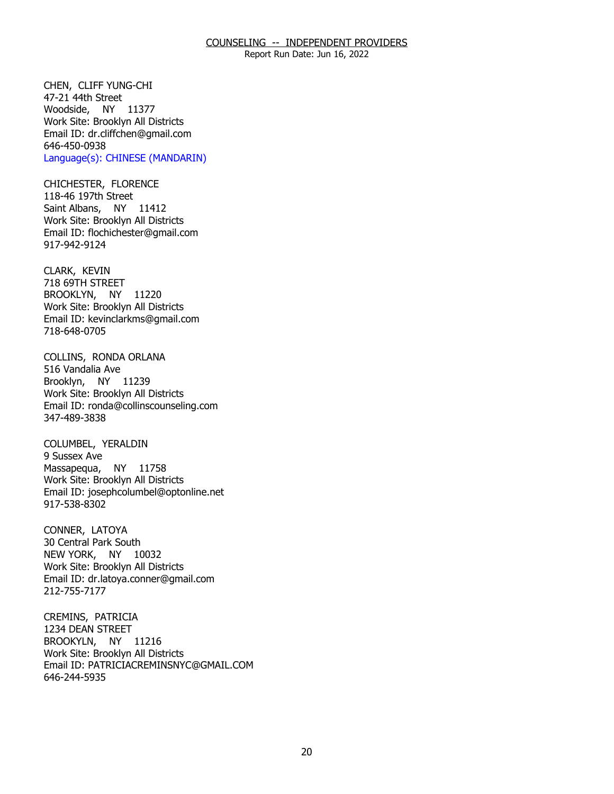Report Run Date: Jun 16, 2022

CHEN, CLIFF YUNG-CHI<br>47-21 44th Street Woodside, NY 11377 Work Site: Brooklyn All Districts Email ID: [dr.cliffchen@gmail.com](mailto:dr.cliffchen@gmail.com)  646-450-0938 Language(s): CHINESE (MANDARIN)

CHICHESTER, FLORENCE<br>118-46 197th Street Saint Albans, NY 11412 Work Site: Brooklyn All Districts Email ID: [flochichester@gmail.com](mailto:flochichester@gmail.com)  917-942-9124

CLARK, KEVIN BROOKLYN, NY 11220 718 69TH STREET Work Site: Brooklyn All Districts Email ID: [kevinclarkms@gmail.com](mailto:kevinclarkms@gmail.com)  718-648-0705

 COLLINS, RONDA ORLANA 516 Vandalia Ave Brooklyn, NY 11239 Work Site: Brooklyn All Districts Email ID: [ronda@collinscounseling.com](mailto:ronda@collinscounseling.com) 347-489-3838

COLUMBEL, YERALDIN<br>9 Sussex Ave Massapequa, NY 11758 Work Site: Brooklyn All Districts Email ID: [josephcolumbel@optonline.net](mailto:josephcolumbel@optonline.net) 917-538-8302

CONNER, LATOYA NEW YORK, NY 10032 30 Central Park South Work Site: Brooklyn All Districts Email ID: [dr.latoya.conner@gmail.com](mailto:dr.latoya.conner@gmail.com) 212-755-7177

CREMINS, PATRICIA BROOKYLN, NY 11216 1234 DEAN STREET Work Site: Brooklyn All Districts Email ID: [PATRICIACREMINSNYC@GMAIL.COM](mailto:PATRICIACREMINSNYC@GMAIL.COM)  646-244-5935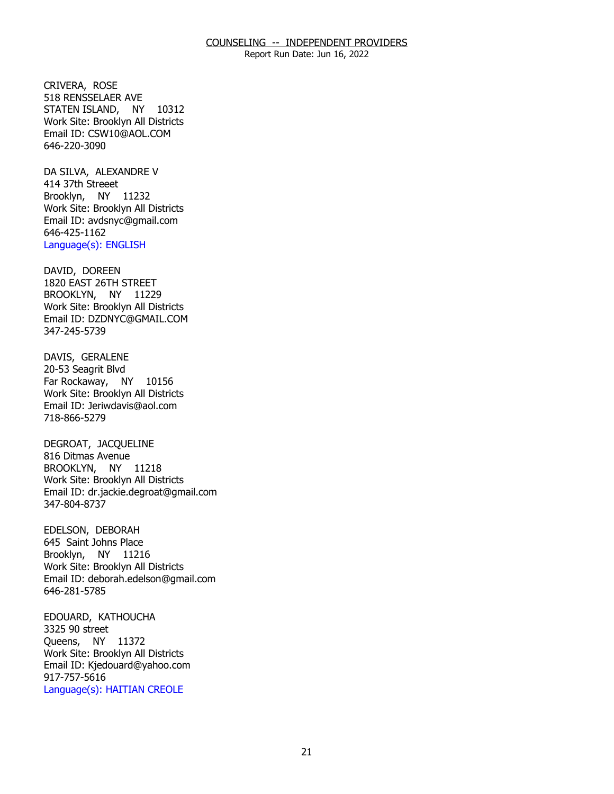Report Run Date: Jun 16, 2022

CRIVERA, ROSE STATEN ISLAND, NY 10312 518 RENSSELAER AVE Work Site: Brooklyn All Districts Email ID: [CSW10@AOL.COM](mailto:CSW10@AOL.COM) 646-220-3090

DA SILVA, ALEXANDRE V<br>414 37th Streeet Brooklyn, NY 11232 Work Site: Brooklyn All Districts Email ID: [avdsnyc@gmail.com](mailto:avdsnyc@gmail.com)  646-425-1162 Language(s): ENGLISH

DAVID, DOREEN BROOKLYN, NY 11229 1820 EAST 26TH STREET Work Site: Brooklyn All Districts Email ID: [DZDNYC@GMAIL.COM](mailto:DZDNYC@GMAIL.COM) 347-245-5739

DAVIS, GERALENE Far Rockaway, NY 10156 20-53 Seagrit Blvd Work Site: Brooklyn All Districts Email ID: [Jeriwdavis@aol.com](mailto:Jeriwdavis@aol.com)  718-866-5279

DEGROAT, JACQUELINE<br>816 Ditmas Avenue BROOKLYN, NY 11218 Work Site: Brooklyn All Districts Email ID: [dr.jackie.degroat@gmail.com](mailto:dr.jackie.degroat@gmail.com)  347-804-8737

EDELSON, DEBORAH Brooklyn, NY 11216 645 Saint Johns Place Work Site: Brooklyn All Districts Email ID: [deborah.edelson@gmail.com](mailto:deborah.edelson@gmail.com) 646-281-5785

EDOUARD, KATHOUCHA<br>3325 90 street Queens, NY 11372 Work Site: Brooklyn All Districts Email ID: [Kjedouard@yahoo.com](mailto:Kjedouard@yahoo.com) 917-757-5616 Language(s): HAITIAN CREOLE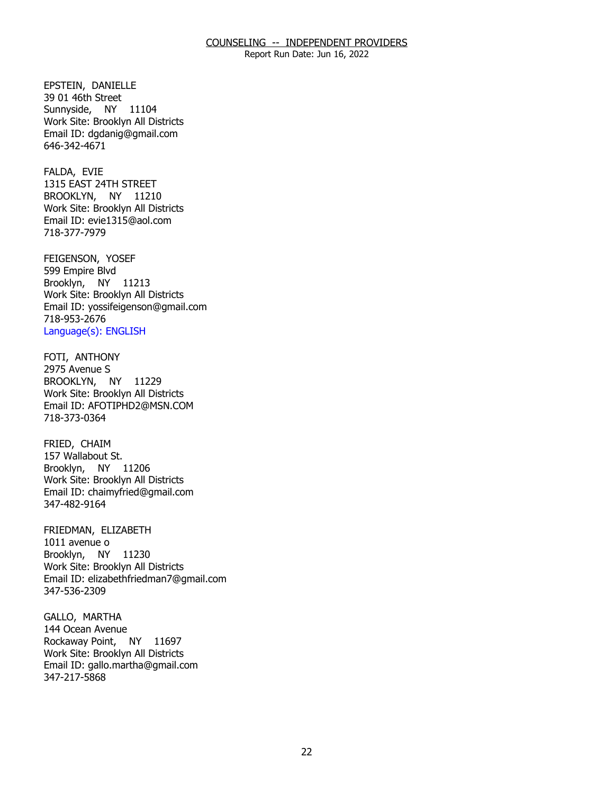Report Run Date: Jun 16, 2022

EPSTEIN, DANIELLE Sunnyside, NY 11104 39 01 46th Street Work Site: Brooklyn All Districts Email ID: [dgdanig@gmail.com](mailto:dgdanig@gmail.com) 646-342-4671

FALDA, EVIE BROOKLYN, NY 11210 1315 EAST 24TH STREET Work Site: Brooklyn All Districts Email ID: [evie1315@aol.com](mailto:evie1315@aol.com) 718-377-7979

FEIGENSON, YOSEF<br>599 Empire Blvd Brooklyn, NY 11213 Work Site: Brooklyn All Districts Email ID: [yossifeigenson@gmail.com](mailto:yossifeigenson@gmail.com) 718-953-2676 Language(s): ENGLISH

FOTI, ANTHONY BROOKLYN, NY 11229 2975 Avenue S Work Site: Brooklyn All Districts Email ID: [AFOTIPHD2@MSN.COM](mailto:AFOTIPHD2@MSN.COM) 718-373-0364

FRIED, CHAIM Brooklyn, NY 11206 157 Wallabout St. Work Site: Brooklyn All Districts Email ID: [chaimyfried@gmail.com](mailto:chaimyfried@gmail.com) 347-482-9164

FRIEDMAN, ELIZABETH<br>1011 avenue o Brooklyn, NY 11230 Work Site: Brooklyn All Districts Email ID: [elizabethfriedman7@gmail.com](mailto:elizabethfriedman7@gmail.com) 347-536-2309

GALLO, MARTHA Rockaway Point, NY 11697 144 Ocean Avenue Work Site: Brooklyn All Districts Email ID: [gallo.martha@gmail.com](mailto:gallo.martha@gmail.com) 347-217-5868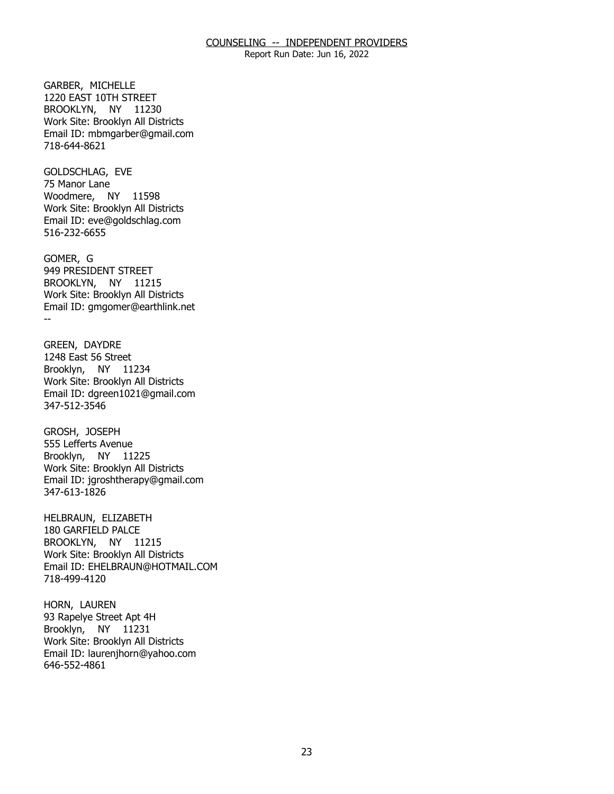Report Run Date: Jun 16, 2022

GARBER, MICHELLE BROOKLYN, NY 11230 1220 EAST 10TH STREET Work Site: Brooklyn All Districts Email ID: [mbmgarber@gmail.com](mailto:mbmgarber@gmail.com) 718-644-8621

GOLDSCHLAG, EVE<br>75 Manor Lane Woodmere, NY 11598 Work Site: Brooklyn All Districts Email ID: [eve@goldschlag.com](mailto:eve@goldschlag.com) 516-232-6655

GOMER, G BROOKLYN, NY 11215 -- 949 PRESIDENT STREET Work Site: Brooklyn All Districts Email ID: [gmgomer@earthlink.net](mailto:gmgomer@earthlink.net) 

GREEN, DAYDRE Brooklyn, NY 11234 1248 East 56 Street Work Site: Brooklyn All Districts Email ID: [dgreen1021@gmail.com](mailto:dgreen1021@gmail.com)  347-512-3546

GROSH, JOSEPH Brooklyn, NY 11225 555 Lefferts Avenue Work Site: Brooklyn All Districts Email ID: [jgroshtherapy@gmail.com](mailto:jgroshtherapy@gmail.com) 347-613-1826

HELBRAUN, ELIZABETH BROOKLYN, NY 11215 180 GARFIELD PALCE Work Site: Brooklyn All Districts Email ID: [EHELBRAUN@HOTMAIL.COM](mailto:EHELBRAUN@HOTMAIL.COM) 718-499-4120

HORN, LAUREN Brooklyn, NY 11231 93 Rapelye Street Apt 4H Work Site: Brooklyn All Districts Email ID: [laurenjhorn@yahoo.com](mailto:laurenjhorn@yahoo.com)  646-552-4861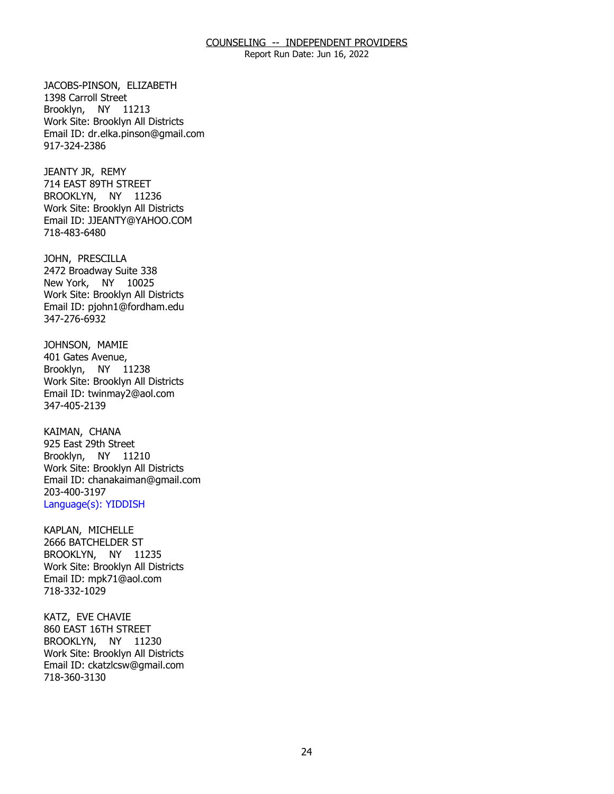Report Run Date: Jun 16, 2022

JACOBS-PINSON, ELIZABETH<br>1398 Carroll Street Brooklyn, NY 11213 Work Site: Brooklyn All Districts Email ID: [dr.elka.pinson@gmail.com](mailto:dr.elka.pinson@gmail.com) 917-324-2386

JEANTY JR, REMY BROOKLYN, NY 11236 714 EAST 89TH STREET Work Site: Brooklyn All Districts Email ID: [JJEANTY@YAHOO.COM](mailto:JJEANTY@YAHOO.COM)  718-483-6480

JOHN, PRESCILLA New York, NY 10025 2472 Broadway Suite 338 Work Site: Brooklyn All Districts Email ID: [pjohn1@fordham.edu](mailto:pjohn1@fordham.edu)  347-276-6932

JOHNSON, MAMIE<br>401 Gates Avenue, Brooklyn, NY 11238 Work Site: Brooklyn All Districts Email ID: [twinmay2@aol.com](mailto:twinmay2@aol.com) 347-405-2139

KAIMAN, CHANA Brooklyn, NY 11210 925 East 29th Street Work Site: Brooklyn All Districts Email ID: [chanakaiman@gmail.com](mailto:chanakaiman@gmail.com) 203-400-3197 Language(s): YIDDISH

KAPLAN, MICHELLE BROOKLYN, NY 11235 2666 BATCHELDER ST Work Site: Brooklyn All Districts Email ID: [mpk71@aol.com](mailto:mpk71@aol.com) 718-332-1029

KATZ, EVE CHAVIE BROOKLYN, NY 11230 860 EAST 16TH STREET Work Site: Brooklyn All Districts Email ID: [ckatzlcsw@gmail.com](mailto:ckatzlcsw@gmail.com)  718-360-3130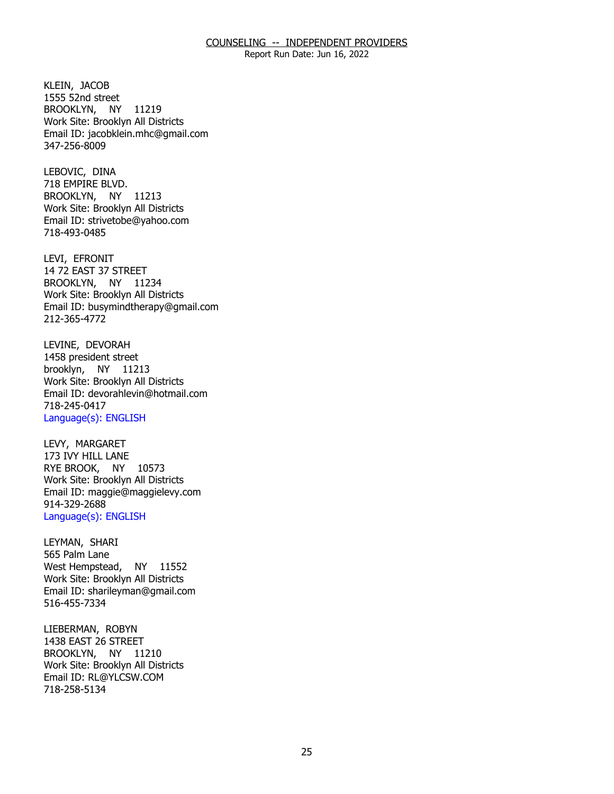Report Run Date: Jun 16, 2022

KLEIN, JACOB BROOKLYN, NY 11219 1555 52nd street Work Site: Brooklyn All Districts Email ID: [jacobklein.mhc@gmail.com](mailto:jacobklein.mhc@gmail.com)  347-256-8009

LEBOVIC, DINA BROOKLYN, NY 11213 718 EMPIRE BLVD. Work Site: Brooklyn All Districts Email ID: [strivetobe@yahoo.com](mailto:strivetobe@yahoo.com)  718-493-0485

LEVI, EFRONIT BROOKLYN, NY 11234 14 72 EAST 37 STREET Work Site: Brooklyn All Districts Email ID: [busymindtherapy@gmail.com](mailto:busymindtherapy@gmail.com) 212-365-4772

LEVINE, DEVORAH<br>1458 president street brooklyn, NY 11213 Work Site: Brooklyn All Districts Email ID: [devorahlevin@hotmail.com](mailto:devorahlevin@hotmail.com) 718-245-0417 Language(s): ENGLISH

LEVY, MARGARET RYE BROOK, NY 10573 173 IVY HILL LANE Work Site: Brooklyn All Districts Email ID: [maggie@maggielevy.com](mailto:maggie@maggielevy.com)  914-329-2688 Language(s): ENGLISH

LEYMAN, SHARI West Hempstead, NY 11552 565 Palm Lane Work Site: Brooklyn All Districts Email ID: [sharileyman@gmail.com](mailto:sharileyman@gmail.com) 516-455-7334

LIEBERMAN, ROBYN BROOKLYN, NY 11210 1438 EAST 26 STREET Work Site: Brooklyn All Districts Email ID: [RL@YLCSW.COM](mailto:RL@YLCSW.COM) 718-258-5134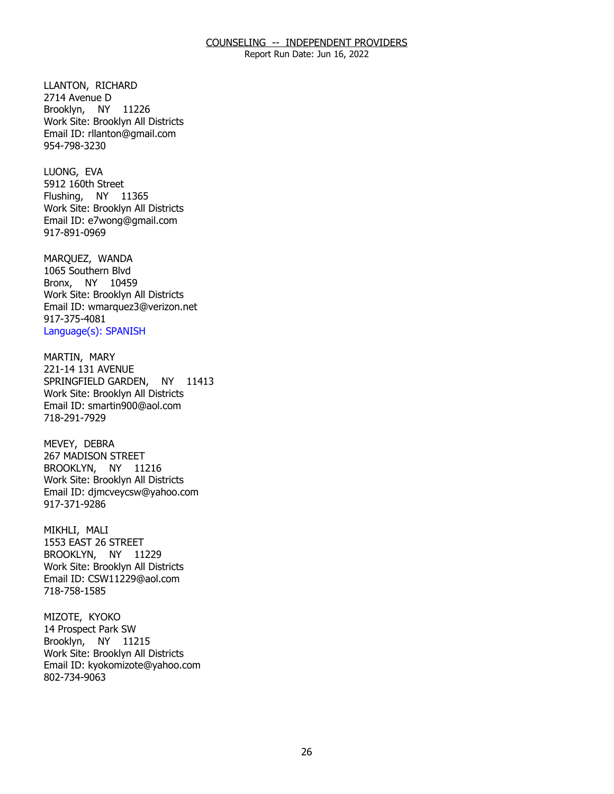Report Run Date: Jun 16, 2022

LLANTON, RICHARD<br>2714 Avenue D Brooklyn, NY 11226 Work Site: Brooklyn All Districts Email ID: [rllanton@gmail.com](mailto:rllanton@gmail.com)  954-798-3230

LUONG, EVA Flushing, NY 11365 5912 160th Street Work Site: Brooklyn All Districts Email ID: [e7wong@gmail.com](mailto:e7wong@gmail.com)  917-891-0969

MARQUEZ, WANDA Bronx, NY 10459 1065 Southern Blvd Work Site: Brooklyn All Districts Email ID: [wmarquez3@verizon.net](mailto:wmarquez3@verizon.net)  917-375-4081 Language(s): SPANISH

MARTIN, MARY SPRINGFIELD GARDEN, NY 11413 221-14 131 AVENUE Work Site: Brooklyn All Districts Email ID: [smartin900@aol.com](mailto:smartin900@aol.com)  718-291-7929

MEVEY, DEBRA BROOKLYN, NY 11216 267 MADISON STREET Work Site: Brooklyn All Districts Email ID: [djmcveycsw@yahoo.com](mailto:djmcveycsw@yahoo.com) 917-371-9286

MIKHLI, MALI BROOKLYN, NY 11229 1553 EAST 26 STREET Work Site: Brooklyn All Districts Email ID: [CSW11229@aol.com](mailto:CSW11229@aol.com) 718-758-1585

MIZOTE, KYOKO Brooklyn, NY 11215 14 Prospect Park SW Work Site: Brooklyn All Districts Email ID: [kyokomizote@yahoo.com](mailto:kyokomizote@yahoo.com) 802-734-9063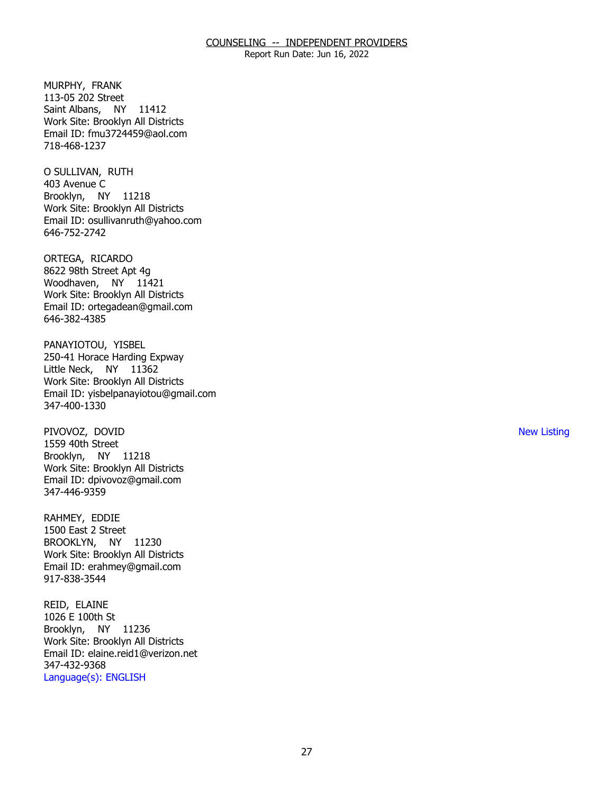Report Run Date: Jun 16, 2022

MURPHY, FRANK Saint Albans, NY 11412 113-05 202 Street Work Site: Brooklyn All Districts Email ID: [fmu3724459@aol.com](mailto:fmu3724459@aol.com)  718-468-1237

O SULLIVAN, RUTH<br>403 Avenue C Brooklyn, NY 11218 Work Site: Brooklyn All Districts Email ID: [osullivanruth@yahoo.com](mailto:osullivanruth@yahoo.com) 646-752-2742

ORTEGA, RICARDO Woodhaven, NY 11421 8622 98th Street Apt 4g Work Site: Brooklyn All Districts Email ID: [ortegadean@gmail.com](mailto:ortegadean@gmail.com) 646-382-4385

PANAYIOTOU, YISBEL Little Neck, NY 11362 250-41 Horace Harding Expway Work Site: Brooklyn All Districts Email ID: [yisbelpanayiotou@gmail.com](mailto:yisbelpanayiotou@gmail.com)  347-400-1330

PIVOVOZ, DOVID Brooklyn, NY 11218 1559 40th Street Work Site: Brooklyn All Districts Email ID: [dpivovoz@gmail.com](mailto:dpivovoz@gmail.com)  347-446-9359

RAHMEY, EDDIE BROOKLYN, NY 11230 1500 East 2 Street Work Site: Brooklyn All Districts Email ID: [erahmey@gmail.com](mailto:erahmey@gmail.com)  917-838-3544

REID, ELAINE Brooklyn, NY 11236 1026 E 100th St Work Site: Brooklyn All Districts Email ID: [elaine.reid1@verizon.net](mailto:elaine.reid1@verizon.net)  347-432-9368 Language(s): ENGLISH

New Listing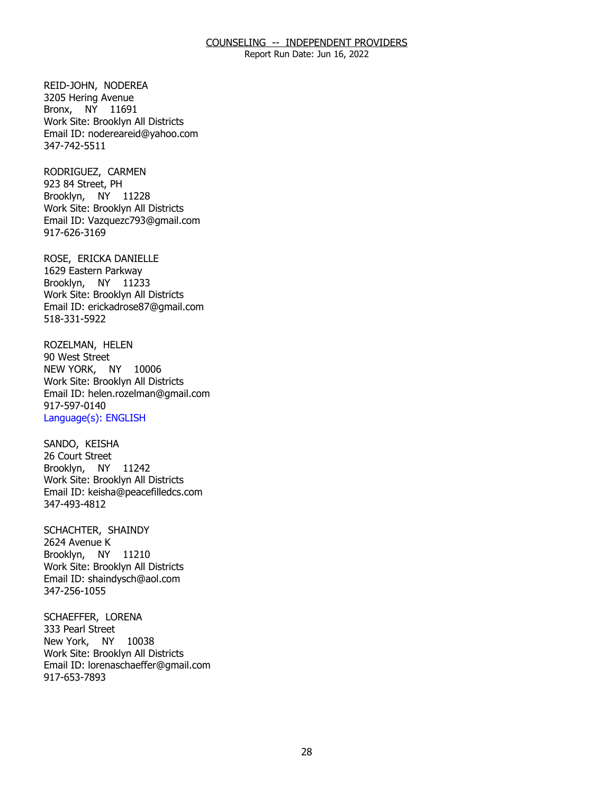Report Run Date: Jun 16, 2022

REID-JOHN, NODEREA Bronx, NY 11691 3205 Hering Avenue Work Site: Brooklyn All Districts Email ID: [nodereareid@yahoo.com](mailto:nodereareid@yahoo.com)  347-742-5511

RODRIGUEZ, CARMEN<br>923 84 Street, PH Brooklyn, NY 11228 Work Site: Brooklyn All Districts Email ID: [Vazquezc793@gmail.com](mailto:Vazquezc793@gmail.com)  917-626-3169

ROSE, ERICKA DANIELLE<br>1629 Eastern Parkway Brooklyn, NY 11233 Work Site: Brooklyn All Districts Email ID: [erickadrose87@gmail.com](mailto:erickadrose87@gmail.com) 518-331-5922

ROZELMAN, HELEN<br>90 West Street NEW YORK, NY 10006 Work Site: Brooklyn All Districts Email ID: [helen.rozelman@gmail.com](mailto:helen.rozelman@gmail.com)  917-597-0140 Language(s): ENGLISH

SANDO, KEISHA<br>26 Court Street Brooklyn, NY 11242 Work Site: Brooklyn All Districts Email ID: [keisha@peacefilledcs.com](mailto:keisha@peacefilledcs.com) 347-493-4812

SCHACHTER, SHAINDY<br>2624 Avenue K Brooklyn, NY 11210 Work Site: Brooklyn All Districts Email ID: [shaindysch@aol.com](mailto:shaindysch@aol.com)  347-256-1055

SCHAEFFER, LORENA<br>333 Pearl Street New York, NY 10038 Work Site: Brooklyn All Districts Email ID: [lorenaschaeffer@gmail.com](mailto:lorenaschaeffer@gmail.com) 917-653-7893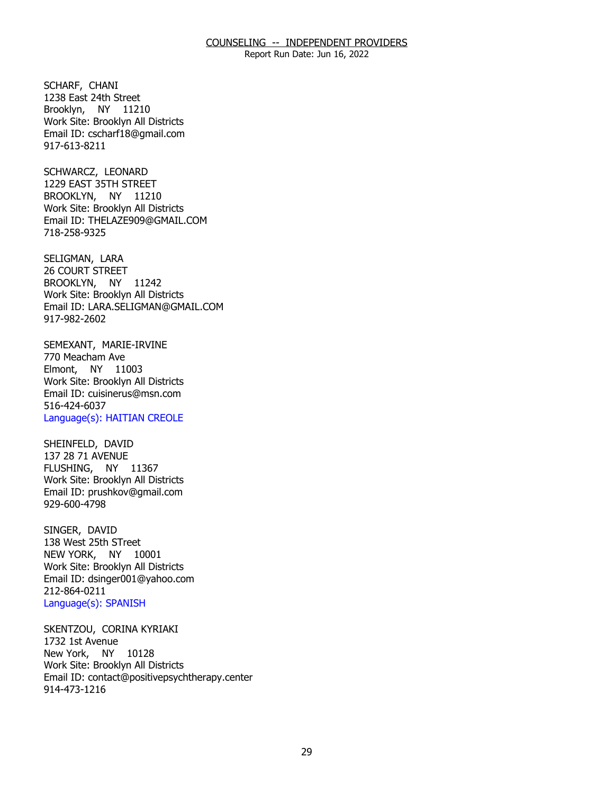Report Run Date: Jun 16, 2022

SCHARF, CHANI Brooklyn, NY 11210 1238 East 24th Street Work Site: Brooklyn All Districts Email ID: [cscharf18@gmail.com](mailto:cscharf18@gmail.com) 917-613-8211

SCHWARCZ, LEONARD BROOKLYN, NY 11210 1229 EAST 35TH STREET Work Site: Brooklyn All Districts Email ID: [THELAZE909@GMAIL.COM](mailto:THELAZE909@GMAIL.COM)  718-258-9325

SELIGMAN, LARA BROOKLYN, NY 11242 26 COURT STREET Work Site: Brooklyn All Districts Email ID: [LARA.SELIGMAN@GMAIL.COM](mailto:LARA.SELIGMAN@GMAIL.COM) 917-982-2602

 SEMEXANT, MARIE-IRVINE 770 Meacham Ave Elmont, NY 11003 Work Site: Brooklyn All Districts Email ID: [cuisinerus@msn.com](mailto:cuisinerus@msn.com)  516-424-6037 Language(s): HAITIAN CREOLE

SHEINFELD, DAVID FLUSHING, NY 11367 137 28 71 AVENUE Work Site: Brooklyn All Districts Email ID: [prushkov@gmail.com](mailto:prushkov@gmail.com) 929-600-4798

SINGER, DAVID NEW YORK, NY 10001 138 West 25th STreet Work Site: Brooklyn All Districts Email ID: [dsinger001@yahoo.com](mailto:dsinger001@yahoo.com)  212-864-0211 Language(s): SPANISH

SKENTZOU, CORINA KYRIAKI<br>1732 1st Avenue New York, NY 10128 Work Site: Brooklyn All Districts Email ID: [contact@positivepsychtherapy.center](mailto:contact@positivepsychtherapy.center) 914-473-1216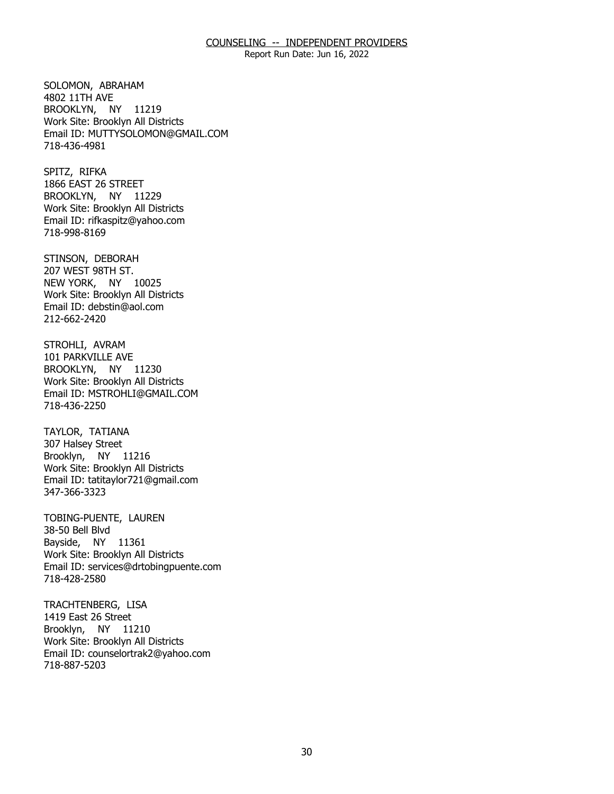Report Run Date: Jun 16, 2022

SOLOMON, ABRAHAM<br>4802 11TH AVE BROOKLYN, NY 11219 Work Site: Brooklyn All Districts Email ID: [MUTTYSOLOMON@GMAIL.COM](mailto:MUTTYSOLOMON@GMAIL.COM)  718-436-4981

SPITZ, RIFKA BROOKLYN, NY 11229 1866 EAST 26 STREET Work Site: Brooklyn All Districts Email ID: [rifkaspitz@yahoo.com](mailto:rifkaspitz@yahoo.com) 718-998-8169

STINSON, DEBORAH<br>207 WEST 98TH ST. NEW YORK, NY 10025 Work Site: Brooklyn All Districts Email ID: [debstin@aol.com](mailto:debstin@aol.com) 212-662-2420

STROHLI, AVRAM<br>101 PARKVILLE AVE BROOKLYN, NY 11230 Work Site: Brooklyn All Districts Email ID: [MSTROHLI@GMAIL.COM](mailto:MSTROHLI@GMAIL.COM)  718-436-2250

TAYLOR, TATIANA Brooklyn, NY 11216 307 Halsey Street Work Site: Brooklyn All Districts Email ID: [tatitaylor721@gmail.com](mailto:tatitaylor721@gmail.com)  347-366-3323

TOBING-PUENTE, LAUREN<br>38-50 Bell Blvd Bayside, NY 11361 Work Site: Brooklyn All Districts Email ID: [services@drtobingpuente.com](mailto:services@drtobingpuente.com)  718-428-2580

TRACHTENBERG, LISA<br>1419 East 26 Street Brooklyn, NY 11210 Work Site: Brooklyn All Districts Email ID: [counselortrak2@yahoo.com](mailto:counselortrak2@yahoo.com) 718-887-5203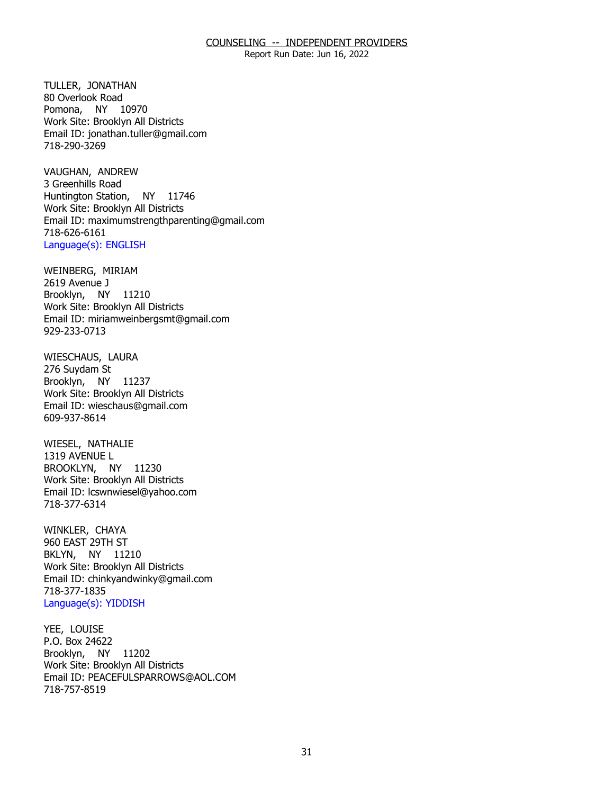Report Run Date: Jun 16, 2022

TULLER, JONATHAN Pomona, NY 10970 80 Overlook Road Work Site: Brooklyn All Districts Email ID: [jonathan.tuller@gmail.com](mailto:jonathan.tuller@gmail.com) 718-290-3269

VAUGHAN, ANDREW<br>3 Greenhills Road Huntington Station, NY 11746 Work Site: Brooklyn All Districts Email ID: [maximumstrengthparenting@gmail.com](mailto:maximumstrengthparenting@gmail.com) 718-626-6161 Language(s): ENGLISH

WEINBERG, MIRIAM<br>2619 Avenue J Brooklyn, NY 11210 Work Site: Brooklyn All Districts Email ID: [miriamweinbergsmt@gmail.com](mailto:miriamweinbergsmt@gmail.com) 929-233-0713

WIESCHAUS, LAURA<br>276 Suydam St Brooklyn, NY 11237 Work Site: Brooklyn All Districts Email ID: [wieschaus@gmail.com](mailto:wieschaus@gmail.com) 609-937-8614

WIESEL, NATHALIE<br>1319 AVENUE L BROOKLYN, NY 11230 Work Site: Brooklyn All Districts Email ID: [lcswnwiesel@yahoo.com](mailto:lcswnwiesel@yahoo.com) 718-377-6314

WINKLER, CHAYA BKLYN, NY 11210 960 EAST 29TH ST Work Site: Brooklyn All Districts Email ID: [chinkyandwinky@gmail.com](mailto:chinkyandwinky@gmail.com)  718-377-1835 Language(s): YIDDISH

YEE, LOUISE Brooklyn, NY 11202 P.O. Box 24622 Work Site: Brooklyn All Districts Email ID: [PEACEFULSPARROWS@AOL.COM](mailto:PEACEFULSPARROWS@AOL.COM)  718-757-8519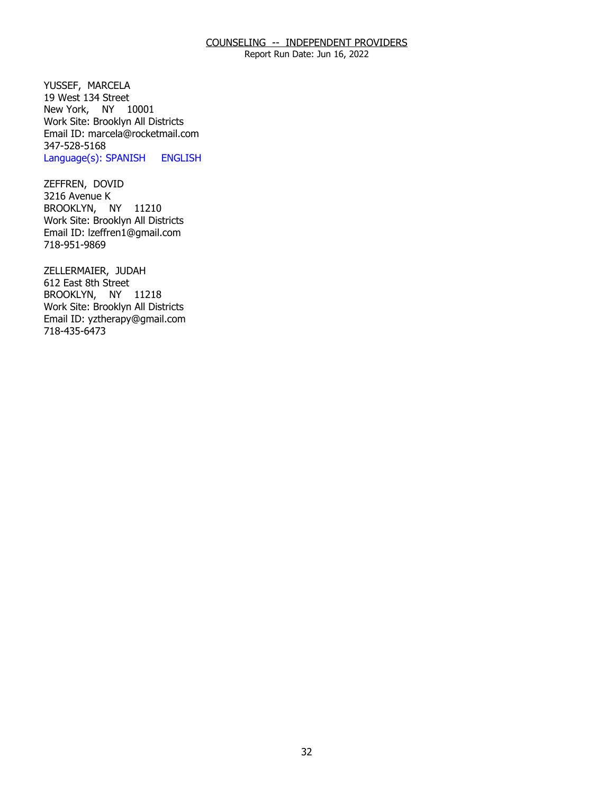Report Run Date: Jun 16, 2022

YUSSEF, MARCELA New York, NY 10001 19 West 134 Street Work Site: Brooklyn All Districts Email ID: [marcela@rocketmail.com](mailto:marcela@rocketmail.com)  347-528-5168 Language(s): SPANISH ENGLISH

ZEFFREN, DOVID<br>3216 Avenue K BROOKLYN, NY 11210 Work Site: Brooklyn All Districts Email ID: [lzeffren1@gmail.com](mailto:lzeffren1@gmail.com) 718-951-9869

ZELLERMAIER, JUDAH<br>612 East 8th Street BROOKLYN, NY 11218 Work Site: Brooklyn All Districts Email ID: [yztherapy@gmail.com](mailto:yztherapy@gmail.com) 718-435-6473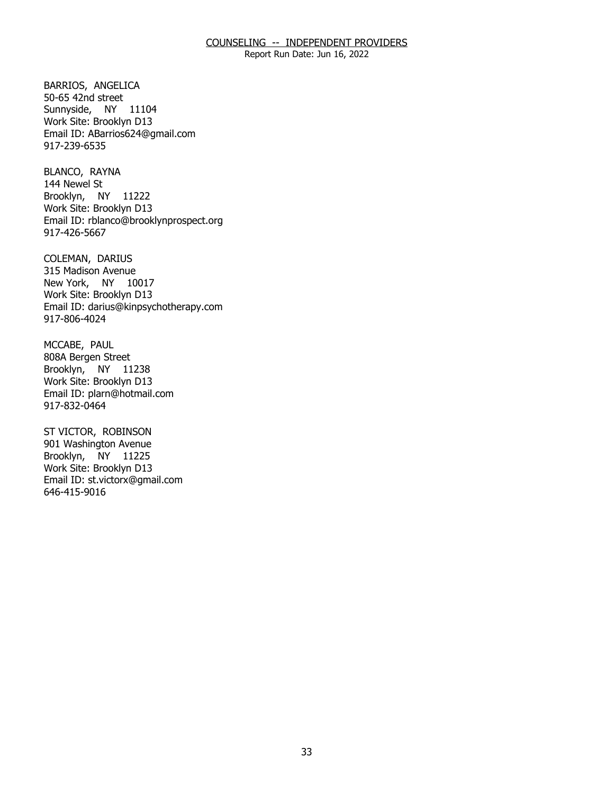Report Run Date: Jun 16, 2022

BARRIOS, ANGELICA<br>50-65 42nd street Sunnyside, NY 11104 Work Site: Brooklyn D13 Email ID: [ABarrios624@gmail.com](mailto:ABarrios624@gmail.com) 917-239-6535

BLANCO, RAYNA<br>144 Newel St Brooklyn, NY 11222 Work Site: Brooklyn D13 Email ID: [rblanco@brooklynprospect.org](mailto:rblanco@brooklynprospect.org) 917-426-5667

COLEMAN, DARIUS New York, NY 10017 315 Madison Avenue Work Site: Brooklyn D13 Email ID: [darius@kinpsychotherapy.com](mailto:darius@kinpsychotherapy.com) 917-806-4024

MCCABE, PAUL Brooklyn, NY 11238 808A Bergen Street Work Site: Brooklyn D13 Email ID: [plarn@hotmail.com](mailto:plarn@hotmail.com) 917-832-0464

ST VICTOR, ROBINSON Brooklyn, NY 11225 901 Washington Avenue Work Site: Brooklyn D13 Email ID: [st.victorx@gmail.com](mailto:st.victorx@gmail.com) 646-415-9016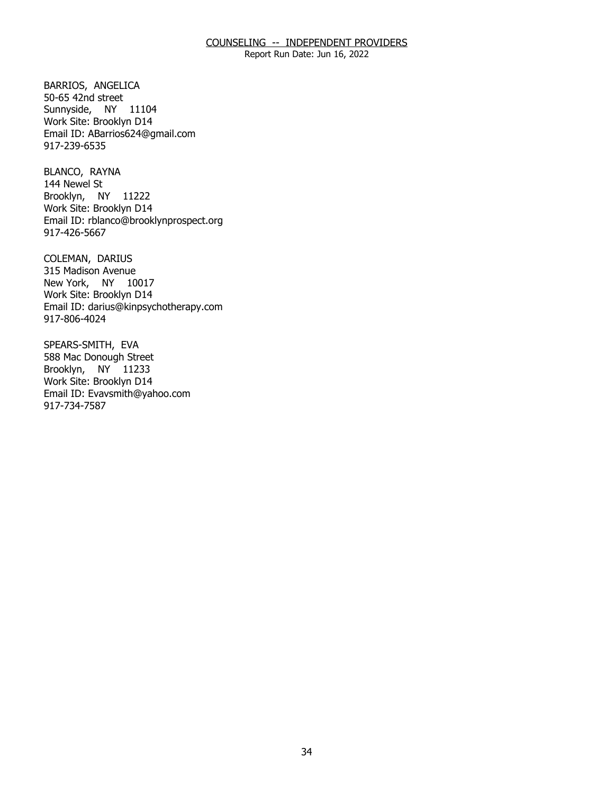Report Run Date: Jun 16, 2022

BARRIOS, ANGELICA<br>50-65 42nd street Sunnyside, NY 11104 Work Site: Brooklyn D14 Email ID: [ABarrios624@gmail.com](mailto:ABarrios624@gmail.com) 917-239-6535

BLANCO, RAYNA Brooklyn, NY 11222 144 Newel St Work Site: Brooklyn D14 Email ID: [rblanco@brooklynprospect.org](mailto:rblanco@brooklynprospect.org) 917-426-5667

COLEMAN, DARIUS New York, NY 10017 315 Madison Avenue Work Site: Brooklyn D14 Email ID: [darius@kinpsychotherapy.com](mailto:darius@kinpsychotherapy.com) 917-806-4024

SPEARS-SMITH, EVA Brooklyn, NY 11233 588 Mac Donough Street Work Site: Brooklyn D14 Email ID: [Evavsmith@yahoo.com](mailto:Evavsmith@yahoo.com) 917-734-7587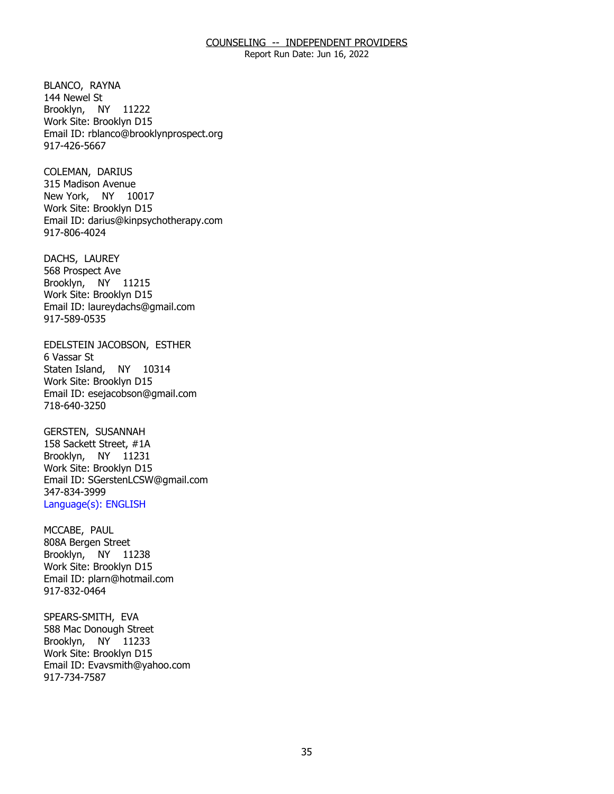Report Run Date: Jun 16, 2022

BLANCO, RAYNA<br>144 Newel St Brooklyn, NY 11222 Work Site: Brooklyn D15 Email ID: [rblanco@brooklynprospect.org](mailto:rblanco@brooklynprospect.org) 917-426-5667

COLEMAN, DARIUS New York, NY 10017 315 Madison Avenue Work Site: Brooklyn D15 Email ID: [darius@kinpsychotherapy.com](mailto:darius@kinpsychotherapy.com) 917-806-4024

DACHS, LAUREY Brooklyn, NY 11215 568 Prospect Ave Work Site: Brooklyn D15 Email ID: [laureydachs@gmail.com](mailto:laureydachs@gmail.com)  917-589-0535

EDELSTEIN JACOBSON, ESTHER<br>6 Vassar St Staten Island, NY 10314 Work Site: Brooklyn D15 Email ID: [esejacobson@gmail.com](mailto:esejacobson@gmail.com) 718-640-3250

**GERSTEN, SUSANNAH**  Brooklyn, NY 11231 158 Sackett Street, #1A Work Site: Brooklyn D15 Email ID: [SGerstenLCSW@gmail.com](mailto:SGerstenLCSW@gmail.com) 347-834-3999 Language(s): ENGLISH

MCCABE, PAUL Brooklyn, NY 11238 808A Bergen Street Work Site: Brooklyn D15 Email ID: [plarn@hotmail.com](mailto:plarn@hotmail.com) 917-832-0464

SPEARS-SMITH, EVA Brooklyn, NY 11233 588 Mac Donough Street Work Site: Brooklyn D15 Email ID: [Evavsmith@yahoo.com](mailto:Evavsmith@yahoo.com) 917-734-7587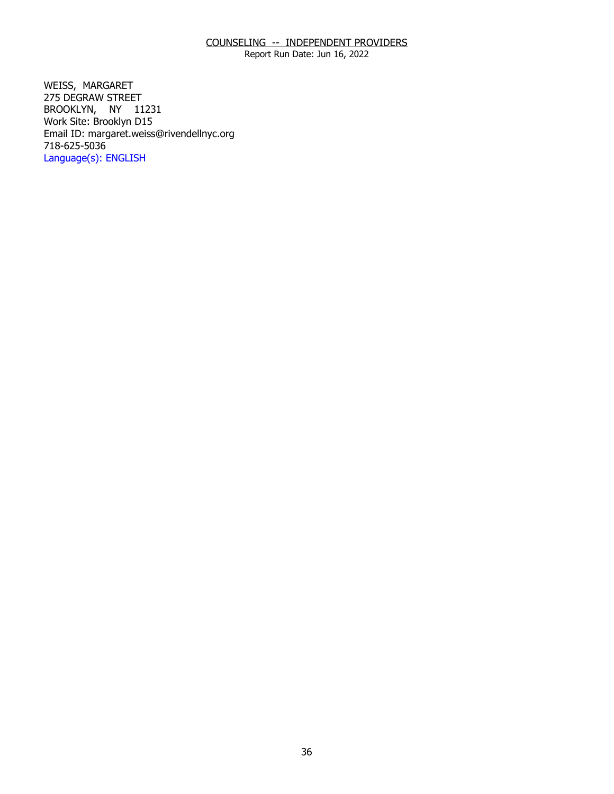Report Run Date: Jun 16, 2022

WEISS, MARGARET BROOKLYN, NY 11231 275 DEGRAW STREET Work Site: Brooklyn D15 Email ID: [margaret.weiss@rivendellnyc.org](mailto:margaret.weiss@rivendellnyc.org)  718-625-5036 Language(s): ENGLISH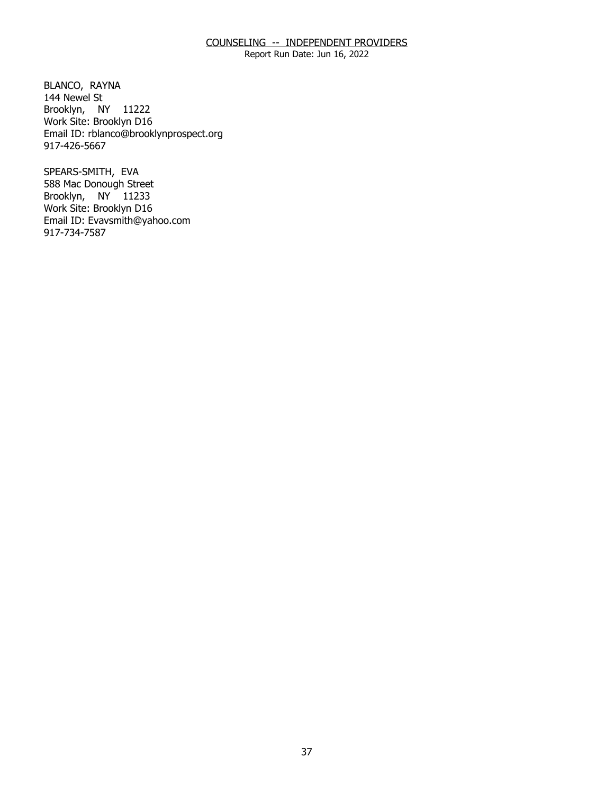Report Run Date: Jun 16, 2022

BLANCO, RAYNA<br>144 Newel St Brooklyn, NY 11222 Work Site: Brooklyn D16 Email ID: [rblanco@brooklynprospect.org](mailto:rblanco@brooklynprospect.org) 917-426-5667

SPEARS-SMITH, EVA Brooklyn, NY 11233 588 Mac Donough Street Work Site: Brooklyn D16 Email ID: [Evavsmith@yahoo.com](mailto:Evavsmith@yahoo.com) 917-734-7587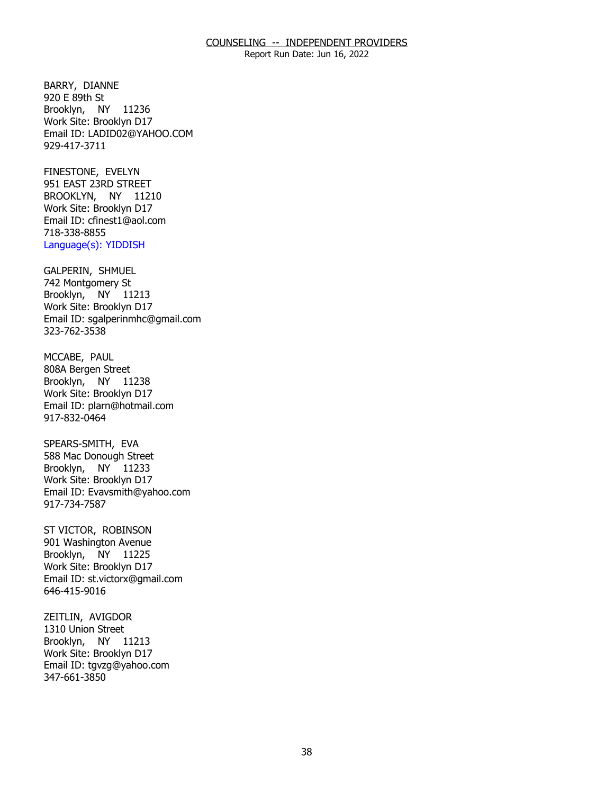Report Run Date: Jun 16, 2022

BARRY, DIANNE<br>920 E 89th St Brooklyn, NY 11236 Work Site: Brooklyn D17 Email ID: [LADID02@YAHOO.COM](mailto:LADID02@YAHOO.COM)  929-417-3711

FINESTONE, EVELYN BROOKLYN, NY 11210 951 EAST 23RD STREET Work Site: Brooklyn D17 Email ID: [cfinest1@aol.com](mailto:cfinest1@aol.com)  718-338-8855 Language(s): YIDDISH

GALPERIN, SHMUEL Brooklyn, NY 11213 742 Montgomery St Work Site: Brooklyn D17 Email ID: [sgalperinmhc@gmail.com](mailto:sgalperinmhc@gmail.com)  323-762-3538

MCCABE, PAUL Brooklyn, NY 11238 808A Bergen Street Work Site: Brooklyn D17 Email ID: [plarn@hotmail.com](mailto:plarn@hotmail.com) 917-832-0464

SPEARS-SMITH, EVA Brooklyn, NY 11233 588 Mac Donough Street Work Site: Brooklyn D17 Email ID: [Evavsmith@yahoo.com](mailto:Evavsmith@yahoo.com) 917-734-7587

ST VICTOR, ROBINSON Brooklyn, NY 11225 901 Washington Avenue Work Site: Brooklyn D17 Email ID: [st.victorx@gmail.com](mailto:st.victorx@gmail.com) 646-415-9016

ZEITLIN, AVIGDOR Brooklyn, NY 11213 1310 Union Street Work Site: Brooklyn D17 Email ID: [tgvzg@yahoo.com](mailto:tgvzg@yahoo.com)  347-661-3850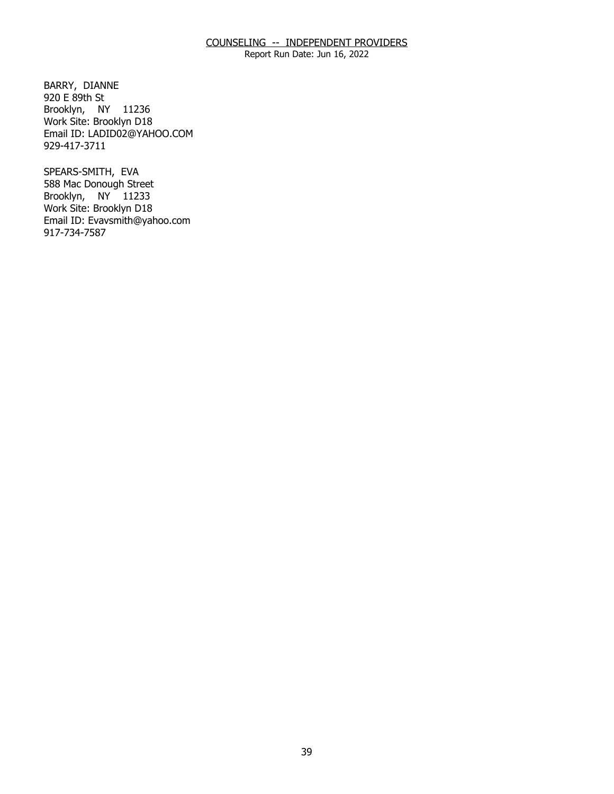Report Run Date: Jun 16, 2022

BARRY, DIANNE<br>920 E 89th St Brooklyn, NY 11236 Work Site: Brooklyn D18 Email ID: [LADID02@YAHOO.COM](mailto:LADID02@YAHOO.COM)  929-417-3711

SPEARS-SMITH, EVA Brooklyn, NY 11233 588 Mac Donough Street Work Site: Brooklyn D18 Email ID: [Evavsmith@yahoo.com](mailto:Evavsmith@yahoo.com) 917-734-7587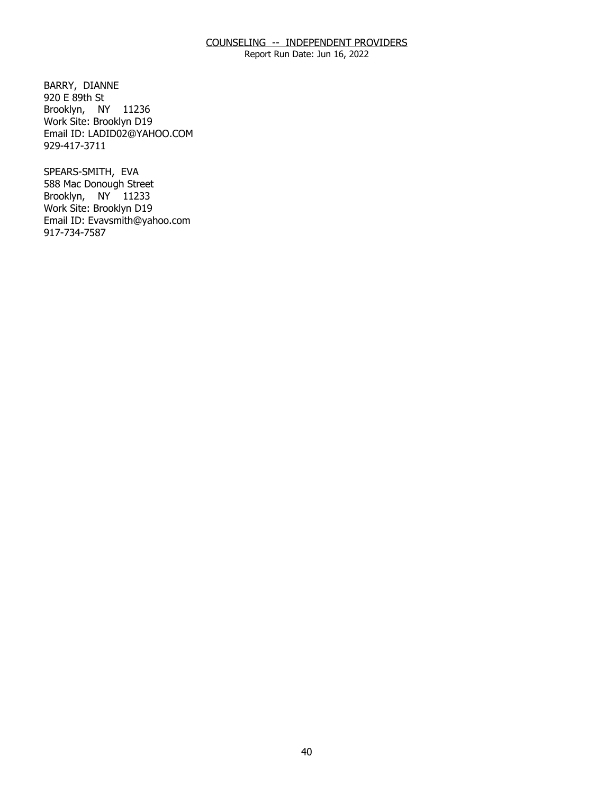Report Run Date: Jun 16, 2022

BARRY, DIANNE<br>920 E 89th St Brooklyn, NY 11236 Work Site: Brooklyn D19 Email ID: [LADID02@YAHOO.COM](mailto:LADID02@YAHOO.COM)  929-417-3711

SPEARS-SMITH, EVA Brooklyn, NY 11233 588 Mac Donough Street Work Site: Brooklyn D19 Email ID: [Evavsmith@yahoo.com](mailto:Evavsmith@yahoo.com) 917-734-7587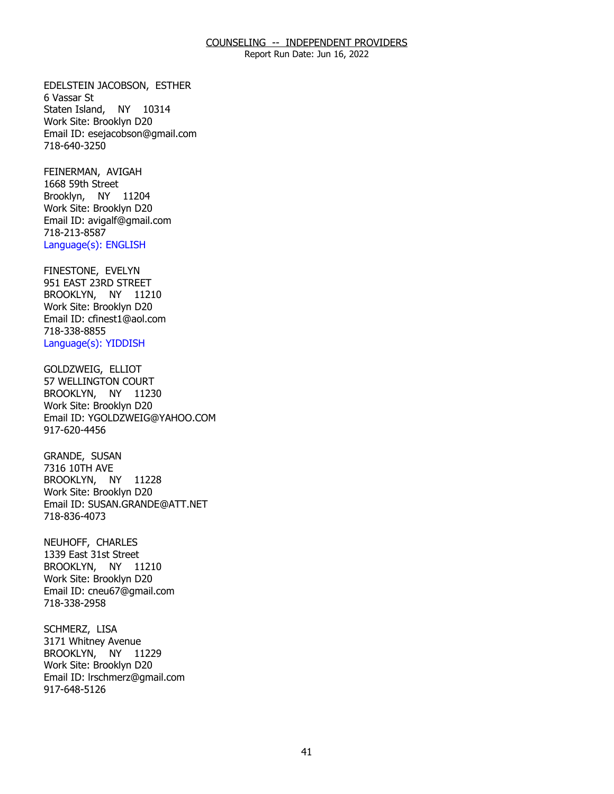Report Run Date: Jun 16, 2022

 EDELSTEIN JACOBSON, ESTHER 6 Vassar St Staten Island, NY 10314 Work Site: Brooklyn D20 Email ID: [esejacobson@gmail.com](mailto:esejacobson@gmail.com) 718-640-3250

FEINERMAN, AVIGAH<br>1668 59th Street Brooklyn, NY 11204 Work Site: Brooklyn D20 Email ID: [avigalf@gmail.com](mailto:avigalf@gmail.com)  718-213-8587 Language(s): ENGLISH

FINESTONE, EVELYN BROOKLYN, NY 11210 951 EAST 23RD STREET Work Site: Brooklyn D20 Email ID: [cfinest1@aol.com](mailto:cfinest1@aol.com)  718-338-8855 Language(s): YIDDISH

GOLDZWEIG, ELLIOT BROOKLYN, NY 11230 57 WELLINGTON COURT Work Site: Brooklyn D20 Email ID: [YGOLDZWEIG@YAHOO.COM](mailto:YGOLDZWEIG@YAHOO.COM) 917-620-4456

GRANDE, SUSAN<br>7316 10TH AVE BROOKLYN, NY 11228 Work Site: Brooklyn D20 Email ID: [SUSAN.GRANDE@ATT.NET](mailto:SUSAN.GRANDE@ATT.NET) 718-836-4073

NEUHOFF, CHARLES BROOKLYN, NY 11210 1339 East 31st Street Work Site: Brooklyn D20 Email ID: [cneu67@gmail.com](mailto:cneu67@gmail.com) 718-338-2958

SCHMERZ, LISA BROOKLYN, NY 11229 3171 Whitney Avenue Work Site: Brooklyn D20 Email ID: [lrschmerz@gmail.com](mailto:lrschmerz@gmail.com) 917-648-5126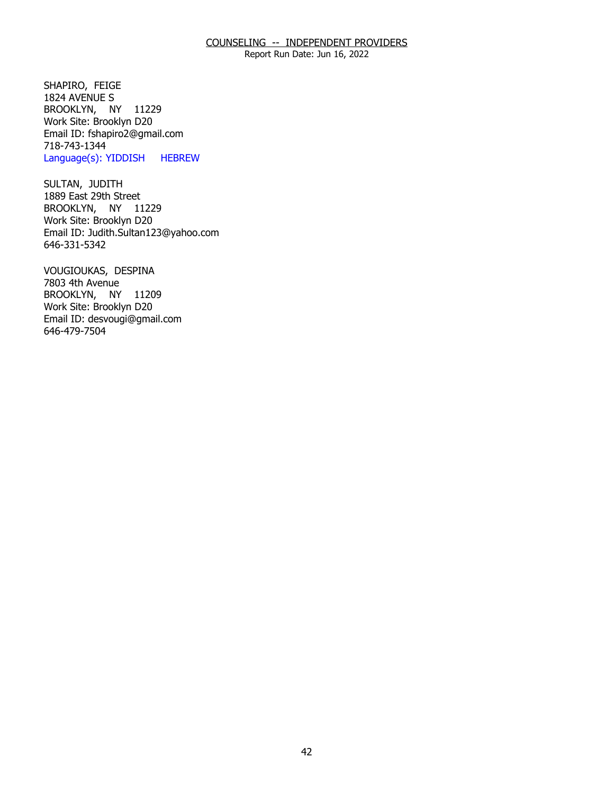Report Run Date: Jun 16, 2022

SHAPIRO, FEIGE BROOKLYN, NY 11229 1824 AVENUE S Work Site: Brooklyn D20 Email ID: [fshapiro2@gmail.com](mailto:fshapiro2@gmail.com) 718-743-1344 Language(s): YIDDISH HEBREW

SULTAN, JUDITH BROOKLYN, NY 11229 1889 East 29th Street Work Site: Brooklyn D20 Email ID: [Judith.Sultan123@yahoo.com](mailto:Judith.Sultan123@yahoo.com)  646-331-5342

 VOUGIOUKAS, DESPINA 7803 4th Avenue BROOKLYN, NY 11209 Work Site: Brooklyn D20 Email ID: [desvougi@gmail.com](mailto:desvougi@gmail.com) 646-479-7504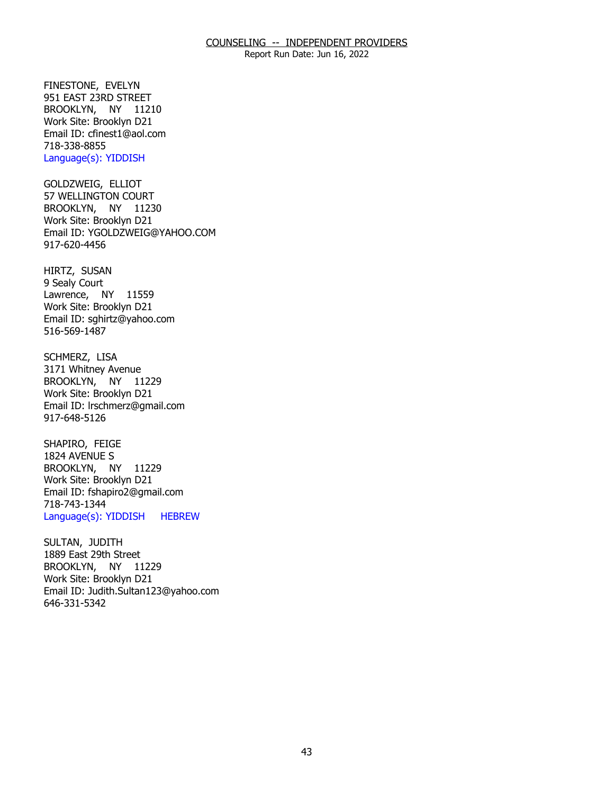Report Run Date: Jun 16, 2022

FINESTONE, EVELYN BROOKLYN, NY 11210 951 EAST 23RD STREET Work Site: Brooklyn D21 Email ID: [cfinest1@aol.com](mailto:cfinest1@aol.com)  718-338-8855 Language(s): YIDDISH

GOLDZWEIG, ELLIOT BROOKLYN, NY 11230 57 WELLINGTON COURT Work Site: Brooklyn D21 Email ID: [YGOLDZWEIG@YAHOO.COM](mailto:YGOLDZWEIG@YAHOO.COM) 917-620-4456

HIRTZ, SUSAN<br>9 Sealy Court Lawrence, NY 11559 Work Site: Brooklyn D21 Email ID: [sghirtz@yahoo.com](mailto:sghirtz@yahoo.com) 516-569-1487

SCHMERZ, LISA BROOKLYN, NY 11229 3171 Whitney Avenue Work Site: Brooklyn D21 Email ID: [lrschmerz@gmail.com](mailto:lrschmerz@gmail.com) 917-648-5126

SHAPIRO, FEIGE<br>1824 AVENUE S BROOKLYN, NY 11229 Work Site: Brooklyn D21 Email ID: [fshapiro2@gmail.com](mailto:fshapiro2@gmail.com) 718-743-1344 Language(s): YIDDISH HEBREW

SULTAN, JUDITH BROOKLYN, NY 11229 1889 East 29th Street Work Site: Brooklyn D21 Email ID: [Judith.Sultan123@yahoo.com](mailto:Judith.Sultan123@yahoo.com)  646-331-5342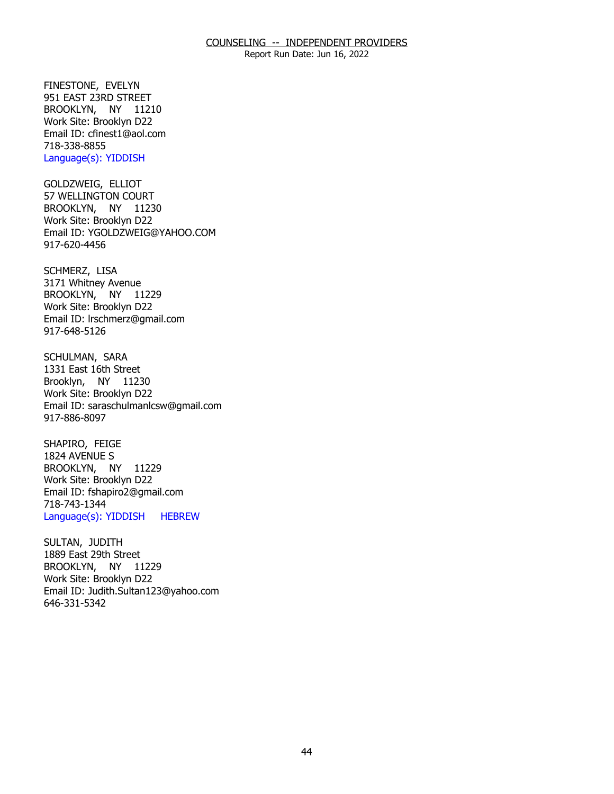Report Run Date: Jun 16, 2022

FINESTONE, EVELYN BROOKLYN, NY 11210 951 EAST 23RD STREET Work Site: Brooklyn D22 Email ID: [cfinest1@aol.com](mailto:cfinest1@aol.com)  718-338-8855 Language(s): YIDDISH

GOLDZWEIG, ELLIOT BROOKLYN, NY 11230 57 WELLINGTON COURT Work Site: Brooklyn D22 Email ID: [YGOLDZWEIG@YAHOO.COM](mailto:YGOLDZWEIG@YAHOO.COM) 917-620-4456

SCHMERZ, LISA BROOKLYN, NY 11229 3171 Whitney Avenue Work Site: Brooklyn D22 Email ID: [lrschmerz@gmail.com](mailto:lrschmerz@gmail.com) 917-648-5126

SCHULMAN, SARA Brooklyn, NY 11230 1331 East 16th Street Work Site: Brooklyn D22 Email ID: [saraschulmanlcsw@gmail.com](mailto:saraschulmanlcsw@gmail.com) 917-886-8097

SHAPIRO, FEIGE<br>1824 AVENUE S BROOKLYN, NY 11229 Work Site: Brooklyn D22 Email ID: [fshapiro2@gmail.com](mailto:fshapiro2@gmail.com) 718-743-1344 Language(s): YIDDISH HEBREW

SULTAN, JUDITH BROOKLYN, NY 11229 1889 East 29th Street Work Site: Brooklyn D22 Email ID: [Judith.Sultan123@yahoo.com](mailto:Judith.Sultan123@yahoo.com)  646-331-5342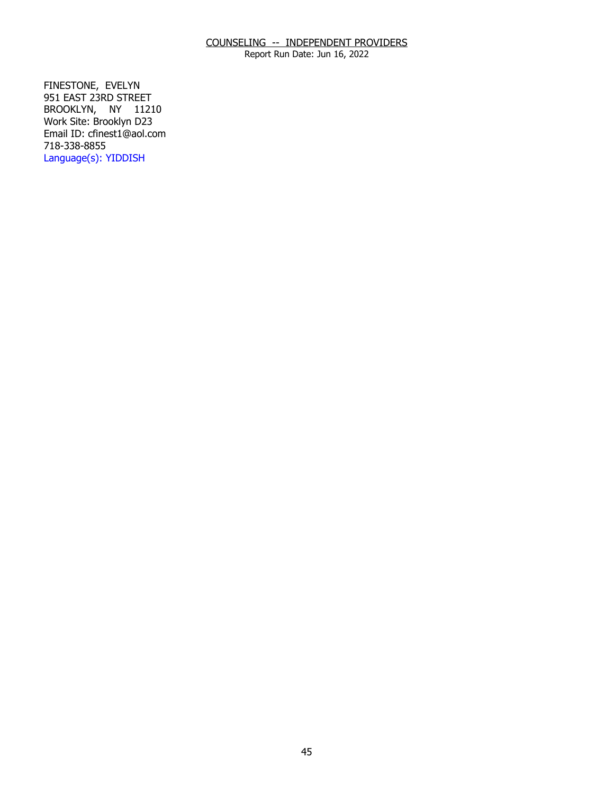Report Run Date: Jun 16, 2022

FINESTONE, EVELYN BROOKLYN, NY 11210 951 EAST 23RD STREET Work Site: Brooklyn D23 Email ID: [cfinest1@aol.com](mailto:cfinest1@aol.com)  718-338-8855 Language(s): YIDDISH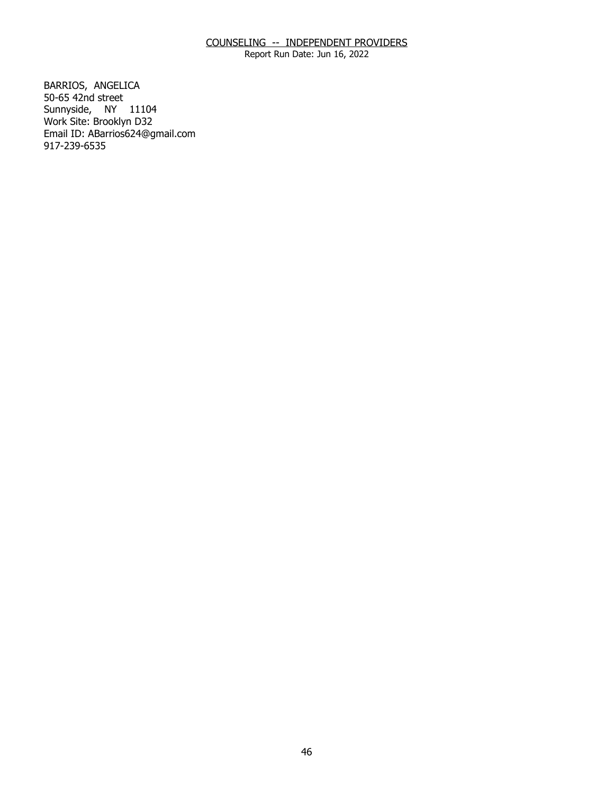Report Run Date: Jun 16, 2022

BARRIOS, ANGELICA<br>50-65 42nd street Sunnyside, NY 11104 Work Site: Brooklyn D32 Email ID: [ABarrios624@gmail.com](mailto:ABarrios624@gmail.com) 917-239-6535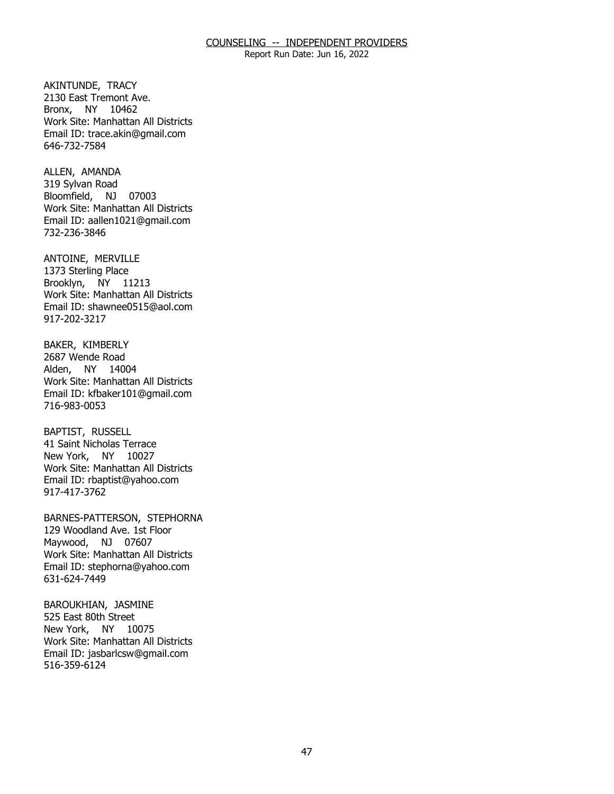Report Run Date: Jun 16, 2022

AKINTUNDE, TRACY Bronx, NY 10462 2130 East Tremont Ave. Work Site: Manhattan All Districts Email ID: [trace.akin@gmail.com](mailto:trace.akin@gmail.com) 646-732-7584

ALLEN, AMANDA Bloomfield, NJ 07003 319 Sylvan Road Work Site: Manhattan All Districts Email ID: [aallen1021@gmail.com](mailto:aallen1021@gmail.com)  732-236-3846

ANTOINE, MERVILLE<br>1373 Sterling Place Brooklyn, NY 11213 Work Site: Manhattan All Districts Email ID: [shawnee0515@aol.com](mailto:shawnee0515@aol.com) 917-202-3217

BAKER, KIMBERLY<br>2687 Wende Road Alden, NY 14004 Work Site: Manhattan All Districts Email ID: [kfbaker101@gmail.com](mailto:kfbaker101@gmail.com) 716-983-0053

**BAPTIST, RUSSELL**  New York, NY 10027 41 Saint Nicholas Terrace Work Site: Manhattan All Districts Email ID: [rbaptist@yahoo.com](mailto:rbaptist@yahoo.com) 917-417-3762

 BARNES-PATTERSON, STEPHORNA 129 Woodland Ave. 1st Floor Maywood, NJ 07607 Work Site: Manhattan All Districts Email ID: [stephorna@yahoo.com](mailto:stephorna@yahoo.com) 631-624-7449

BAROUKHIAN, JASMINE<br>525 East 80th Street New York, NY 10075 Work Site: Manhattan All Districts Email ID: [jasbarlcsw@gmail.com](mailto:jasbarlcsw@gmail.com)  516-359-6124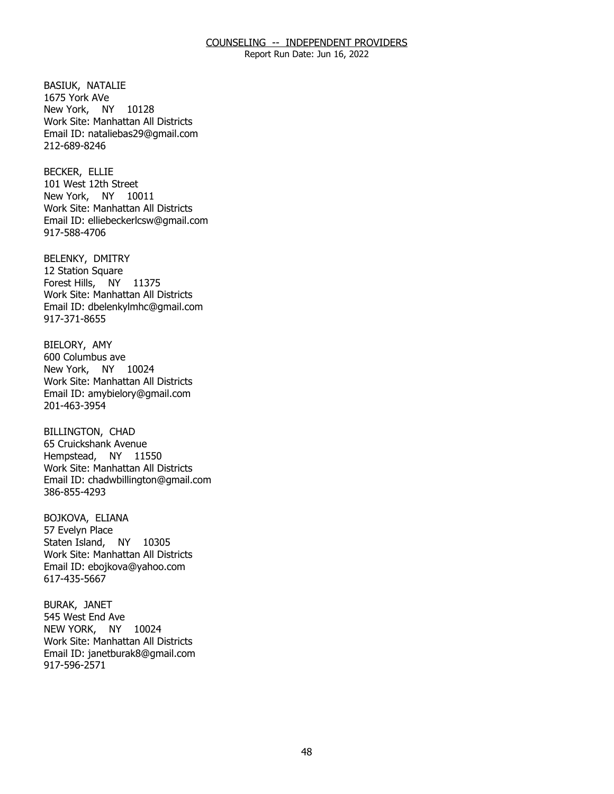Report Run Date: Jun 16, 2022

BASIUK, NATALIE<br>1675 York AVe New York, NY 10128 Work Site: Manhattan All Districts Email ID: [nataliebas29@gmail.com](mailto:nataliebas29@gmail.com)  212-689-8246

**BECKER, ELLIE**  New York, NY 10011 101 West 12th Street Work Site: Manhattan All Districts Email ID: [elliebeckerlcsw@gmail.com](mailto:elliebeckerlcsw@gmail.com)  917-588-4706

BELENKY, DMITRY<br>12 Station Square Forest Hills, NY 11375 Work Site: Manhattan All Districts Email ID: [dbelenkylmhc@gmail.com](mailto:dbelenkylmhc@gmail.com)  917-371-8655

BIELORY, AMY New York, NY 10024 600 Columbus ave Work Site: Manhattan All Districts Email ID: [amybielory@gmail.com](mailto:amybielory@gmail.com) 201-463-3954

**BILLINGTON, CHAD**  Hempstead, NY 11550 65 Cruickshank Avenue Work Site: Manhattan All Districts Email ID: [chadwbillington@gmail.com](mailto:chadwbillington@gmail.com)  386-855-4293

BOJKOVA, ELIANA<br>57 Evelyn Place Staten Island, NY 10305 Work Site: Manhattan All Districts Email ID: [ebojkova@yahoo.com](mailto:ebojkova@yahoo.com)  617-435-5667

BURAK, JANET NEW YORK, NY 10024 545 West End Ave Work Site: Manhattan All Districts Email ID: [janetburak8@gmail.com](mailto:janetburak8@gmail.com)  917-596-2571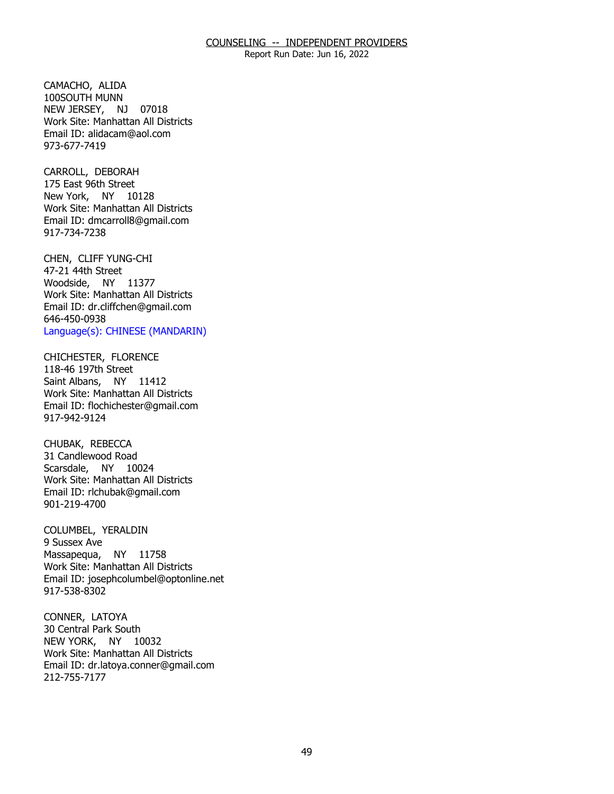Report Run Date: Jun 16, 2022

CAMACHO, ALIDA NEW JERSEY, NJ 07018 100SOUTH MUNN Work Site: Manhattan All Districts Email ID: [alidacam@aol.com](mailto:alidacam@aol.com) 973-677-7419

CARROLL, DEBORAH New York, NY 10128 175 East 96th Street Work Site: Manhattan All Districts Email ID: [dmcarroll8@gmail.com](mailto:dmcarroll8@gmail.com)  917-734-7238

CHEN, CLIFF YUNG-CHI<br>47-21 44th Street Woodside, NY 11377 Work Site: Manhattan All Districts Email ID: [dr.cliffchen@gmail.com](mailto:dr.cliffchen@gmail.com)  646-450-0938 Language(s): CHINESE (MANDARIN)

CHICHESTER, FLORENCE<br>118-46 197th Street Saint Albans, NY 11412 Work Site: Manhattan All Districts Email ID: [flochichester@gmail.com](mailto:flochichester@gmail.com)  917-942-9124

CHUBAK, REBECCA Scarsdale, NY 10024 31 Candlewood Road Work Site: Manhattan All Districts Email ID: [rlchubak@gmail.com](mailto:rlchubak@gmail.com)  901-219-4700

COLUMBEL, YERALDIN<br>9 Sussex Ave Massapequa, NY 11758 Work Site: Manhattan All Districts Email ID: [josephcolumbel@optonline.net](mailto:josephcolumbel@optonline.net) 917-538-8302

CONNER, LATOYA NEW YORK, NY 10032 30 Central Park South Work Site: Manhattan All Districts Email ID: [dr.latoya.conner@gmail.com](mailto:dr.latoya.conner@gmail.com) 212-755-7177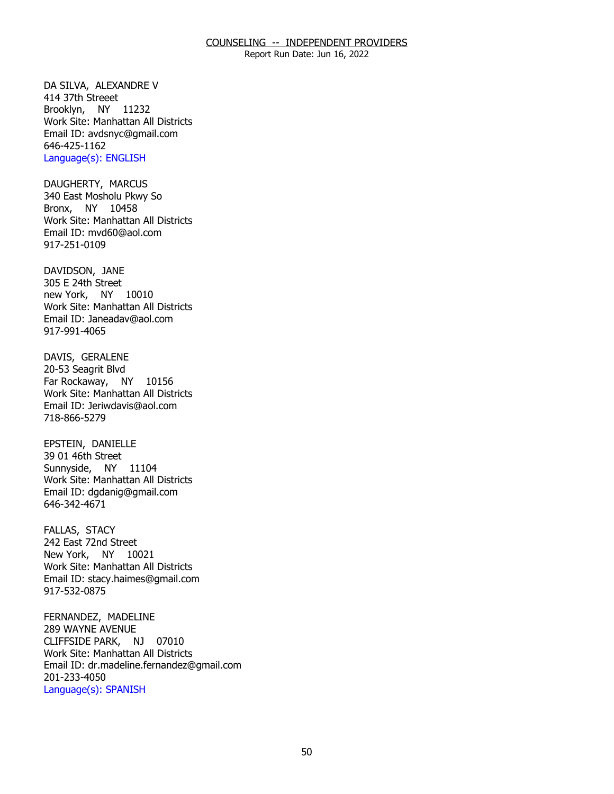Report Run Date: Jun 16, 2022

DA SILVA, ALEXANDRE V<br>414 37th Streeet Brooklyn, NY 11232 Work Site: Manhattan All Districts Email ID: [avdsnyc@gmail.com](mailto:avdsnyc@gmail.com)  646-425-1162 Language(s): ENGLISH

DAUGHERTY, MARCUS Bronx, NY 10458 340 East Mosholu Pkwy So Work Site: Manhattan All Districts Email ID: [mvd60@aol.com](mailto:mvd60@aol.com) 917-251-0109

DAVIDSON, JANE new York, NY 10010 305 E 24th Street Work Site: Manhattan All Districts Email ID: [Janeadav@aol.com](mailto:Janeadav@aol.com)  917-991-4065

DAVIS, GERALENE Far Rockaway, NY 10156 20-53 Seagrit Blvd Work Site: Manhattan All Districts Email ID: [Jeriwdavis@aol.com](mailto:Jeriwdavis@aol.com)  718-866-5279

EPSTEIN, DANIELLE<br>39 01 46th Street Sunnyside, NY 11104 Work Site: Manhattan All Districts Email ID: [dgdanig@gmail.com](mailto:dgdanig@gmail.com) 646-342-4671

FALLAS, STACY New York, NY 10021 242 East 72nd Street Work Site: Manhattan All Districts Email ID: [stacy.haimes@gmail.com](mailto:stacy.haimes@gmail.com) 917-532-0875

FERNANDEZ, MADELINE CLIFFSIDE PARK, NJ 07010 289 WAYNE AVENUE Work Site: Manhattan All Districts Email ID: [dr.madeline.fernandez@gmail.com](mailto:dr.madeline.fernandez@gmail.com)  201-233-4050 Language(s): SPANISH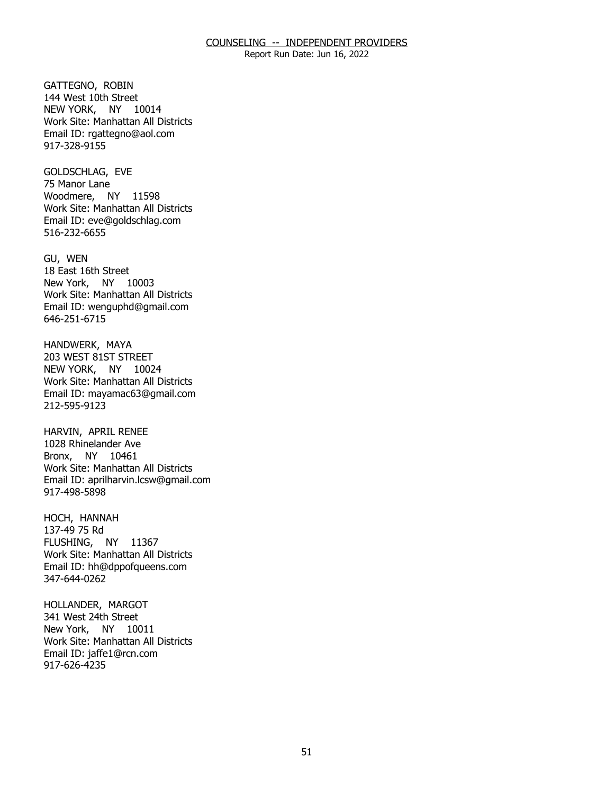Report Run Date: Jun 16, 2022

GATTEGNO, ROBIN NEW YORK, NY 10014 144 West 10th Street Work Site: Manhattan All Districts Email ID: [rgattegno@aol.com](mailto:rgattegno@aol.com) 917-328-9155

GOLDSCHLAG, EVE<br>75 Manor Lane Woodmere, NY 11598 Work Site: Manhattan All Districts Email ID: [eve@goldschlag.com](mailto:eve@goldschlag.com) 516-232-6655

GU, WEN New York, NY 10003 18 East 16th Street Work Site: Manhattan All Districts Email ID: [wenguphd@gmail.com](mailto:wenguphd@gmail.com) 646-251-6715

HANDWERK, MAYA NEW YORK, NY 10024 203 WEST 81ST STREET Work Site: Manhattan All Districts Email ID: [mayamac63@gmail.com](mailto:mayamac63@gmail.com) 212-595-9123

HARVIN, APRIL RENEE Bronx, NY 10461 1028 Rhinelander Ave Work Site: Manhattan All Districts Email ID: [aprilharvin.lcsw@gmail.com](mailto:aprilharvin.lcsw@gmail.com) 917-498-5898

HOCH, HANNAH<br>137-49 75 Rd FLUSHING, NY 11367 Work Site: Manhattan All Districts Email ID: [hh@dppofqueens.com](mailto:hh@dppofqueens.com) 347-644-0262

HOLLANDER, MARGOT<br>341 West 24th Street New York, NY 10011 Work Site: Manhattan All Districts Email ID: [jaffe1@rcn.com](mailto:jaffe1@rcn.com) 917-626-4235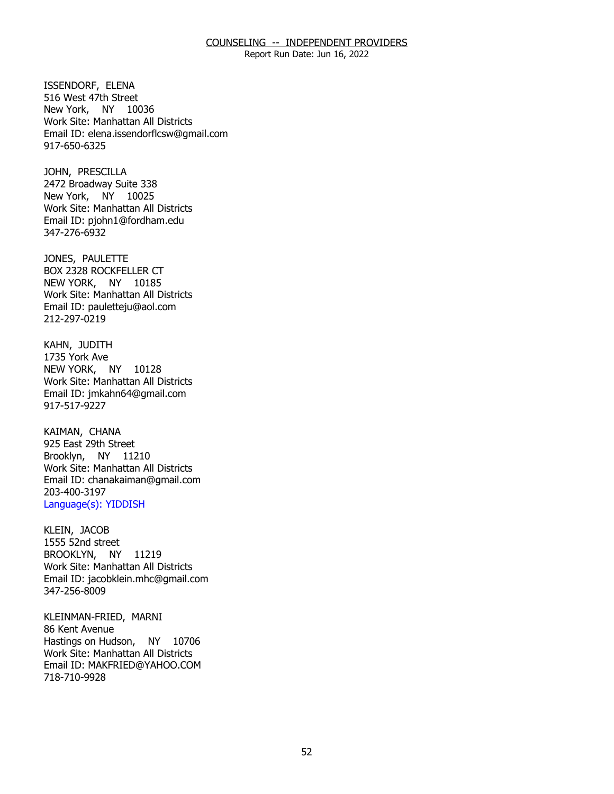Report Run Date: Jun 16, 2022

ISSENDORF, ELENA New York, NY 10036 516 West 47th Street Work Site: Manhattan All Districts Email ID: [elena.issendorflcsw@gmail.com](mailto:elena.issendorflcsw@gmail.com) 917-650-6325

JOHN, PRESCILLA New York, NY 10025 2472 Broadway Suite 338 Work Site: Manhattan All Districts Email ID: [pjohn1@fordham.edu](mailto:pjohn1@fordham.edu)  347-276-6932

JONES, PAULETTE NEW YORK, NY 10185 BOX 2328 ROCKFELLER CT Work Site: Manhattan All Districts Email ID: [pauletteju@aol.com](mailto:pauletteju@aol.com)  212-297-0219

 KAHN, JUDITH NEW YORK, NY 10128 1735 York Ave Work Site: Manhattan All Districts Email ID: [jmkahn64@gmail.com](mailto:jmkahn64@gmail.com)  917-517-9227

KAIMAN, CHANA Brooklyn, NY 11210 925 East 29th Street Work Site: Manhattan All Districts Email ID: [chanakaiman@gmail.com](mailto:chanakaiman@gmail.com) 203-400-3197 Language(s): YIDDISH

KLEIN, JACOB BROOKLYN, NY 11219  $1555$  52nd street Work Site: Manhattan All Districts Email ID: [jacobklein.mhc@gmail.com](mailto:jacobklein.mhc@gmail.com)  347-256-8009

KLEINMAN-FRIED, MARNI<br>86 Kent Avenue Hastings on Hudson, NY 10706 Work Site: Manhattan All Districts Email ID: [MAKFRIED@YAHOO.COM](mailto:MAKFRIED@YAHOO.COM)  718-710-9928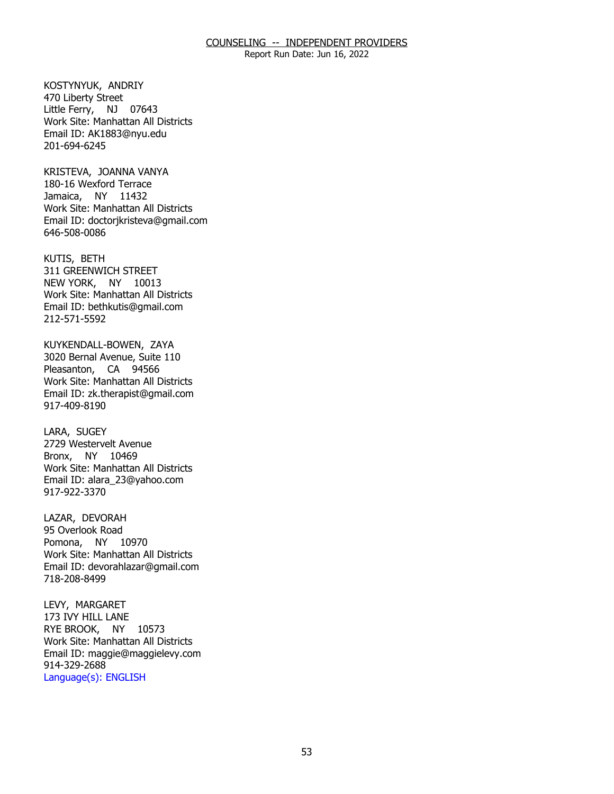Report Run Date: Jun 16, 2022

KOSTYNYUK, ANDRIY<br>470 Liberty Street Little Ferry, NJ 07643 Work Site: Manhattan All Districts Email ID: [AK1883@nyu.edu](mailto:AK1883@nyu.edu) 201-694-6245

 KRISTEVA, JOANNA VANYA 180-16 Wexford Terrace Jamaica, NY 11432 Work Site: Manhattan All Districts Email ID: [doctorjkristeva@gmail.com](mailto:doctorjkristeva@gmail.com) 646-508-0086

KUTIS, BETH NEW YORK, NY 10013 311 GREENWICH STREET Work Site: Manhattan All Districts Email ID: [bethkutis@gmail.com](mailto:bethkutis@gmail.com)  212-571-5592

KUYKENDALL-BOWEN, ZAYA Pleasanton, CA 94566 3020 Bernal Avenue, Suite 110 Work Site: Manhattan All Districts Email ID: [zk.therapist@gmail.com](mailto:zk.therapist@gmail.com) 917-409-8190

LARA, SUGEY Bronx, NY 10469 2729 Westervelt Avenue Work Site: Manhattan All Districts Email ID: [alara\\_23@yahoo.com](mailto:alara_23@yahoo.com) 917-922-3370

LAZAR, DEVORAH Pomona, NY 10970 95 Overlook Road Work Site: Manhattan All Districts Email ID: [devorahlazar@gmail.com](mailto:devorahlazar@gmail.com)  718-208-8499

LEVY, MARGARET<br>173 IVY HILL LANE RYE BROOK, NY 10573 Work Site: Manhattan All Districts Email ID: [maggie@maggielevy.com](mailto:maggie@maggielevy.com)  914-329-2688 Language(s): ENGLISH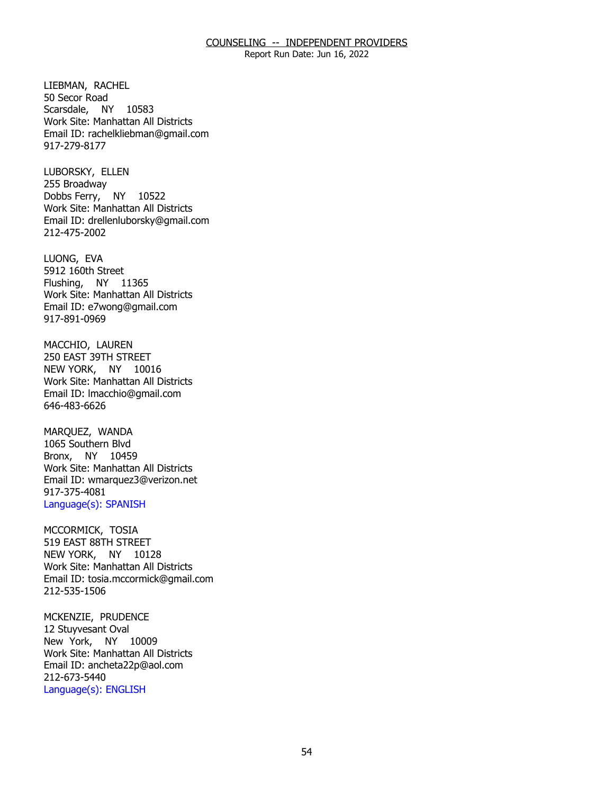Report Run Date: Jun 16, 2022

LIEBMAN, RACHEL<br>50 Secor Road Scarsdale, NY 10583 Work Site: Manhattan All Districts Email ID: [rachelkliebman@gmail.com](mailto:rachelkliebman@gmail.com) 917-279-8177

LUBORSKY, ELLEN<br>255 Broadway Dobbs Ferry, NY 10522 Work Site: Manhattan All Districts Email ID: [drellenluborsky@gmail.com](mailto:drellenluborsky@gmail.com)  212-475-2002

LUONG, EVA Flushing, NY 11365 5912 160th Street Work Site: Manhattan All Districts Email ID: [e7wong@gmail.com](mailto:e7wong@gmail.com)  917-891-0969

MACCHIO, LAUREN NEW YORK, NY 10016 250 EAST 39TH STREET Work Site: Manhattan All Districts Email ID: [lmacchio@gmail.com](mailto:lmacchio@gmail.com)  646-483-6626

MAROUEZ, WANDA Bronx, NY 10459 1065 Southern Blvd Work Site: Manhattan All Districts Email ID: [wmarquez3@verizon.net](mailto:wmarquez3@verizon.net)  917-375-4081 Language(s): SPANISH

MCCORMICK, TOSIA NEW YORK, NY 10128 519 EAST 88TH STREET Work Site: Manhattan All Districts Email ID: [tosia.mccormick@gmail.com](mailto:tosia.mccormick@gmail.com)  212-535-1506

MCKENZIE, PRUDENCE New York, NY 10009 12 Stuyvesant Oval Work Site: Manhattan All Districts Email ID: [ancheta22p@aol.com](mailto:ancheta22p@aol.com)  212-673-5440 Language(s): ENGLISH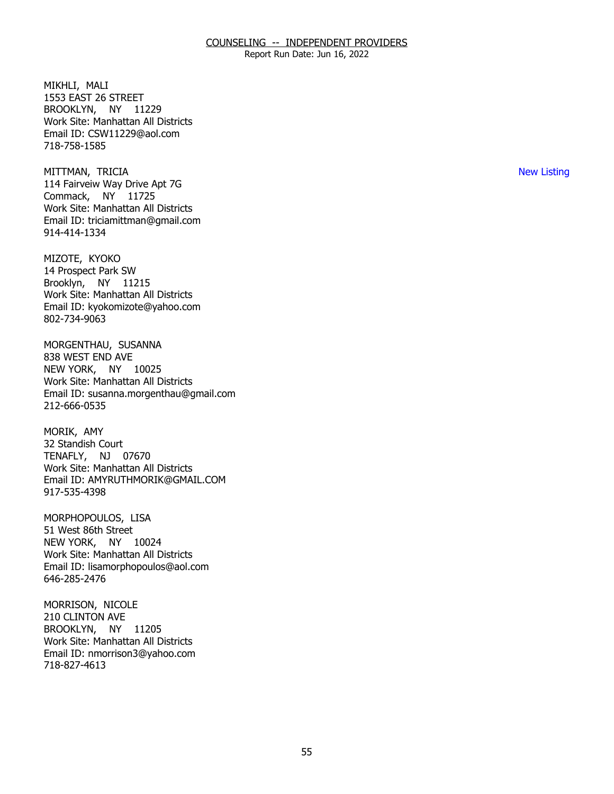Report Run Date: Jun 16, 2022

MIKHLI, MALI BROOKLYN, NY 11229 1553 EAST 26 STREET Work Site: Manhattan All Districts Email ID: [CSW11229@aol.com](mailto:CSW11229@aol.com) 718-758-1585

 MITTMAN, TRICIA New Listing Commack, NY 11725 114 Fairveiw Way Drive Apt 7G Work Site: Manhattan All Districts Email ID: [triciamittman@gmail.com](mailto:triciamittman@gmail.com) 914-414-1334

MIZOTE, KYOKO Brooklyn, NY 11215 14 Prospect Park SW Work Site: Manhattan All Districts Email ID: [kyokomizote@yahoo.com](mailto:kyokomizote@yahoo.com) 802-734-9063

 MORGENTHAU, SUSANNA NEW YORK, NY 10025 838 WEST END AVE Work Site: Manhattan All Districts Email ID: [susanna.morgenthau@gmail.com](mailto:susanna.morgenthau@gmail.com)  212-666-0535

MORIK, AMY TENAFLY, NJ 07670 32 Standish Court Work Site: Manhattan All Districts Email ID: [AMYRUTHMORIK@GMAIL.COM](mailto:AMYRUTHMORIK@GMAIL.COM) 917-535-4398

MORPHOPOULOS, LISA NEW YORK, NY 10024 51 West 86th Street Work Site: Manhattan All Districts Email ID: [lisamorphopoulos@aol.com](mailto:lisamorphopoulos@aol.com) 646-285-2476

MORRISON, NICOLE<br>210 CLINTON AVE BROOKLYN, NY 11205 Work Site: Manhattan All Districts Email ID: [nmorrison3@yahoo.com](mailto:nmorrison3@yahoo.com)  718-827-4613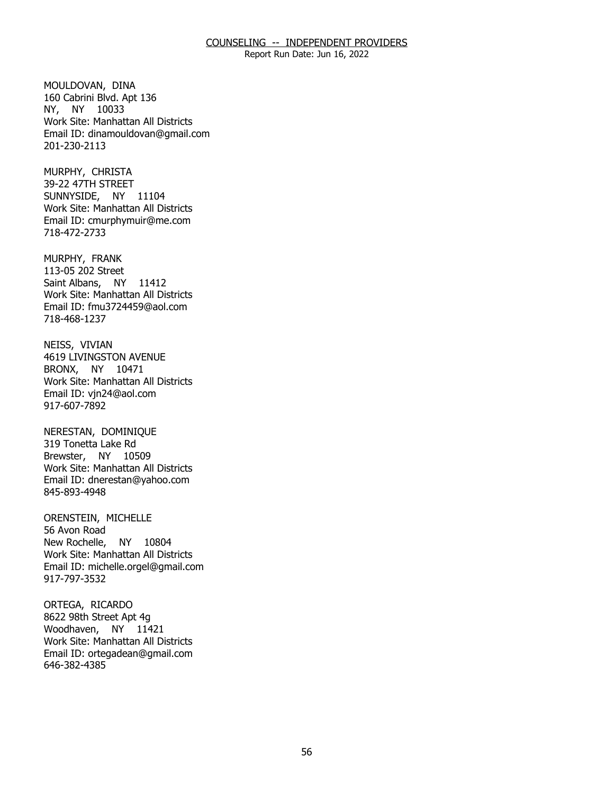Report Run Date: Jun 16, 2022

MOULDOVAN, DINA NY, NY 10033 160 Cabrini Blvd. Apt 136 Work Site: Manhattan All Districts Email ID: [dinamouldovan@gmail.com](mailto:dinamouldovan@gmail.com) 201-230-2113

MURPHY, CHRISTA SUNNYSIDE, NY 11104 39-22 47TH STREET Work Site: Manhattan All Districts Email ID: [cmurphymuir@me.com](mailto:cmurphymuir@me.com) 718-472-2733

MURPHY, FRANK Saint Albans, NY 11412 113-05 202 Street Work Site: Manhattan All Districts Email ID: [fmu3724459@aol.com](mailto:fmu3724459@aol.com)  718-468-1237

NEISS, VIVIAN BRONX, NY 10471 **4619 LIVINGSTON AVENUE** Work Site: Manhattan All Districts Email ID: [vjn24@aol.com](mailto:vjn24@aol.com)  917-607-7892

 NERESTAN, DOMINIQUE Brewster, NY 10509 319 Tonetta Lake Rd Work Site: Manhattan All Districts Email ID: [dnerestan@yahoo.com](mailto:dnerestan@yahoo.com)  845-893-4948

ORENSTEIN, MICHELLE<br>56 Avon Road New Rochelle, NY 10804 Work Site: Manhattan All Districts Email ID: [michelle.orgel@gmail.com](mailto:michelle.orgel@gmail.com) 917-797-3532

ORTEGA, RICARDO Woodhaven, NY 11421 8622 98th Street Apt 4g Work Site: Manhattan All Districts Email ID: [ortegadean@gmail.com](mailto:ortegadean@gmail.com) 646-382-4385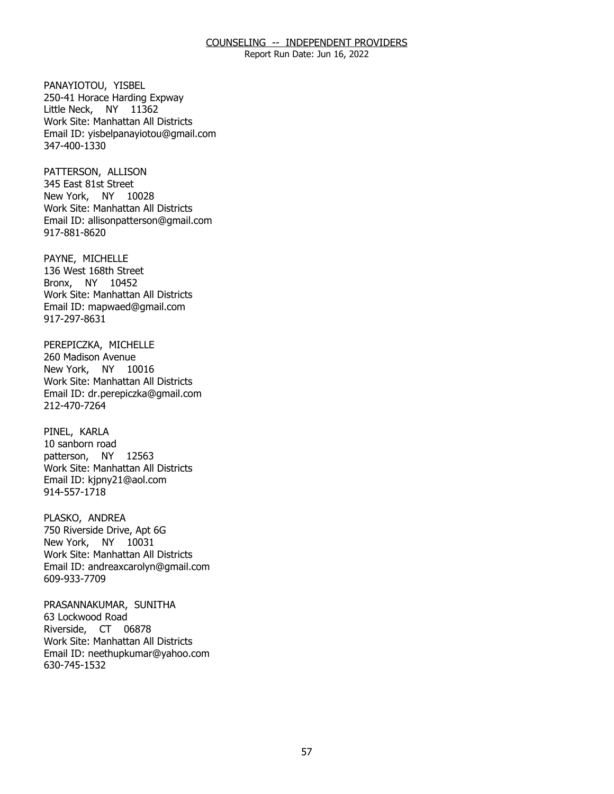Report Run Date: Jun 16, 2022

PANAYIOTOU, YISBEL Little Neck, NY 11362 250-41 Horace Harding Expway Work Site: Manhattan All Districts Email ID: [yisbelpanayiotou@gmail.com](mailto:yisbelpanayiotou@gmail.com)  347-400-1330

PATTERSON, ALLISON<br>345 East 81st Street New York, NY 10028 Work Site: Manhattan All Districts Email ID: [allisonpatterson@gmail.com](mailto:allisonpatterson@gmail.com)  917-881-8620

PAYNE, MICHELLE Bronx, NY 10452 136 West 168th Street Work Site: Manhattan All Districts Email ID: [mapwaed@gmail.com](mailto:mapwaed@gmail.com)  917-297-8631

PEREPICZKA, MICHELLE<br>260 Madison Avenue New York, NY 10016 Work Site: Manhattan All Districts Email ID: [dr.perepiczka@gmail.com](mailto:dr.perepiczka@gmail.com) 212-470-7264

PINEL, KARLA patterson, NY 12563 10 sanborn road Work Site: Manhattan All Districts Email ID: [kjpny21@aol.com](mailto:kjpny21@aol.com) 914-557-1718

PLASKO, ANDREA New York, NY 10031 750 Riverside Drive, Apt 6G Work Site: Manhattan All Districts Email ID: [andreaxcarolyn@gmail.com](mailto:andreaxcarolyn@gmail.com) 609-933-7709

PRASANNAKUMAR, SUNITHA<br>63 Lockwood Road Riverside, CT 06878 Work Site: Manhattan All Districts Email ID: [neethupkumar@yahoo.com](mailto:neethupkumar@yahoo.com) 630-745-1532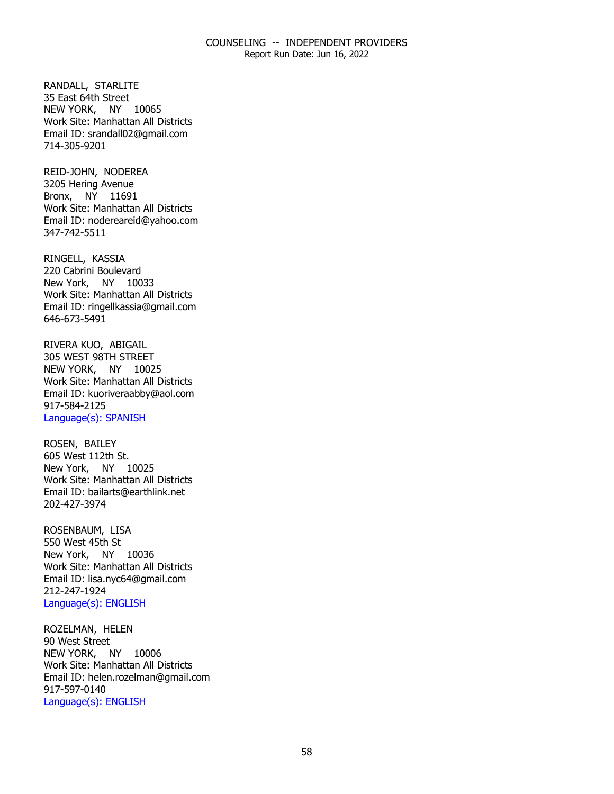Report Run Date: Jun 16, 2022

RANDALL, STARLITE<br>35 East 64th Street NEW YORK, NY 10065 Work Site: Manhattan All Districts Email ID: [srandall02@gmail.com](mailto:srandall02@gmail.com) 714-305-9201

REID-JOHN, NODEREA Bronx, NY 11691 3205 Hering Avenue Work Site: Manhattan All Districts Email ID: [nodereareid@yahoo.com](mailto:nodereareid@yahoo.com)  347-742-5511

RINGELL, KASSIA New York, NY 10033 220 Cabrini Boulevard Work Site: Manhattan All Districts Email ID: [ringellkassia@gmail.com](mailto:ringellkassia@gmail.com)  646-673-5491

RIVERA KUO, ABIGAIL NEW YORK, NY 10025 305 WEST 98TH STREET Work Site: Manhattan All Districts Email ID: [kuoriveraabby@aol.com](mailto:kuoriveraabby@aol.com)  917-584-2125 Language(s): SPANISH

ROSEN, BAILEY New York, NY 10025 605 West 112th St. Work Site: Manhattan All Districts Email ID: [bailarts@earthlink.net](mailto:bailarts@earthlink.net) 202-427-3974

ROSENBAUM, LISA<br>550 West 45th St New York, NY 10036 Work Site: Manhattan All Districts Email ID: [lisa.nyc64@gmail.com](mailto:lisa.nyc64@gmail.com)  212-247-1924 Language(s): ENGLISH

ROZELMAN, HELEN<br>90 West Street NEW YORK, NY 10006 Work Site: Manhattan All Districts Email ID: [helen.rozelman@gmail.com](mailto:helen.rozelman@gmail.com)  917-597-0140 Language(s): ENGLISH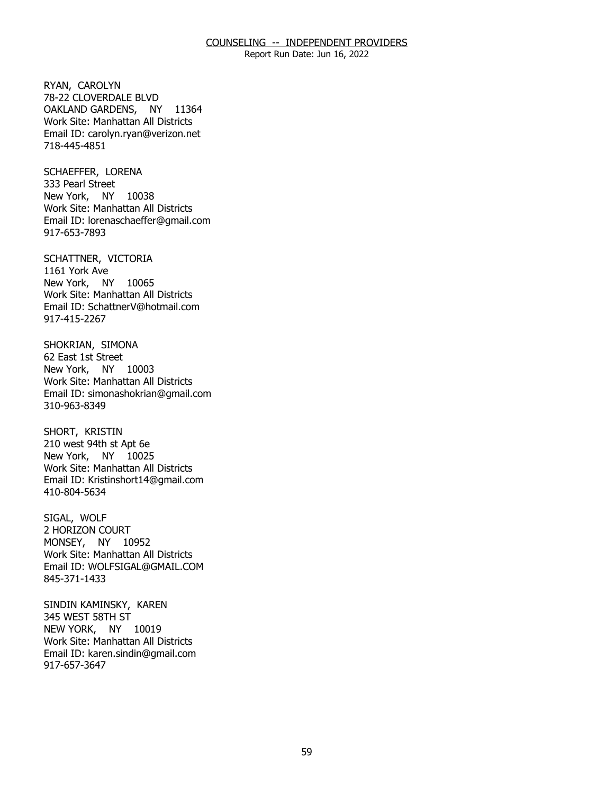Report Run Date: Jun 16, 2022

RYAN, CAROLYN OAKLAND GARDENS, NY 11364 78-22 CLOVERDALE BLVD Work Site: Manhattan All Districts Email ID: [carolyn.ryan@verizon.net](mailto:carolyn.ryan@verizon.net)  718-445-4851

SCHAEFFER, LORENA<br>333 Pearl Street New York, NY 10038 Work Site: Manhattan All Districts Email ID: [lorenaschaeffer@gmail.com](mailto:lorenaschaeffer@gmail.com) 917-653-7893

SCHATTNER, VICTORIA<br>1161 York Ave New York, NY 10065 Work Site: Manhattan All Districts Email ID: [SchattnerV@hotmail.com](mailto:SchattnerV@hotmail.com) 917-415-2267

SHOKRIAN, SIMONA<br>62 East 1st Street New York, NY 10003 Work Site: Manhattan All Districts Email ID: [simonashokrian@gmail.com](mailto:simonashokrian@gmail.com)  310-963-8349

SHORT, KRISTIN New York, NY 10025 210 west 94th st Apt 6e Work Site: Manhattan All Districts Email ID: [Kristinshort14@gmail.com](mailto:Kristinshort14@gmail.com)  410-804-5634

SIGAL, WOLF MONSEY, NY 10952 2 HORIZON COURT Work Site: Manhattan All Districts Email ID: [WOLFSIGAL@GMAIL.COM](mailto:WOLFSIGAL@GMAIL.COM) 845-371-1433

SINDIN KAMINSKY, KAREN<br>345 WEST 58TH ST NEW YORK, NY 10019 Work Site: Manhattan All Districts Email ID: [karen.sindin@gmail.com](mailto:karen.sindin@gmail.com)  917-657-3647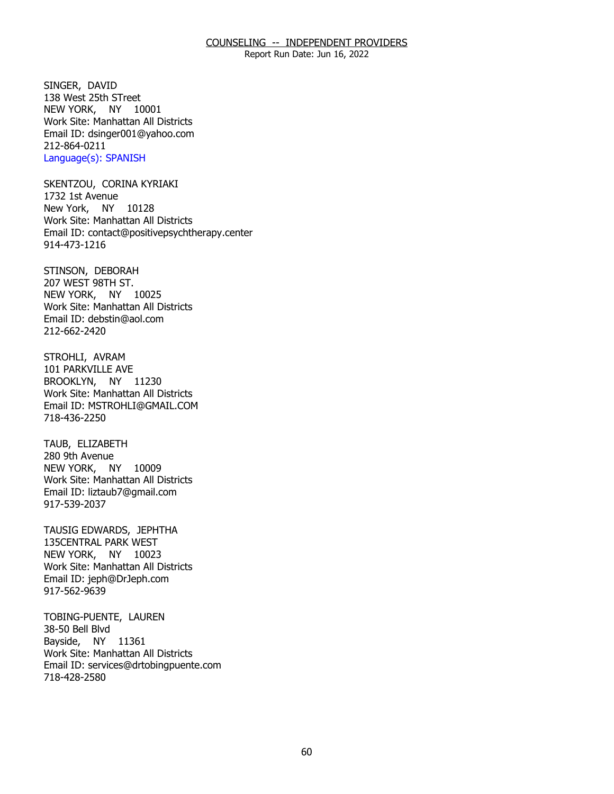Report Run Date: Jun 16, 2022

SINGER, DAVID NEW YORK, NY 10001 138 West 25th STreet Work Site: Manhattan All Districts Email ID: [dsinger001@yahoo.com](mailto:dsinger001@yahoo.com)  212-864-0211 Language(s): SPANISH

SKENTZOU, CORINA KYRIAKI<br>1732 1st Avenue New York, NY 10128 Work Site: Manhattan All Districts Email ID: [contact@positivepsychtherapy.center](mailto:contact@positivepsychtherapy.center) 914-473-1216

STINSON, DEBORAH<br>207 WEST 98TH ST. NEW YORK, NY 10025 Work Site: Manhattan All Districts Email ID: [debstin@aol.com](mailto:debstin@aol.com) 212-662-2420

STROHLI, AVRAM BROOKLYN, NY 11230 101 PARKVILLE AVE Work Site: Manhattan All Districts Email ID: [MSTROHLI@GMAIL.COM](mailto:MSTROHLI@GMAIL.COM)  718-436-2250

TAUB, ELIZABETH<br>280 9th Avenue NEW YORK, NY 10009 Work Site: Manhattan All Districts Email ID: [liztaub7@gmail.com](mailto:liztaub7@gmail.com) 917-539-2037

TAUSIG EDWARDS, JEPHTHA<br>135CENTRAL PARK WEST NEW YORK, NY 10023 Work Site: Manhattan All Districts Email ID: [jeph@DrJeph.com](mailto:jeph@DrJeph.com)  917-562-9639

TOBING-PUENTE, LAUREN<br>38-50 Bell Blvd Bayside, NY 11361 Work Site: Manhattan All Districts Email ID: [services@drtobingpuente.com](mailto:services@drtobingpuente.com)  718-428-2580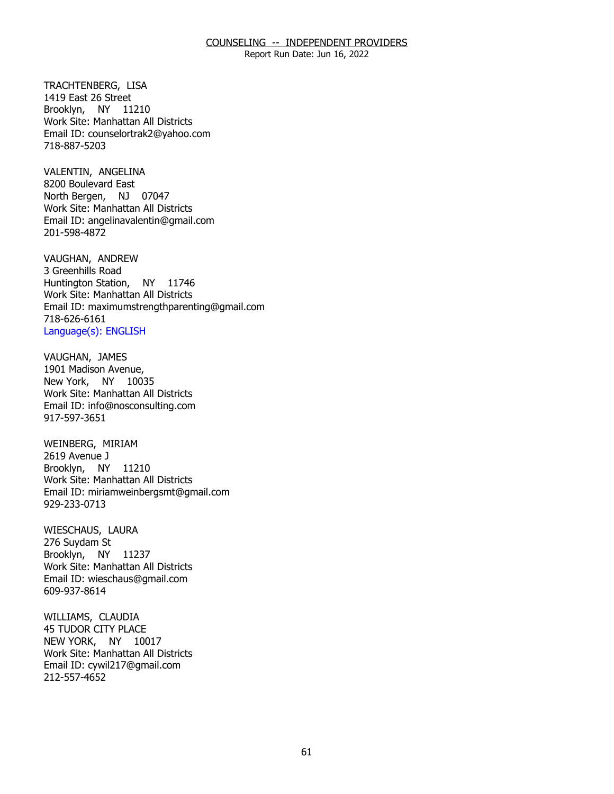Report Run Date: Jun 16, 2022

TRACHTENBERG, LISA Brooklyn, NY 11210 1419 East 26 Street Work Site: Manhattan All Districts Email ID: [counselortrak2@yahoo.com](mailto:counselortrak2@yahoo.com) 718-887-5203

VALENTIN, ANGELINA North Bergen, NJ 07047 8200 Boulevard East Work Site: Manhattan All Districts Email ID: [angelinavalentin@gmail.com](mailto:angelinavalentin@gmail.com)  201-598-4872

VAUGHAN, ANDREW<br>3 Greenhills Road Huntington Station, NY 11746 Work Site: Manhattan All Districts Email ID: [maximumstrengthparenting@gmail.com](mailto:maximumstrengthparenting@gmail.com) 718-626-6161 Language(s): ENGLISH

VAUGHAN, JAMES New York, NY 10035 1901 Madison Avenue, Work Site: Manhattan All Districts Email ID: [info@nosconsulting.com](mailto:info@nosconsulting.com) 917-597-3651

WEINBERG, MIRIAM<br>2619 Avenue J Brooklyn, NY 11210 Work Site: Manhattan All Districts Email ID: [miriamweinbergsmt@gmail.com](mailto:miriamweinbergsmt@gmail.com) 929-233-0713

WIESCHAUS, LAURA<br>276 Suydam St Brooklyn, NY 11237 Work Site: Manhattan All Districts Email ID: [wieschaus@gmail.com](mailto:wieschaus@gmail.com) 609-937-8614

WILLIAMS, CLAUDIA NEW YORK, NY 10017 45 TUDOR CITY PLACE Work Site: Manhattan All Districts Email ID: [cywil217@gmail.com](mailto:cywil217@gmail.com) 212-557-4652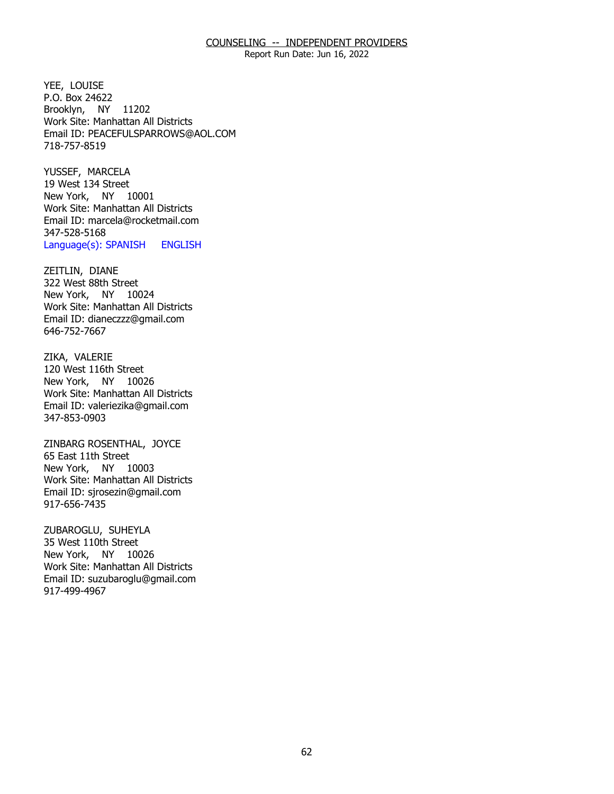Report Run Date: Jun 16, 2022

YEE, LOUISE Brooklyn, NY 11202 P.O. Box 24622 Work Site: Manhattan All Districts Email ID: [PEACEFULSPARROWS@AOL.COM](mailto:PEACEFULSPARROWS@AOL.COM)  718-757-8519

YUSSEF, MARCELA New York, NY 10001 19 West 134 Street Work Site: Manhattan All Districts Email ID: [marcela@rocketmail.com](mailto:marcela@rocketmail.com)  347-528-5168 Language(s): SPANISH ENGLISH

ZEITLIN, DIANE New York, NY 10024 322 West 88th Street Work Site: Manhattan All Districts Email ID: [dianeczzz@gmail.com](mailto:dianeczzz@gmail.com) 646-752-7667

ZIKA, VALERIE New York, NY 10026 120 West 116th Street Work Site: Manhattan All Districts Email ID: [valeriezika@gmail.com](mailto:valeriezika@gmail.com) 347-853-0903

 ZINBARG ROSENTHAL, JOYCE 65 East 11th Street New York, NY 10003 Work Site: Manhattan All Districts Email ID: [sjrosezin@gmail.com](mailto:sjrosezin@gmail.com)  917-656-7435

ZUBAROGLU, SUHEYLA<br>35 West 110th Street New York, NY 10026 Work Site: Manhattan All Districts Email ID: [suzubaroglu@gmail.com](mailto:suzubaroglu@gmail.com) 917-499-4967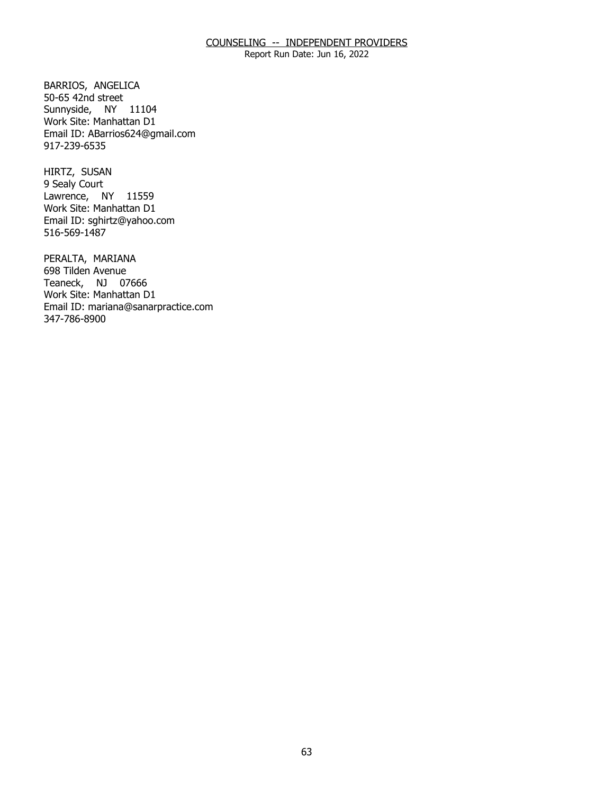Report Run Date: Jun 16, 2022

BARRIOS, ANGELICA<br>50-65 42nd street Sunnyside, NY 11104 Work Site: Manhattan D1 Email ID: [ABarrios624@gmail.com](mailto:ABarrios624@gmail.com) 917-239-6535

HIRTZ, SUSAN Lawrence, NY 11559 9 Sealy Court Work Site: Manhattan D1 Email ID: [sghirtz@yahoo.com](mailto:sghirtz@yahoo.com) 516-569-1487

PERALTA, MARIANA<br>698 Tilden Avenue Teaneck, NJ 07666 Work Site: Manhattan D1 Email ID: [mariana@sanarpractice.com](mailto:mariana@sanarpractice.com)  347-786-8900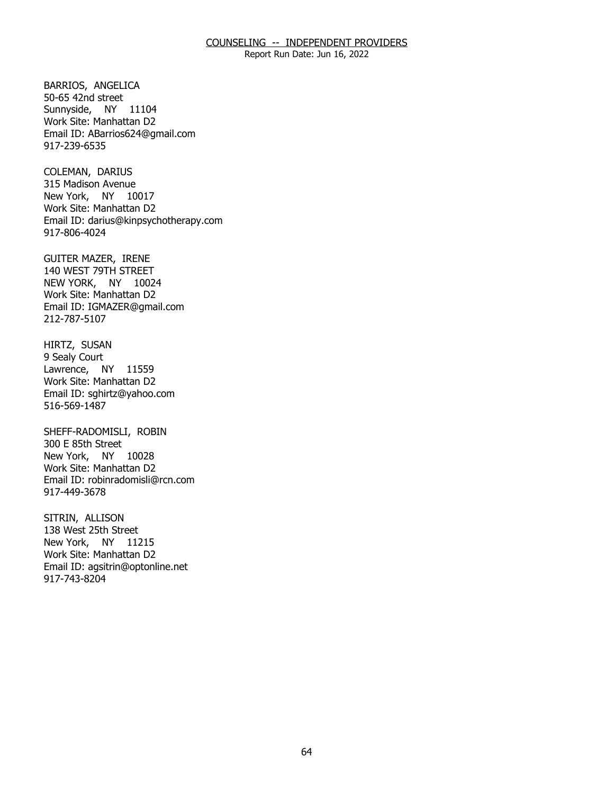Report Run Date: Jun 16, 2022

BARRIOS, ANGELICA<br>50-65 42nd street Sunnyside, NY 11104 Work Site: Manhattan D2 Email ID: [ABarrios624@gmail.com](mailto:ABarrios624@gmail.com) 917-239-6535

COLEMAN, DARIUS New York, NY 10017 315 Madison Avenue Work Site: Manhattan D2 Email ID: [darius@kinpsychotherapy.com](mailto:darius@kinpsychotherapy.com) 917-806-4024

GUITER MAZER, IRENE NEW YORK, NY 10024 140 WEST 79TH STREET Work Site: Manhattan D2 Email ID: [IGMAZER@gmail.com](mailto:IGMAZER@gmail.com)  212-787-5107

HIRTZ, SUSAN<br>9 Sealy Court Lawrence, NY 11559 Work Site: Manhattan D2 Email ID: [sghirtz@yahoo.com](mailto:sghirtz@yahoo.com) 516-569-1487

SHEFF-RADOMISLI, ROBIN<br>300 E 85th Street New York, NY 10028 Work Site: Manhattan D2 Email ID: [robinradomisli@rcn.com](mailto:robinradomisli@rcn.com) 917-449-3678

SITRIN, ALLISON New York, NY 11215 138 West 25th Street Work Site: Manhattan D2 Email ID: [agsitrin@optonline.net](mailto:agsitrin@optonline.net) 917-743-8204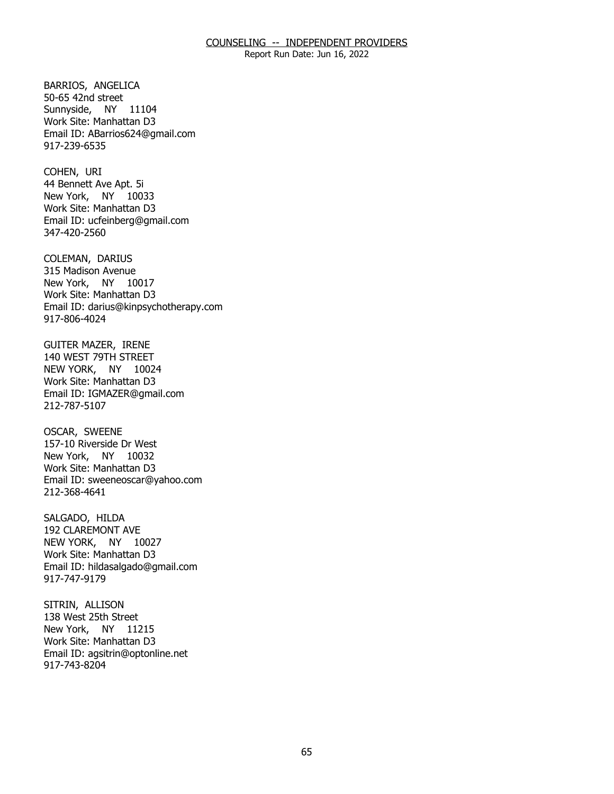Report Run Date: Jun 16, 2022

BARRIOS, ANGELICA<br>50-65 42nd street Sunnyside, NY 11104 Work Site: Manhattan D3 Email ID: [ABarrios624@gmail.com](mailto:ABarrios624@gmail.com) 917-239-6535

COHEN, URI New York, NY 10033 44 Bennett Ave Apt. 5i Work Site: Manhattan D3 Email ID: [ucfeinberg@gmail.com](mailto:ucfeinberg@gmail.com)  347-420-2560

COLEMAN, DARIUS New York, NY 10017 315 Madison Avenue Work Site: Manhattan D3 Email ID: [darius@kinpsychotherapy.com](mailto:darius@kinpsychotherapy.com) 917-806-4024

**GUITER MAZER, IRENE**  NEW YORK, NY 10024 140 WEST 79TH STREET Work Site: Manhattan D3 Email ID: [IGMAZER@gmail.com](mailto:IGMAZER@gmail.com)  212-787-5107

**OSCAR, SWEENE**  New York, NY 10032 157-10 Riverside Dr West Work Site: Manhattan D3 Email ID: [sweeneoscar@yahoo.com](mailto:sweeneoscar@yahoo.com)  212-368-4641

SALGADO, HILDA NEW YORK, NY 10027 192 CLAREMONT AVE Work Site: Manhattan D3 Email ID: [hildasalgado@gmail.com](mailto:hildasalgado@gmail.com)  917-747-9179

SITRIN, ALLISON New York, NY 11215 138 West 25th Street Work Site: Manhattan D3 Email ID: [agsitrin@optonline.net](mailto:agsitrin@optonline.net) 917-743-8204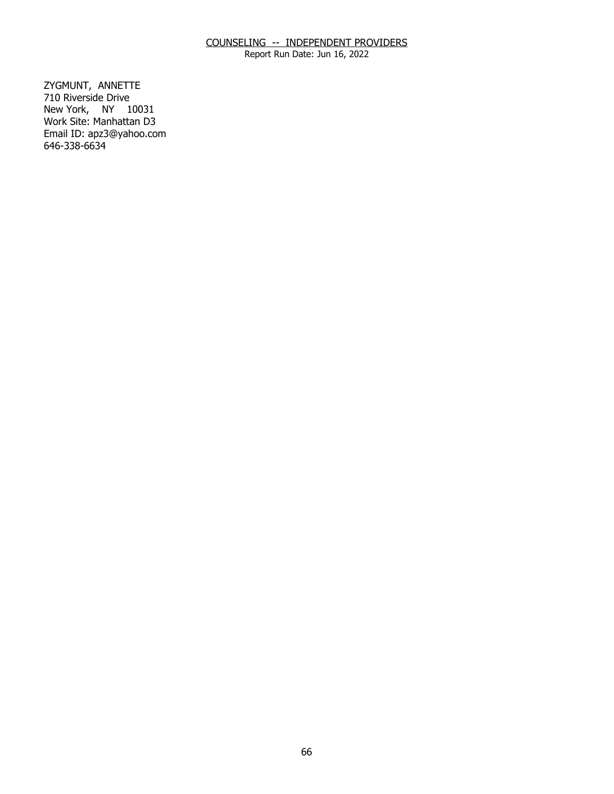Report Run Date: Jun 16, 2022

ZYGMUNT, ANNETTE New York, NY 10031 710 Riverside Drive Work Site: Manhattan D3 Email ID: [apz3@yahoo.com](mailto:apz3@yahoo.com)  646-338-6634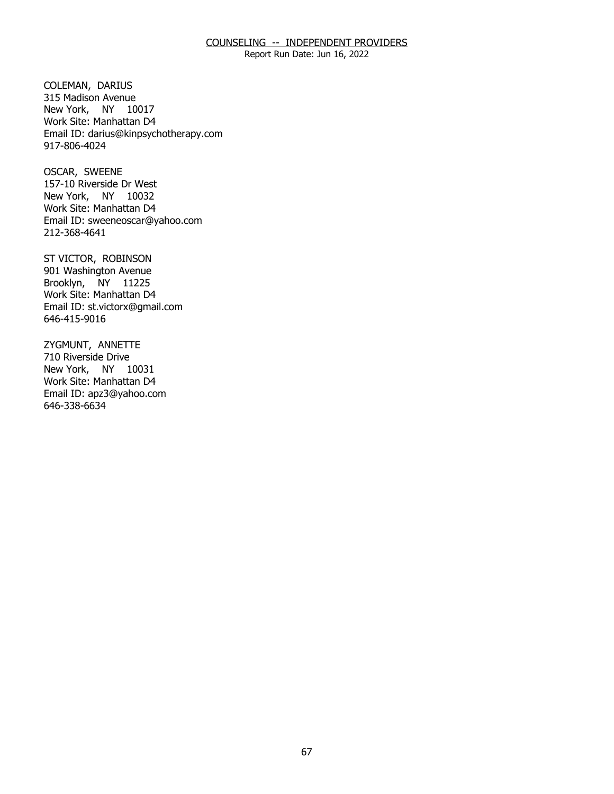Report Run Date: Jun 16, 2022

COLEMAN, DARIUS New York, NY 10017 315 Madison Avenue Work Site: Manhattan D4 Email ID: [darius@kinpsychotherapy.com](mailto:darius@kinpsychotherapy.com) 917-806-4024

OSCAR, SWEENE New York, NY 10032 157-10 Riverside Dr West Work Site: Manhattan D4 Email ID: [sweeneoscar@yahoo.com](mailto:sweeneoscar@yahoo.com)  212-368-4641

ST VICTOR, ROBINSON Brooklyn, NY 11225 901 Washington Avenue Work Site: Manhattan D4 Email ID: [st.victorx@gmail.com](mailto:st.victorx@gmail.com) 646-415-9016

ZYGMUNT, ANNETTE<br>710 Riverside Drive New York, NY 10031 Work Site: Manhattan D4 Email ID: [apz3@yahoo.com](mailto:apz3@yahoo.com)  646-338-6634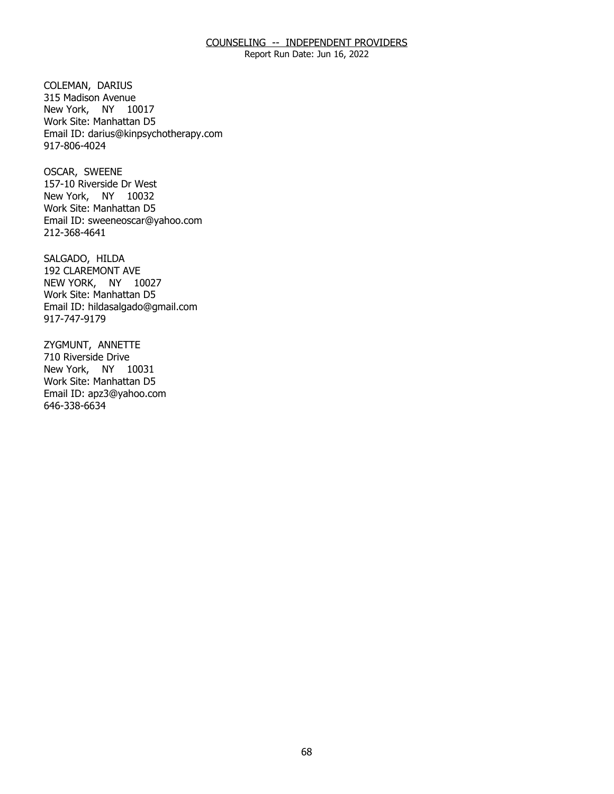Report Run Date: Jun 16, 2022

COLEMAN, DARIUS New York, NY 10017 315 Madison Avenue Work Site: Manhattan D5 Email ID: [darius@kinpsychotherapy.com](mailto:darius@kinpsychotherapy.com) 917-806-4024

OSCAR, SWEENE New York, NY 10032 157-10 Riverside Dr West Work Site: Manhattan D5 Email ID: [sweeneoscar@yahoo.com](mailto:sweeneoscar@yahoo.com)  212-368-4641

SALGADO, HILDA NEW YORK, NY 10027 192 CLAREMONT AVE Work Site: Manhattan D5 Email ID: [hildasalgado@gmail.com](mailto:hildasalgado@gmail.com)  917-747-9179

ZYGMUNT, ANNETTE<br>710 Riverside Drive New York, NY 10031 Work Site: Manhattan D5 Email ID: [apz3@yahoo.com](mailto:apz3@yahoo.com)  646-338-6634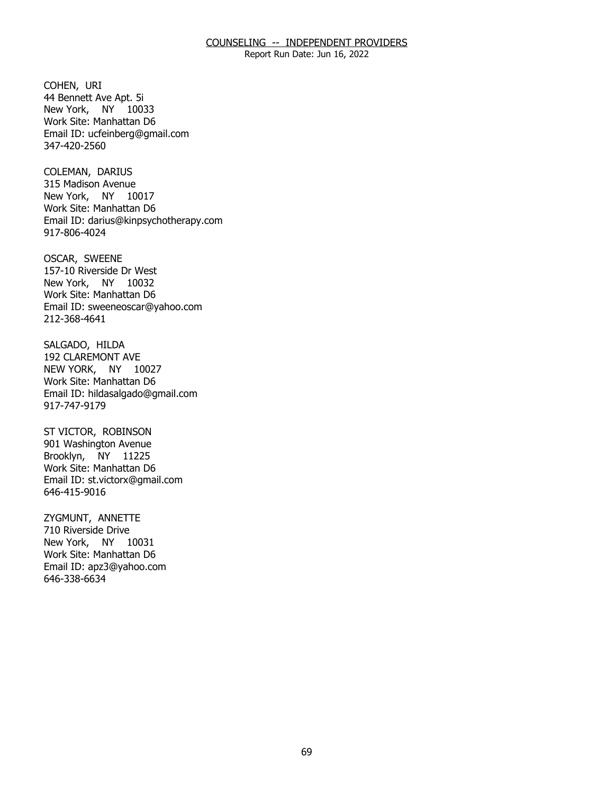Report Run Date: Jun 16, 2022

COHEN, URI New York, NY 10033 44 Bennett Ave Apt. 5i Work Site: Manhattan D6 Email ID: [ucfeinberg@gmail.com](mailto:ucfeinberg@gmail.com)  347-420-2560

COLEMAN, DARIUS New York, NY 10017 315 Madison Avenue Work Site: Manhattan D6 Email ID: [darius@kinpsychotherapy.com](mailto:darius@kinpsychotherapy.com) 917-806-4024

OSCAR, SWEENE New York, NY 10032 157-10 Riverside Dr West Work Site: Manhattan D6 Email ID: [sweeneoscar@yahoo.com](mailto:sweeneoscar@yahoo.com)  212-368-4641

SALGADO, HILDA NEW YORK, NY 10027 192 CLAREMONT AVE Work Site: Manhattan D6 Email ID: [hildasalgado@gmail.com](mailto:hildasalgado@gmail.com)  917-747-9179

ST VICTOR, ROBINSON Brooklyn, NY 11225 901 Washington Avenue Work Site: Manhattan D6 Email ID: [st.victorx@gmail.com](mailto:st.victorx@gmail.com) 646-415-9016

ZYGMUNT, ANNETTE New York, NY 10031 710 Riverside Drive Work Site: Manhattan D6 Email ID: [apz3@yahoo.com](mailto:apz3@yahoo.com)  646-338-6634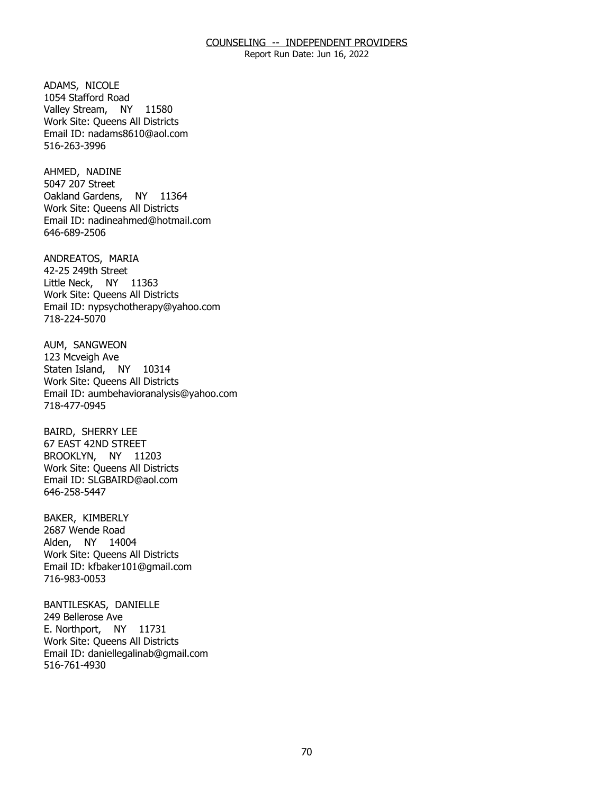Report Run Date: Jun 16, 2022

 ADAMS, NICOLE Valley Stream, NY 11580 1054 Stafford Road Work Site: Queens All Districts Email ID: [nadams8610@aol.com](mailto:nadams8610@aol.com)  516-263-3996

AHMED, NADINE Oakland Gardens, NY 11364 5047 207 Street Work Site: Queens All Districts Email ID: [nadineahmed@hotmail.com](mailto:nadineahmed@hotmail.com)  646-689-2506

ANDREATOS, MARIA<br>42-25 249th Street Little Neck, NY 11363 Work Site: Queens All Districts Email ID: [nypsychotherapy@yahoo.com](mailto:nypsychotherapy@yahoo.com)  718-224-5070

AUM, SANGWEON<br>123 Mcveigh Ave Staten Island, NY 10314 Work Site: Queens All Districts Email ID: [aumbehavioranalysis@yahoo.com](mailto:aumbehavioranalysis@yahoo.com)  718-477-0945

**BAIRD, SHERRY LEE**  BROOKLYN, NY 11203 67 EAST 42ND STREET Work Site: Queens All Districts Email ID: [SLGBAIRD@aol.com](mailto:SLGBAIRD@aol.com) 646-258-5447

BAKER, KIMBERLY Alden, NY 14004 2687 Wende Road Work Site: Queens All Districts Email ID: [kfbaker101@gmail.com](mailto:kfbaker101@gmail.com) 716-983-0053

BANTILESKAS, DANIELLE<br>249 Bellerose Ave E. Northport, NY 11731 Work Site: Queens All Districts Email ID: [daniellegalinab@gmail.com](mailto:daniellegalinab@gmail.com)  516-761-4930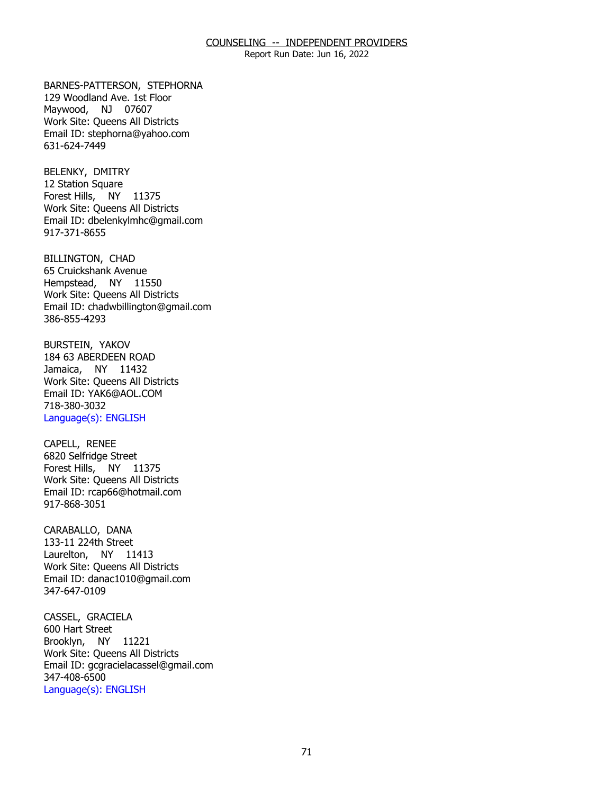Report Run Date: Jun 16, 2022

BARNES-PATTERSON, STEPHORNA Maywood, NJ 07607 129 Woodland Ave. 1st Floor Work Site: Queens All Districts Email ID: [stephorna@yahoo.com](mailto:stephorna@yahoo.com) 631-624-7449

BELENKY, DMITRY Forest Hills, NY 11375 12 Station Square Work Site: Queens All Districts Email ID: [dbelenkylmhc@gmail.com](mailto:dbelenkylmhc@gmail.com)  917-371-8655

BILLINGTON, CHAD Hempstead, NY 11550 65 Cruickshank Avenue Work Site: Queens All Districts Email ID: [chadwbillington@gmail.com](mailto:chadwbillington@gmail.com)  386-855-4293

BURSTEIN, YAKOV Jamaica, NY 11432 184 63 ABERDEEN ROAD Work Site: Queens All Districts Email ID: [YAK6@AOL.COM](mailto:YAK6@AOL.COM)  718-380-3032 Language(s): ENGLISH

CAPELL, RENEE Forest Hills, NY 11375 6820 Selfridge Street Work Site: Queens All Districts Email ID: [rcap66@hotmail.com](mailto:rcap66@hotmail.com)  917-868-3051

CARABALLO, DANA Laurelton, NY 11413 133-11 224th Street Work Site: Queens All Districts Email ID: [danac1010@gmail.com](mailto:danac1010@gmail.com) 347-647-0109

CASSEL, GRACIELA<br>600 Hart Street Brooklyn, NY 11221 Work Site: Queens All Districts Email ID: [gcgracielacassel@gmail.com](mailto:gcgracielacassel@gmail.com)  347-408-6500 Language(s): ENGLISH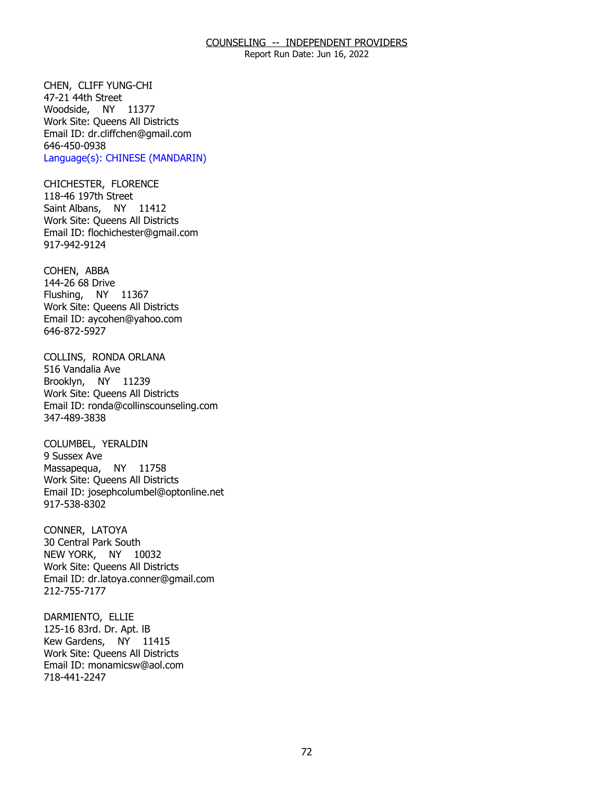Report Run Date: Jun 16, 2022

CHEN, CLIFF YUNG-CHI<br>47-21 44th Street Woodside, NY 11377 Work Site: Queens All Districts Email ID: [dr.cliffchen@gmail.com](mailto:dr.cliffchen@gmail.com)  646-450-0938 Language(s): CHINESE (MANDARIN)

CHICHESTER, FLORENCE<br>118-46 197th Street Saint Albans, NY 11412 Work Site: Queens All Districts Email ID: [flochichester@gmail.com](mailto:flochichester@gmail.com)  917-942-9124

COHEN, ABBA Flushing, NY 11367 144-26 68 Drive Work Site: Queens All Districts Email ID: [aycohen@yahoo.com](mailto:aycohen@yahoo.com)  646-872-5927

 COLLINS, RONDA ORLANA 516 Vandalia Ave Brooklyn, NY 11239 Work Site: Queens All Districts Email ID: [ronda@collinscounseling.com](mailto:ronda@collinscounseling.com) 347-489-3838

COLUMBEL, YERALDIN<br>9 Sussex Ave Massapequa, NY 11758 Work Site: Queens All Districts Email ID: [josephcolumbel@optonline.net](mailto:josephcolumbel@optonline.net) 917-538-8302

CONNER, LATOYA NEW YORK, NY 10032 30 Central Park South Work Site: Queens All Districts Email ID: [dr.latoya.conner@gmail.com](mailto:dr.latoya.conner@gmail.com) 212-755-7177

DARMIENTO, ELLIE Kew Gardens, NY 11415 125-16 83rd. Dr. Apt. IB Work Site: Queens All Districts Email ID: [monamicsw@aol.com](mailto:monamicsw@aol.com) 718-441-2247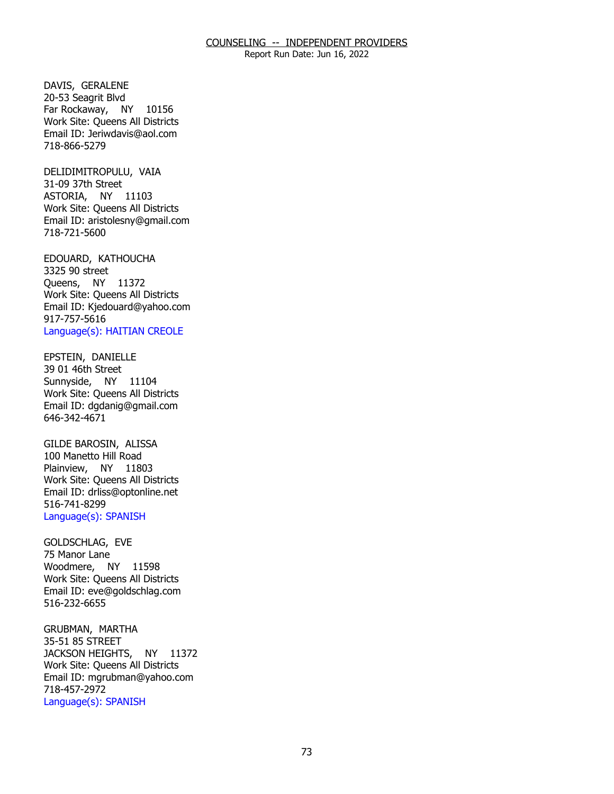Report Run Date: Jun 16, 2022

DAVIS, GERALENE Far Rockaway, NY 10156 20-53 Seagrit Blvd Work Site: Queens All Districts Email ID: [Jeriwdavis@aol.com](mailto:Jeriwdavis@aol.com)  718-866-5279

DELIDIMITROPULU, VAIA<br>31-09 37th Street ASTORIA, NY 11103 Work Site: Queens All Districts Email ID: [aristolesny@gmail.com](mailto:aristolesny@gmail.com) 718-721-5600

EDOUARD, KATHOUCHA<br>3325 90 street Queens, NY 11372 Work Site: Queens All Districts Email ID: [Kjedouard@yahoo.com](mailto:Kjedouard@yahoo.com) 917-757-5616 Language(s): HAITIAN CREOLE

EPSTEIN, DANIELLE Sunnyside, NY 11104 39 01 46th Street Work Site: Queens All Districts Email ID: [dgdanig@gmail.com](mailto:dgdanig@gmail.com) 646-342-4671

GILDE BAROSIN, ALISSA Plainview, NY 11803 100 Manetto Hill Road Work Site: Queens All Districts Email ID: [drliss@optonline.net](mailto:drliss@optonline.net)  516-741-8299 Language(s): SPANISH

GOLDSCHLAG, EVE<br>75 Manor Lane Woodmere, NY 11598 Work Site: Queens All Districts Email ID: [eve@goldschlag.com](mailto:eve@goldschlag.com) 516-232-6655

GRUBMAN, MARTHA<br>35-51 85 STREET JACKSON HEIGHTS, NY 11372 Work Site: Queens All Districts Email ID: [mgrubman@yahoo.com](mailto:mgrubman@yahoo.com) 718-457-2972 Language(s): SPANISH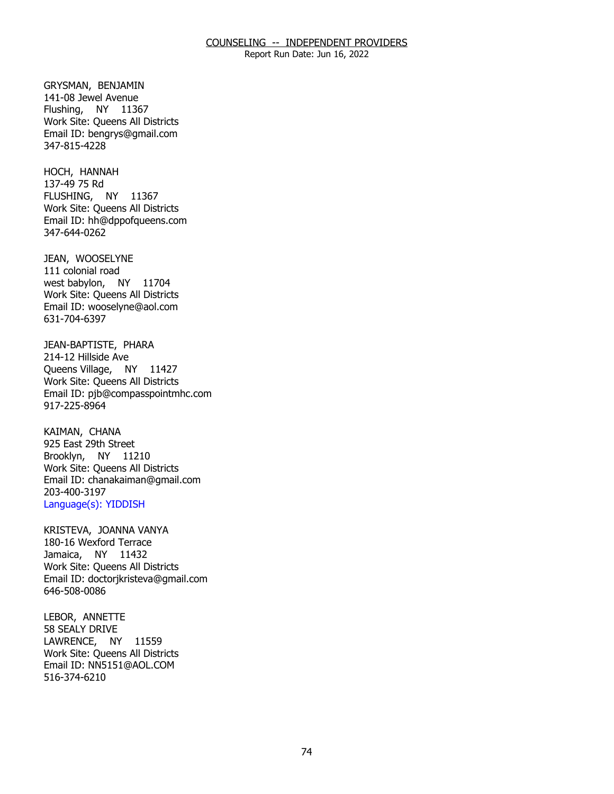Report Run Date: Jun 16, 2022

GRYSMAN, BENJAMIN Flushing, NY 11367 141-08 Jewel Avenue Work Site: Queens All Districts Email ID: [bengrys@gmail.com](mailto:bengrys@gmail.com) 347-815-4228

HOCH, HANNAH<br>137-49 75 Rd FLUSHING, NY 11367 Work Site: Queens All Districts Email ID: [hh@dppofqueens.com](mailto:hh@dppofqueens.com) 347-644-0262

JEAN, WOOSELYNE<br>111 colonial road west babylon, NY 11704 Work Site: Queens All Districts Email ID: [wooselyne@aol.com](mailto:wooselyne@aol.com) 631-704-6397

JEAN-BAPTISTE, PHARA<br>214-12 Hillside Ave Queens Village, NY 11427 Work Site: Queens All Districts Email ID: [pjb@compasspointmhc.com](mailto:pjb@compasspointmhc.com) 917-225-8964

KAIMAN, CHANA Brooklyn, NY 11210 925 East 29th Street Work Site: Queens All Districts Email ID: [chanakaiman@gmail.com](mailto:chanakaiman@gmail.com) 203-400-3197 Language(s): YIDDISH

KRISTEVA, JOANNA VANYA<br>180-16 Wexford Terrace Jamaica, NY 11432 Work Site: Queens All Districts Email ID: [doctorjkristeva@gmail.com](mailto:doctorjkristeva@gmail.com) 646-508-0086

LEBOR, ANNETTE LAWRENCE, NY 11559 58 SEALY DRIVE Work Site: Queens All Districts Email ID: [NN5151@AOL.COM](mailto:NN5151@AOL.COM) 516-374-6210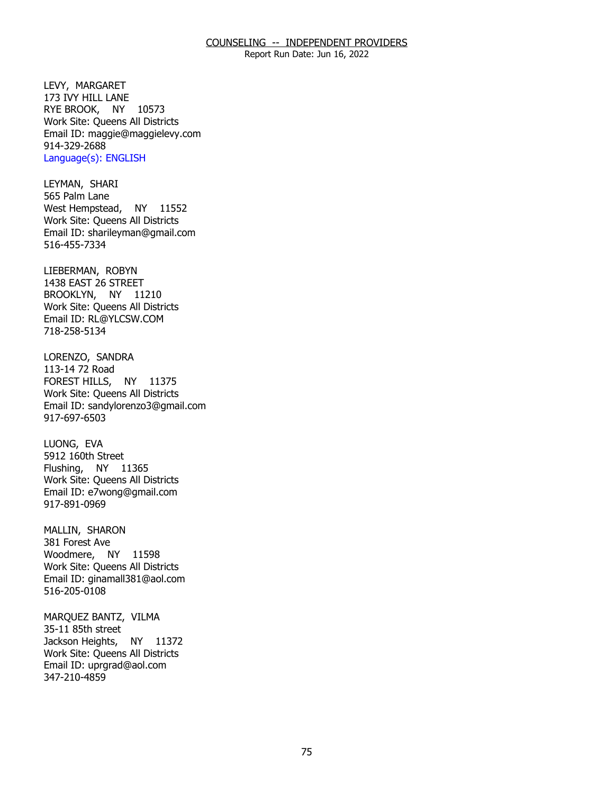Report Run Date: Jun 16, 2022

LEVY, MARGARET RYE BROOK, NY 10573 173 IVY HILL LANE Work Site: Queens All Districts Email ID: [maggie@maggielevy.com](mailto:maggie@maggielevy.com)  914-329-2688 Language(s): ENGLISH

LEYMAN, SHARI<br>565 Palm Lane West Hempstead, NY 11552 Work Site: Queens All Districts Email ID: [sharileyman@gmail.com](mailto:sharileyman@gmail.com) 516-455-7334

LIEBERMAN, ROBYN BROOKLYN, NY 11210 1438 EAST 26 STREET Work Site: Queens All Districts Email ID: [RL@YLCSW.COM](mailto:RL@YLCSW.COM) 718-258-5134

LORENZO, SANDRA<br>113-14 72 Road FOREST HILLS, NY 11375 Work Site: Queens All Districts Email ID: [sandylorenzo3@gmail.com](mailto:sandylorenzo3@gmail.com)  917-697-6503

LUONG, EVA Flushing, NY 11365 5912 160th Street Work Site: Queens All Districts Email ID: [e7wong@gmail.com](mailto:e7wong@gmail.com)  917-891-0969

MALLIN, SHARON<br>381 Forest Ave Woodmere, NY 11598 Work Site: Queens All Districts Email ID: [ginamall381@aol.com](mailto:ginamall381@aol.com)  516-205-0108

MARQUEZ BANTZ, VILMA<br>35-11 85th street Jackson Heights, NY 11372 Work Site: Queens All Districts Email ID: [uprgrad@aol.com](mailto:uprgrad@aol.com) 347-210-4859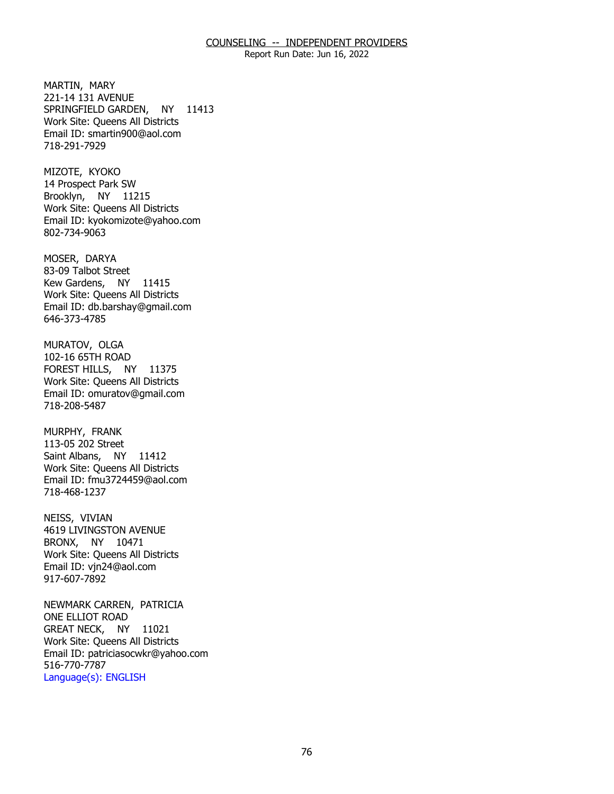Report Run Date: Jun 16, 2022

MARTIN, MARY SPRINGFIELD GARDEN, NY 11413 221-14 131 AVENUE Work Site: Queens All Districts Email ID: [smartin900@aol.com](mailto:smartin900@aol.com)  718-291-7929

MIZOTE, KYOKO Brooklyn, NY 11215 14 Prospect Park SW Work Site: Queens All Districts Email ID: [kyokomizote@yahoo.com](mailto:kyokomizote@yahoo.com) 802-734-9063

MOSER, DARYA Kew Gardens, NY 11415 83-09 Talbot Street Work Site: Queens All Districts Email ID: [db.barshay@gmail.com](mailto:db.barshay@gmail.com)  646-373-4785

MURATOV, OLGA FOREST HILLS, NY 11375 102-16 65TH ROAD Work Site: Queens All Districts Email ID: [omuratov@gmail.com](mailto:omuratov@gmail.com) 718-208-5487

MURPHY, FRANK Saint Albans, NY 11412 113-05 202 Street Work Site: Queens All Districts Email ID: [fmu3724459@aol.com](mailto:fmu3724459@aol.com)  718-468-1237

NEISS, VIVIAN BRONX, NY 10471 4619 LIVINGSTON AVENUE Work Site: Queens All Districts Email ID: [vjn24@aol.com](mailto:vjn24@aol.com)  917-607-7892

NEWMARK CARREN, PATRICIA<br>ONE ELLIOT ROAD GREAT NECK, NY 11021 Work Site: Queens All Districts Email ID: [patriciasocwkr@yahoo.com](mailto:patriciasocwkr@yahoo.com)  516-770-7787 Language(s): ENGLISH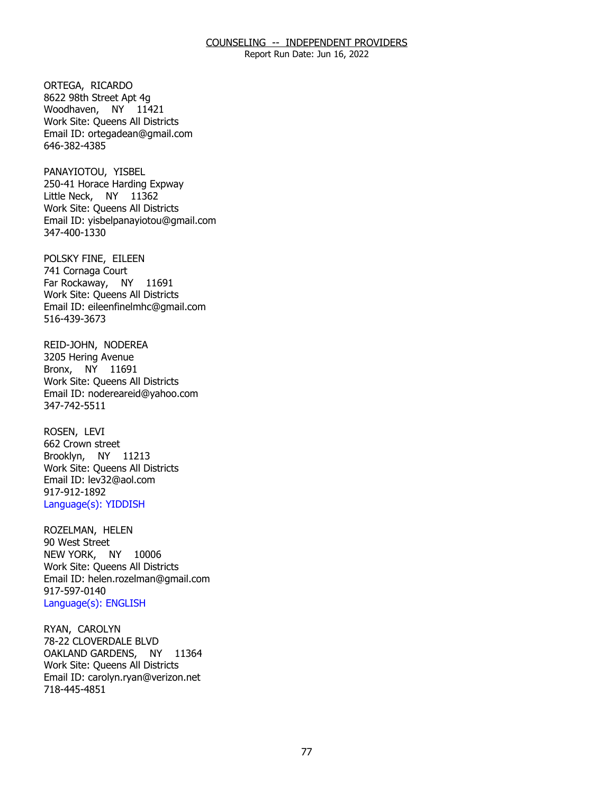Report Run Date: Jun 16, 2022

ORTEGA, RICARDO Woodhaven, NY 11421 8622 98th Street Apt 4g Work Site: Queens All Districts Email ID: [ortegadean@gmail.com](mailto:ortegadean@gmail.com) 646-382-4385

PANAYIOTOU, YISBEL Little Neck, NY 11362 250-41 Horace Harding Expway Work Site: Queens All Districts Email ID: [yisbelpanayiotou@gmail.com](mailto:yisbelpanayiotou@gmail.com)  347-400-1330

POLSKY FINE, EILEEN<br>741 Cornaga Court Far Rockaway, NY 11691 Work Site: Queens All Districts Email ID: [eileenfinelmhc@gmail.com](mailto:eileenfinelmhc@gmail.com) 516-439-3673

REID-JOHN, NODEREA<br>3205 Hering Avenue Bronx, NY 11691 Work Site: Queens All Districts Email ID: [nodereareid@yahoo.com](mailto:nodereareid@yahoo.com)  347-742-5511

ROSEN, LEVI Brooklyn, NY 11213 662 Crown street Work Site: Queens All Districts Email ID: [lev32@aol.com](mailto:lev32@aol.com)  917-912-1892 Language(s): YIDDISH

ROZELMAN, HELEN<br>90 West Street NEW YORK, NY 10006 Work Site: Queens All Districts Email ID: [helen.rozelman@gmail.com](mailto:helen.rozelman@gmail.com)  917-597-0140 Language(s): ENGLISH

RYAN, CAROLYN OAKLAND GARDENS, NY 11364 78-22 CLOVERDALE BLVD Work Site: Queens All Districts Email ID: [carolyn.ryan@verizon.net](mailto:carolyn.ryan@verizon.net)  718-445-4851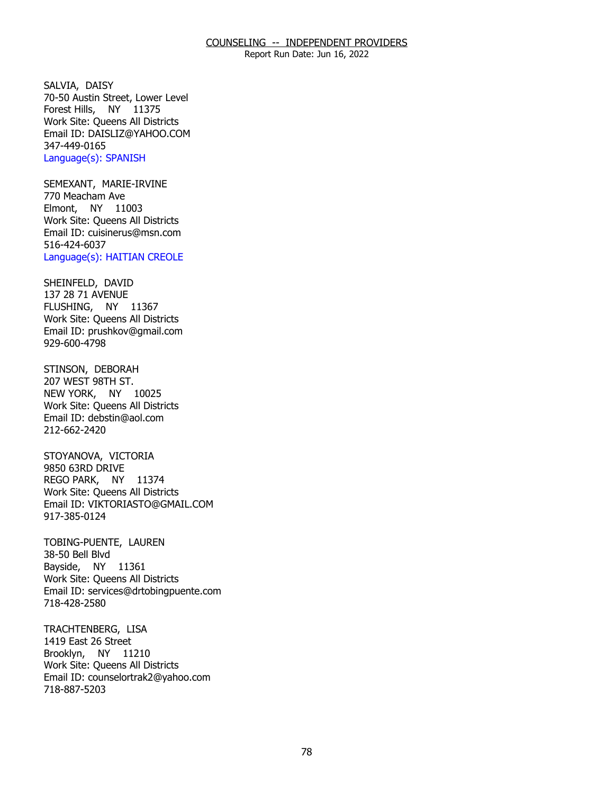Report Run Date: Jun 16, 2022

SALVIA, DAISY Forest Hills, NY 11375 70-50 Austin Street, Lower Level Work Site: Queens All Districts Email ID: [DAISLIZ@YAHOO.COM](mailto:DAISLIZ@YAHOO.COM)  347-449-0165 Language(s): SPANISH

 SEMEXANT, MARIE-IRVINE 770 Meacham Ave Elmont, NY 11003 Work Site: Queens All Districts Email ID: [cuisinerus@msn.com](mailto:cuisinerus@msn.com)  516-424-6037 Language(s): HAITIAN CREOLE

SHEINFELD, DAVID FLUSHING, NY 11367 137 28 71 AVENUE Work Site: Queens All Districts Email ID: [prushkov@gmail.com](mailto:prushkov@gmail.com) 929-600-4798

STINSON, DEBORAH NEW YORK, NY 10025 207 WEST 98TH ST. Work Site: Queens All Districts Email ID: [debstin@aol.com](mailto:debstin@aol.com) 212-662-2420

STOYANOVA, VICTORIA<br>9850 63RD DRIVE REGO PARK, NY 11374 Work Site: Queens All Districts Email ID: [VIKTORIASTO@GMAIL.COM](mailto:VIKTORIASTO@GMAIL.COM)  917-385-0124

TOBING-PUENTE, LAUREN<br>38-50 Bell Blvd Bayside, NY 11361 Work Site: Queens All Districts Email ID: [services@drtobingpuente.com](mailto:services@drtobingpuente.com)  718-428-2580

TRACHTENBERG, LISA<br>1419 East 26 Street Brooklyn, NY 11210 Work Site: Queens All Districts Email ID: [counselortrak2@yahoo.com](mailto:counselortrak2@yahoo.com) 718-887-5203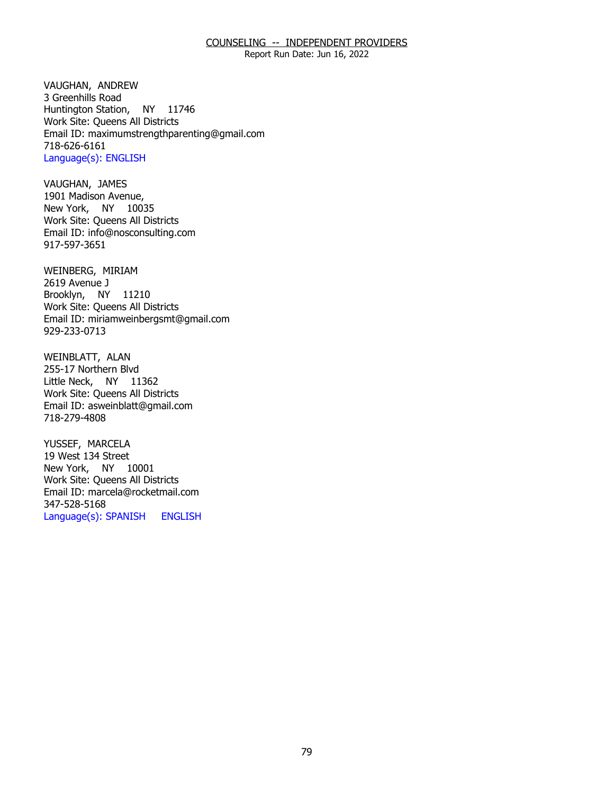Report Run Date: Jun 16, 2022

VAUGHAN, ANDREW<br>3 Greenhills Road Huntington Station, NY 11746 Work Site: Queens All Districts Email ID: [maximumstrengthparenting@gmail.com](mailto:maximumstrengthparenting@gmail.com) 718-626-6161 Language(s): ENGLISH

VAUGHAN, JAMES New York, NY 10035 1901 Madison Avenue, Work Site: Queens All Districts Email ID: [info@nosconsulting.com](mailto:info@nosconsulting.com) 917-597-3651

WEINBERG, MIRIAM<br>2619 Avenue J Brooklyn, NY 11210 Work Site: Queens All Districts Email ID: [miriamweinbergsmt@gmail.com](mailto:miriamweinbergsmt@gmail.com) 929-233-0713

WEINBLATT, ALAN Little Neck, NY 11362 255-17 Northern Blvd Work Site: Queens All Districts Email ID: [asweinblatt@gmail.com](mailto:asweinblatt@gmail.com) 718-279-4808

YUSSEF, MARCELA New York, NY 10001 19 West 134 Street Work Site: Queens All Districts Email ID: [marcela@rocketmail.com](mailto:marcela@rocketmail.com)  347-528-5168 Language(s): SPANISH ENGLISH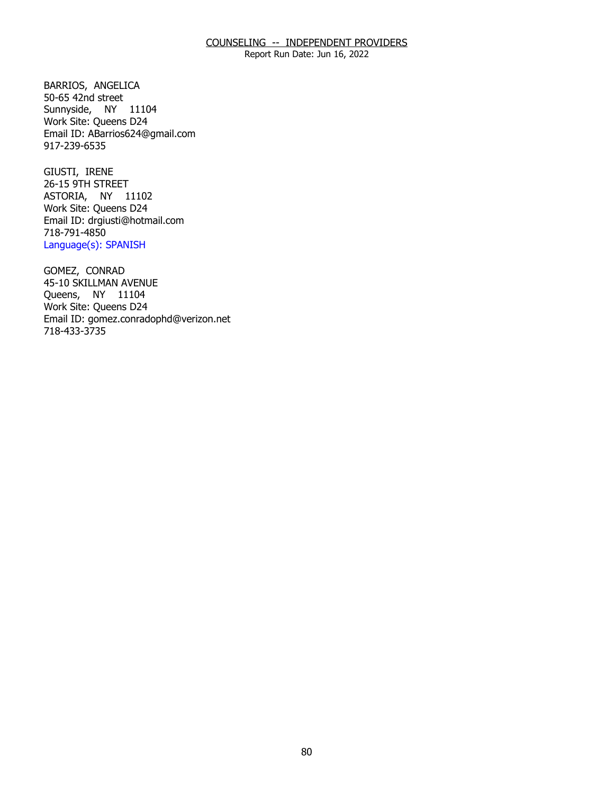Report Run Date: Jun 16, 2022

BARRIOS, ANGELICA<br>50-65 42nd street Sunnyside, NY 11104 Work Site: Queens D24 Email ID: [ABarrios624@gmail.com](mailto:ABarrios624@gmail.com) 917-239-6535

GIUSTI, IRENE ASTORIA, NY 11102 26-15 9TH STREET Work Site: Queens D24 Email ID: [drgiusti@hotmail.com](mailto:drgiusti@hotmail.com)  718-791-4850 Language(s): SPANISH

GOMEZ, CONRAD Queens, NY 11104 45-10 SKILLMAN AVENUE Work Site: Queens D24 Email ID: [gomez.conradophd@verizon.net](mailto:gomez.conradophd@verizon.net)  718-433-3735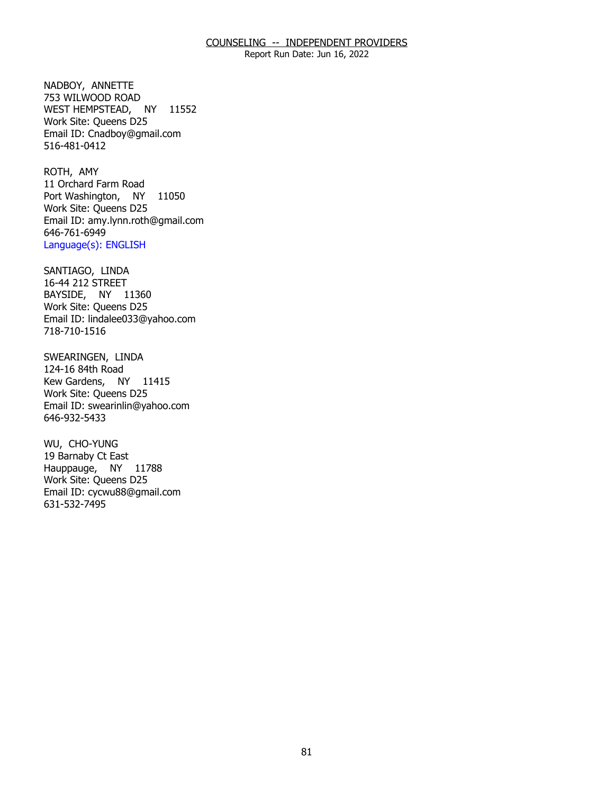Report Run Date: Jun 16, 2022

NADBOY, ANNETTE WEST HEMPSTEAD, NY 11552 753 WILWOOD ROAD Work Site: Queens D25 Email ID: [Cnadboy@gmail.com](mailto:Cnadboy@gmail.com) 516-481-0412

ROTH, AMY Port Washington, NY 11050 11 Orchard Farm Road Work Site: Queens D25 Email ID: [amy.lynn.roth@gmail.com](mailto:amy.lynn.roth@gmail.com) 646-761-6949 Language(s): ENGLISH

SANTIAGO, LINDA BAYSIDE, NY 11360 16-44 212 STREET Work Site: Queens D25 Email ID: [lindalee033@yahoo.com](mailto:lindalee033@yahoo.com) 718-710-1516

SWEARINGEN, LINDA Kew Gardens, NY 11415 124-16 84th Road Work Site: Queens D25 Email ID: [swearinlin@yahoo.com](mailto:swearinlin@yahoo.com) 646-932-5433

WU, CHO-YUNG Hauppauge, NY 11788 19 Barnaby Ct East Work Site: Queens D25 Email ID: [cycwu88@gmail.com](mailto:cycwu88@gmail.com) 631-532-7495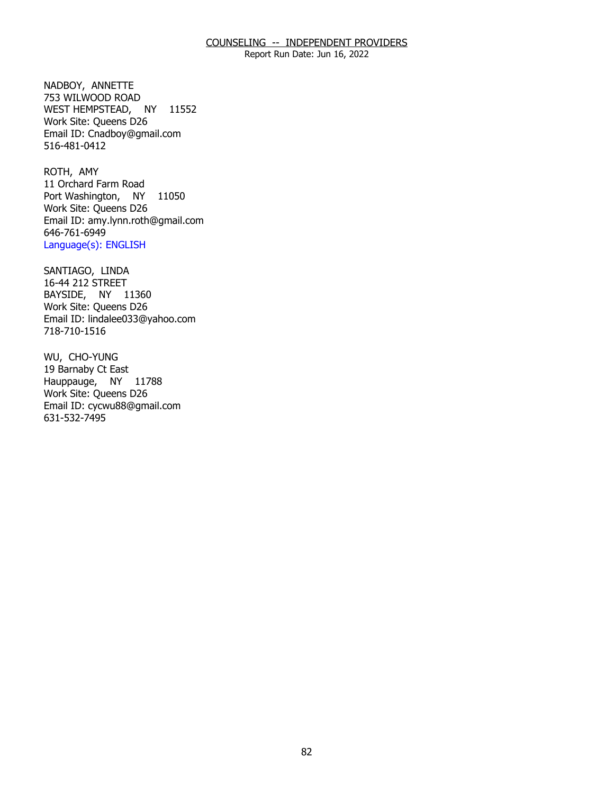Report Run Date: Jun 16, 2022

NADBOY, ANNETTE WEST HEMPSTEAD, NY 11552 753 WILWOOD ROAD Work Site: Queens D26 Email ID: [Cnadboy@gmail.com](mailto:Cnadboy@gmail.com) 516-481-0412

ROTH, AMY Port Washington, NY 11050 11 Orchard Farm Road Work Site: Queens D26 Email ID: [amy.lynn.roth@gmail.com](mailto:amy.lynn.roth@gmail.com) 646-761-6949 Language(s): ENGLISH

SANTIAGO, LINDA BAYSIDE, NY 11360 16-44 212 STREET Work Site: Queens D26 Email ID: [lindalee033@yahoo.com](mailto:lindalee033@yahoo.com) 718-710-1516

WU, CHO-YUNG Hauppauge, NY 11788 19 Barnaby Ct East Work Site: Queens D26 Email ID: [cycwu88@gmail.com](mailto:cycwu88@gmail.com) 631-532-7495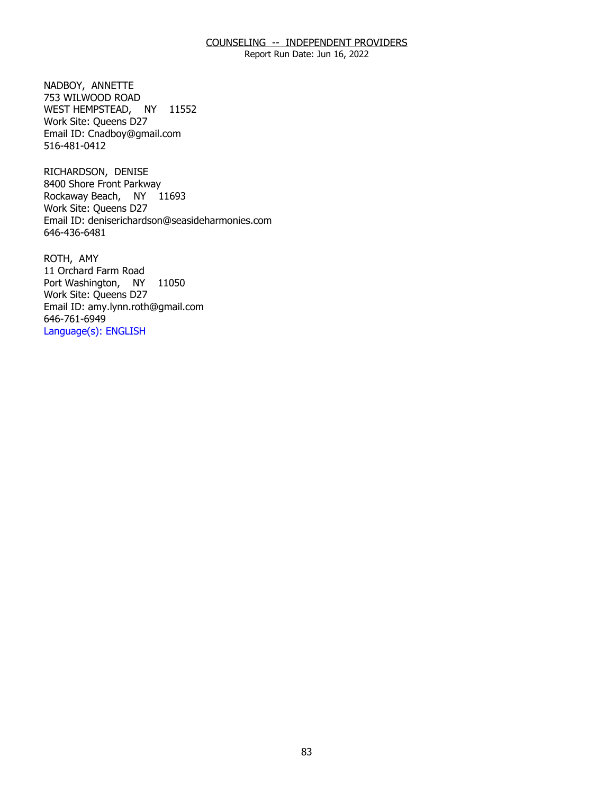Report Run Date: Jun 16, 2022

NADBOY, ANNETTE WEST HEMPSTEAD, NY 11552 753 WILWOOD ROAD Work Site: Queens D27 Email ID: [Cnadboy@gmail.com](mailto:Cnadboy@gmail.com) 516-481-0412

RICHARDSON, DENISE Rockaway Beach, NY 11693 8400 Shore Front Parkway Work Site: Queens D27 Email ID: [deniserichardson@seasideharmonies.com](mailto:deniserichardson@seasideharmonies.com) 646-436-6481

ROTH, AMY Port Washington, NY 11050 11 Orchard Farm Road Work Site: Queens D27 Email ID: [amy.lynn.roth@gmail.com](mailto:amy.lynn.roth@gmail.com) 646-761-6949 Language(s): ENGLISH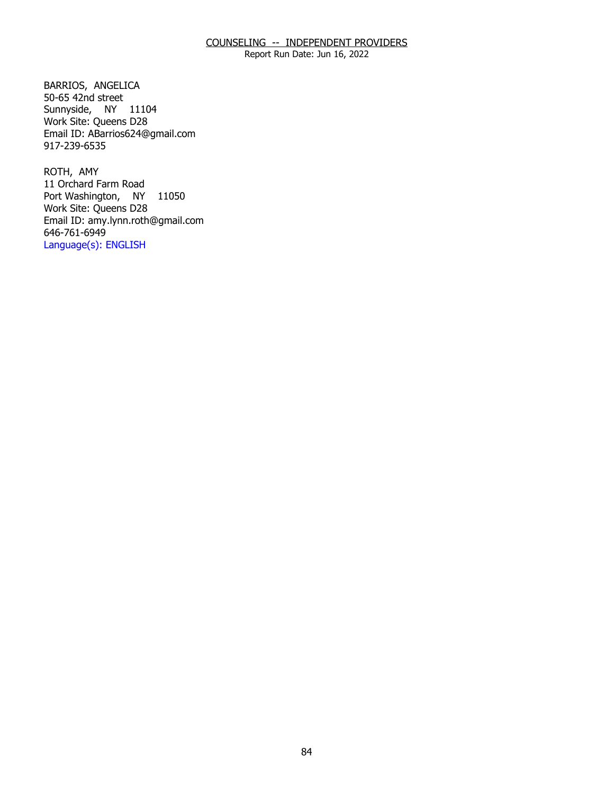Report Run Date: Jun 16, 2022

BARRIOS, ANGELICA Sunnyside, NY 11104  $50-65$  42nd street Work Site: Queens D28 Email ID: [ABarrios624@gmail.com](mailto:ABarrios624@gmail.com) 917-239-6535

ROTH, AMY Port Washington, NY 11050 11 Orchard Farm Road Work Site: Queens D28 Email ID: [amy.lynn.roth@gmail.com](mailto:amy.lynn.roth@gmail.com) 646-761-6949 Language(s): ENGLISH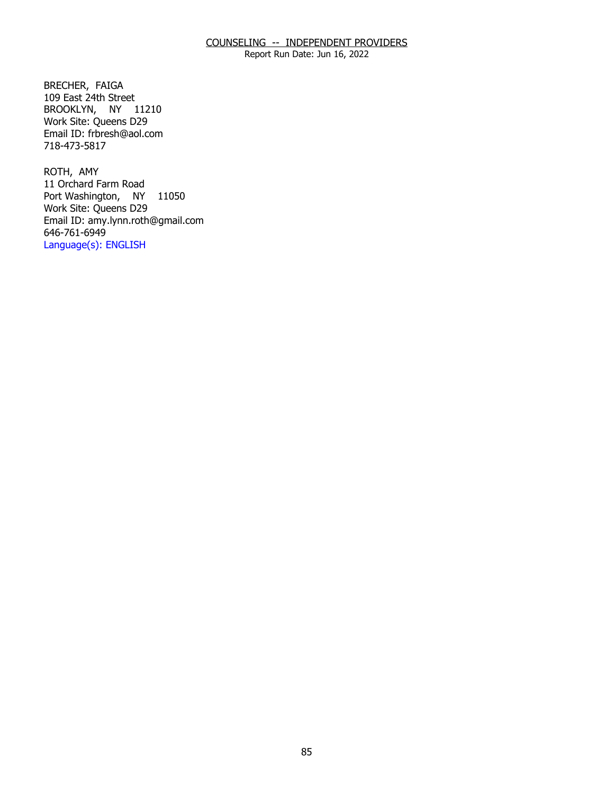Report Run Date: Jun 16, 2022

BRECHER, FAIGA BROOKLYN, NY 11210 109 East 24th Street Work Site: Queens D29 Email ID: [frbresh@aol.com](mailto:frbresh@aol.com)  718-473-5817

ROTH, AMY Port Washington, NY 11050 11 Orchard Farm Road Work Site: Queens D29 Email ID: [amy.lynn.roth@gmail.com](mailto:amy.lynn.roth@gmail.com) 646-761-6949 Language(s): ENGLISH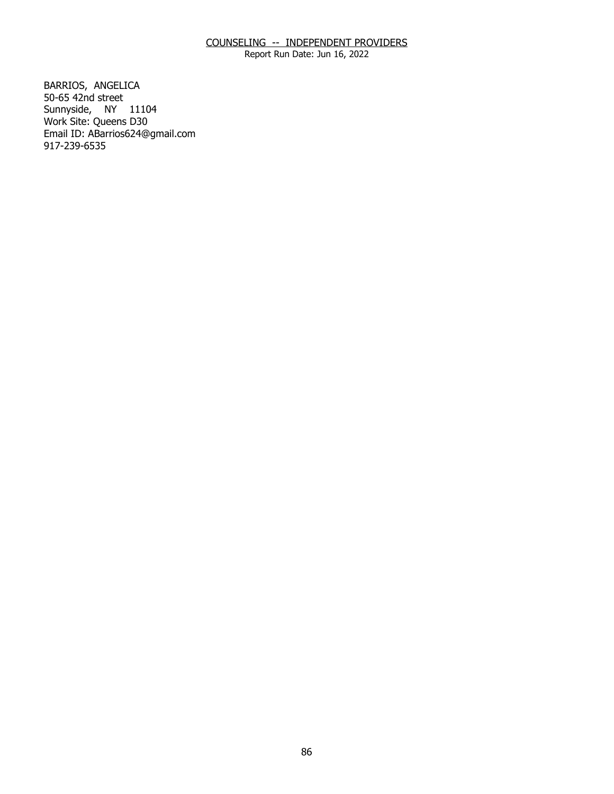Report Run Date: Jun 16, 2022

BARRIOS, ANGELICA<br>50-65 42nd street Sunnyside, NY 11104 Work Site: Queens D30 Email ID: [ABarrios624@gmail.com](mailto:ABarrios624@gmail.com) 917-239-6535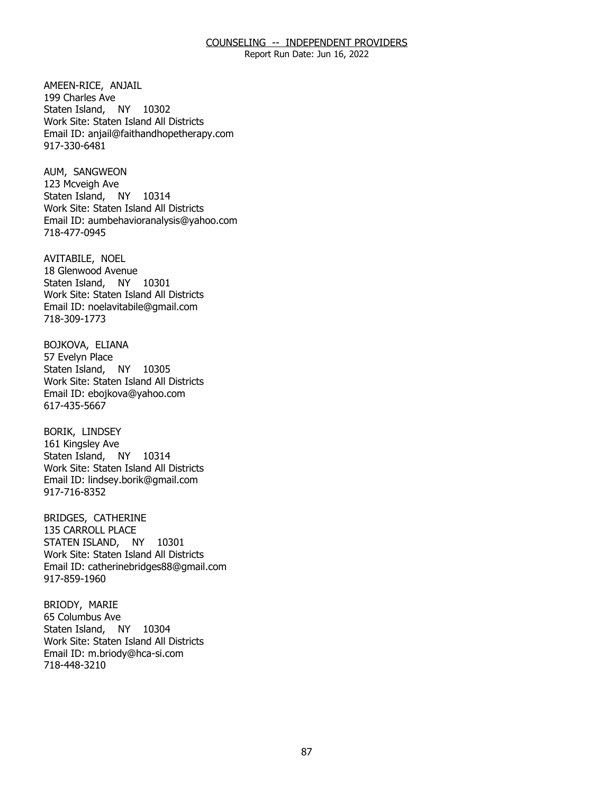Report Run Date: Jun 16, 2022

AMEEN-RICE, ANJAIL<br>199 Charles Ave Staten Island, NY 10302 Work Site: Staten Island All Districts Email ID: [anjail@faithandhopetherapy.com](mailto:anjail@faithandhopetherapy.com) 917-330-6481

AUM, SANGWEON Staten Island, NY 10314 123 Mcveigh Ave Work Site: Staten Island All Districts Email ID: [aumbehavioranalysis@yahoo.com](mailto:aumbehavioranalysis@yahoo.com)  718-477-0945

AVITABILE, NOEL Staten Island, NY 10301 18 Glenwood Avenue Work Site: Staten Island All Districts Email ID: [noelavitabile@gmail.com](mailto:noelavitabile@gmail.com) 718-309-1773

BOJKOVA, ELIANA<br>57 Evelyn Place Staten Island, NY 10305 Work Site: Staten Island All Districts Email ID: [ebojkova@yahoo.com](mailto:ebojkova@yahoo.com)  617-435-5667

**BORIK, LINDSEY**  Staten Island, NY 10314 161 Kingsley Ave Work Site: Staten Island All Districts Email ID: [lindsey.borik@gmail.com](mailto:lindsey.borik@gmail.com)  917-716-8352

BRIDGES, CATHERINE STATEN ISLAND, NY 10301 135 CARROLL PLACE Work Site: Staten Island All Districts Email ID: [catherinebridges88@gmail.com](mailto:catherinebridges88@gmail.com) 917-859-1960

BRIODY, MARIE<br>65 Columbus Ave Staten Island, NY 10304 Work Site: Staten Island All Districts Email ID: [m.briody@hca-si.com](mailto:m.briody@hca-si.com) 718-448-3210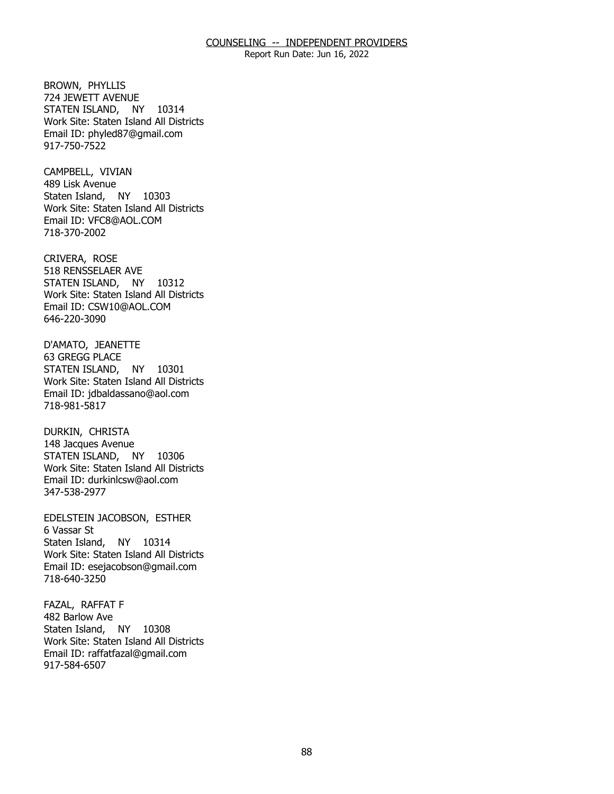Report Run Date: Jun 16, 2022

**BROWN, PHYLLIS**  STATEN ISLAND, NY 10314 724 JEWETT AVENUE Work Site: Staten Island All Districts Email ID: [phyled87@gmail.com](mailto:phyled87@gmail.com) 917-750-7522

CAMPBELL, VIVIAN<br>489 Lisk Avenue Staten Island, NY 10303 Work Site: Staten Island All Districts Email ID: [VFC8@AOL.COM](mailto:VFC8@AOL.COM)  718-370-2002

CRIVERA, ROSE STATEN ISLAND, NY 10312 518 RENSSELAER AVE Work Site: Staten Island All Districts Email ID: [CSW10@AOL.COM](mailto:CSW10@AOL.COM) 646-220-3090

D'AMATO, JEANETTE<br>63 GREGG PLACE STATEN ISLAND, NY 10301 Work Site: Staten Island All Districts Email ID: [jdbaldassano@aol.com](mailto:jdbaldassano@aol.com)  718-981-5817

DURKIN, CHRISTA STATEN ISLAND, NY 10306 148 Jacques Avenue Work Site: Staten Island All Districts Email ID: [durkinlcsw@aol.com](mailto:durkinlcsw@aol.com)  347-538-2977

 EDELSTEIN JACOBSON, ESTHER 6 Vassar St Staten Island, NY 10314 Work Site: Staten Island All Districts Email ID: [esejacobson@gmail.com](mailto:esejacobson@gmail.com) 718-640-3250

FAZAL, RAFFAT F<br>482 Barlow Ave Staten Island, NY 10308 Work Site: Staten Island All Districts Email ID: [raffatfazal@gmail.com](mailto:raffatfazal@gmail.com) 917-584-6507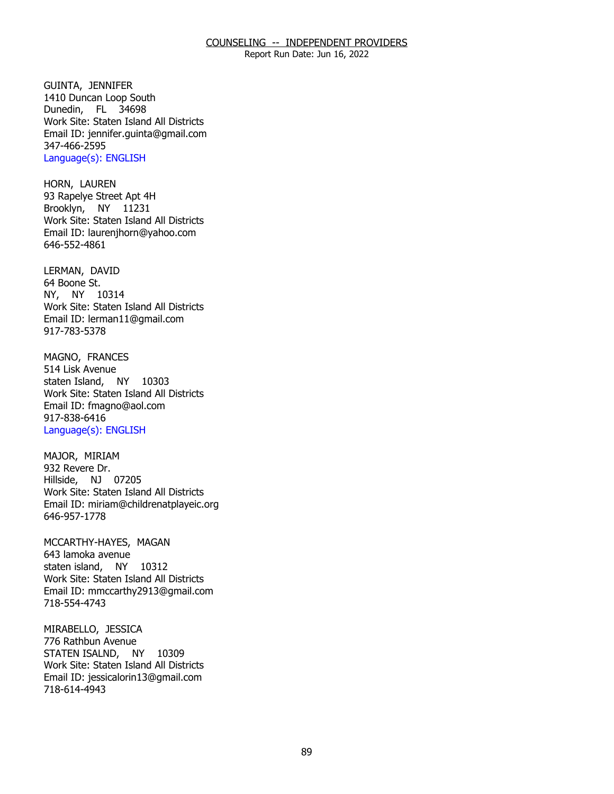Report Run Date: Jun 16, 2022

GUINTA, JENNIFER Dunedin, FL 34698 1410 Duncan Loop South Work Site: Staten Island All Districts Email ID: [jennifer.guinta@gmail.com](mailto:jennifer.guinta@gmail.com) 347-466-2595 Language(s): ENGLISH

HORN, LAUREN Brooklyn, NY 11231 93 Rapelye Street Apt 4H Work Site: Staten Island All Districts Email ID: [laurenjhorn@yahoo.com](mailto:laurenjhorn@yahoo.com)  646-552-4861

LERMAN, DAVID<br>64 Boone St. NY, NY 10314 Work Site: Staten Island All Districts Email ID: [lerman11@gmail.com](mailto:lerman11@gmail.com) 917-783-5378

MAGNO, FRANCES<br>514 Lisk Avenue staten Island, NY 10303 Work Site: Staten Island All Districts Email ID: [fmagno@aol.com](mailto:fmagno@aol.com)  917-838-6416 Language(s): ENGLISH

MAJOR, MIRIAM<br>932 Revere Dr. Hillside, NJ 07205 Work Site: Staten Island All Districts Email ID: [miriam@childrenatplayeic.org](mailto:miriam@childrenatplayeic.org) 646-957-1778

MCCARTHY-HAYES, MAGAN<br>643 lamoka avenue staten island, NY 10312 Work Site: Staten Island All Districts Email ID: [mmccarthy2913@gmail.com](mailto:mmccarthy2913@gmail.com)  718-554-4743

MIRABELLO, JESSICA STATEN ISALND, NY 10309 776 Rathbun Avenue Work Site: Staten Island All Districts Email ID: [jessicalorin13@gmail.com](mailto:jessicalorin13@gmail.com) 718-614-4943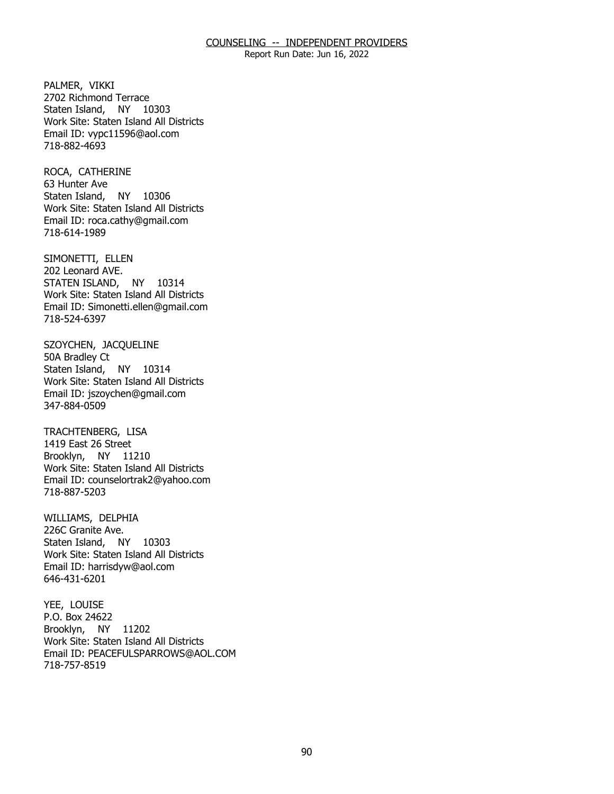Report Run Date: Jun 16, 2022

PALMER, VIKKI Staten Island, NY 10303 2702 Richmond Terrace Work Site: Staten Island All Districts Email ID: [vypc11596@aol.com](mailto:vypc11596@aol.com)  718-882-4693

ROCA, CATHERINE<br>63 Hunter Ave Staten Island, NY 10306 Work Site: Staten Island All Districts Email ID: [roca.cathy@gmail.com](mailto:roca.cathy@gmail.com)  718-614-1989

SIMONETTI, ELLEN<br>202 Leonard AVE. STATEN ISLAND, NY 10314 Work Site: Staten Island All Districts Email ID: [Simonetti.ellen@gmail.com](mailto:Simonetti.ellen@gmail.com) 718-524-6397

SZOYCHEN, JACQUELINE<br>50A Bradley Ct Staten Island, NY 10314 Work Site: Staten Island All Districts Email ID: [jszoychen@gmail.com](mailto:jszoychen@gmail.com) 347-884-0509

TRACHTENBERG, LISA<br>1419 East 26 Street Brooklyn, NY 11210 Work Site: Staten Island All Districts Email ID: [counselortrak2@yahoo.com](mailto:counselortrak2@yahoo.com) 718-887-5203

WILLIAMS, DELPHIA<br>226C Granite Ave. Staten Island, NY 10303 Work Site: Staten Island All Districts Email ID: [harrisdyw@aol.com](mailto:harrisdyw@aol.com) 646-431-6201

YEE, LOUISE<br>P.O. Box 24622 Brooklyn, NY 11202 Work Site: Staten Island All Districts Email ID: [PEACEFULSPARROWS@AOL.COM](mailto:PEACEFULSPARROWS@AOL.COM)  718-757-8519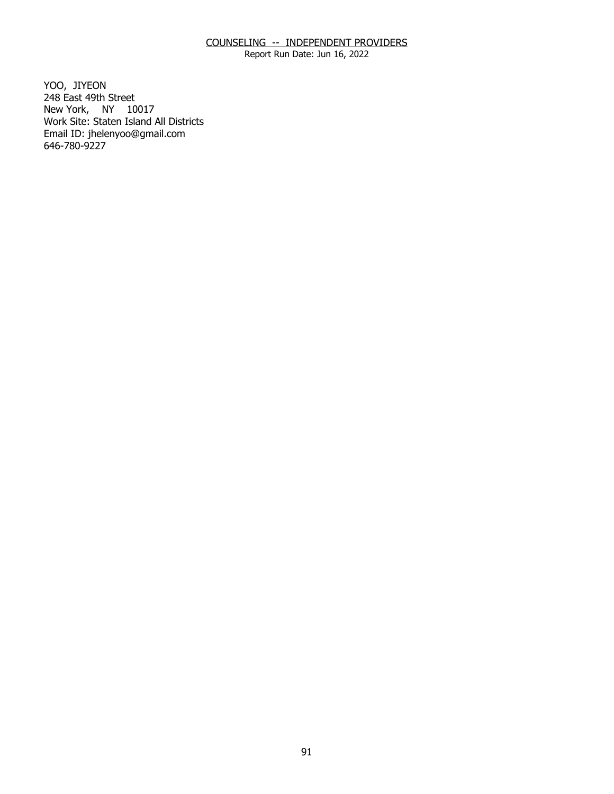Report Run Date: Jun 16, 2022

YOO, JIYEON New York, NY 10017 248 East 49th Street Work Site: Staten Island All Districts Email ID: [jhelenyoo@gmail.com](mailto:jhelenyoo@gmail.com)  646-780-9227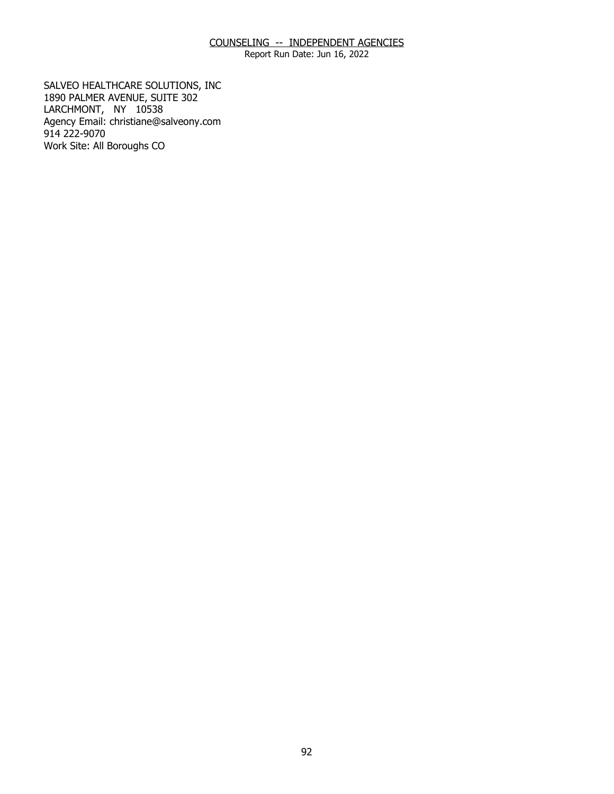Report Run Date: Jun 16, 2022

SALVEO HEALTHCARE SOLUTIONS, INC 1890 PALMER AVENUE, SUITE 302 SALVEO HEALTHCARE SOLUTIONS, INC<br>1890 PALMER AVENUE, SUITE 302<br>LARCHMONT, NY 10538 Agency Email: [christiane@salveony.com](mailto:christiane@salveony.com) 914 222-9070 Work Site: All Boroughs CO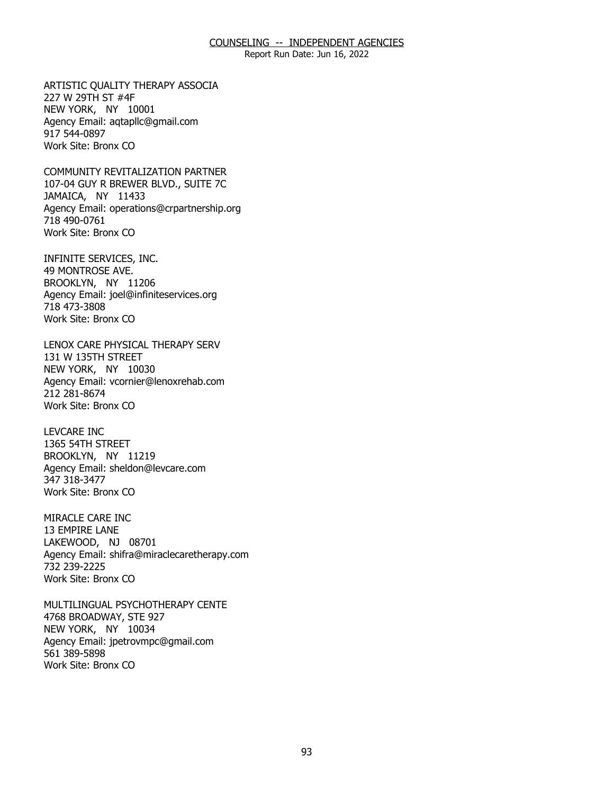Report Run Date: Jun 16, 2022

ARTISTIC QUALITY THERAPY ASSOCIA<br>227 W 29TH ST #4F<br>NEW YORK, NY 10001 227 W 29TH ST #4F NEW YORK, NY 10001 Agency Email: [aqtapllc@gmail.com](mailto:aqtapllc@gmail.com)  917 544-0897 Work Site: Bronx CO

COMMUNITY REVITALIZATION PARTNER JAMAICA, NY 11433 COMMUNITY REVITALIZATION PARTNER<br>107-04 GUY R BREWER BLVD., SUITE 7C<br>JAMAICA, NY 11433 Agency Email: [operations@crpartnership.org](mailto:operations@crpartnership.org) 718 490-0761 Work Site: Bronx CO

INFINITE SERVICES, INC.<br>49 MONTROSE AVE.<br>BROOKLYN, NY 11206 49 MONTROSE AVE. BROOKLYN, NY 11206 Agency Email: [joel@infiniteservices.org](mailto:joel@infiniteservices.org)  718 473-3808 Work Site: Bronx CO

LENOX CARE PHYSICAL THERAPY SERV<br>131 W 135TH STREET<br>NEW YORK, NY 10030 131 W 135TH STREET NEW YORK, NY 10030 Agency Email: [vcornier@lenoxrehab.com](mailto:vcornier@lenoxrehab.com)  212 281-8674 Work Site: Bronx CO

**LEVCARE INC** 1365 54TH STREET LEVCARE INC<br>1365 54TH STREET<br>BROOKLYN, NY 11219 Agency Email: [sheldon@levcare.com](mailto:sheldon@levcare.com) 347 318-3477 Work Site: Bronx CO

MIRACLE CARE INC 13 EMPIRE LANE MIRACLE CARE INC<br>13 EMPIRE LANE<br>LAKEWOOD, NJ 08701 Agency Email: [shifra@miraclecaretherapy.com](mailto:shifra@miraclecaretherapy.com) 732 239-2225 Work Site: Bronx CO

MULTILINGUAL PSYCHOTHERAPY CENTE<br>4768 BROADWAY, STE 927<br>NEW YORK, NY 10034 4768 BROADWAY, STE 927 NEW YORK, NY 10034 Agency Email: [jpetrovmpc@gmail.com](mailto:jpetrovmpc@gmail.com) 561 389-5898 Work Site: Bronx CO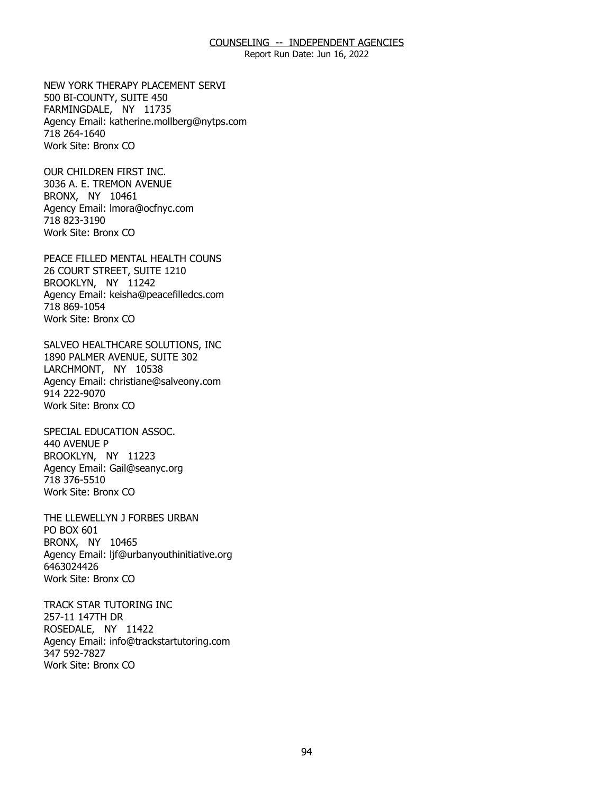Report Run Date: Jun 16, 2022

NEW YORK THERAPY PLACEMENT SERVI<br>500 BI-COUNTY, SUITE 450<br>FARMINGDALE, NY 11735 500 BI-COUNTY, SUITE 450 FARMINGDALE, NY 11735 Agency Email: [katherine.mollberg@nytps.com](mailto:katherine.mollberg@nytps.com) 718 264-1640 Work Site: Bronx CO

OUR CHILDREN FIRST INC. BRONX, NY 10461 OUR CHILDREN FIRST INC.<br>3036 A. E. TREMON AVENUE<br>BRONX, NY 10461 Agency Email: [lmora@ocfnyc.com](mailto:lmora@ocfnyc.com) 718 823-3190 Work Site: Bronx CO

PEACE FILLED MENTAL HEALTH COUNS<br>26 COURT STREET, SUITE 1210<br>BROOKLYN, NY 11242 26 COURT STREET, SUITE 1210 BROOKLYN, NY 11242 Agency Email: [keisha@peacefilledcs.com](mailto:keisha@peacefilledcs.com)  718 869-1054 Work Site: Bronx CO

SALVEO HEALTHCARE SOLUTIONS, INC<br>1890 PALMER AVENUE, SUITE 302<br>LARCHMONT, NY 10538 1890 PALMER AVENUE, SUITE 302 LARCHMONT, NY 10538 Agency Email: [christiane@salveony.com](mailto:christiane@salveony.com) 914 222-9070 Work Site: Bronx CO

SPECIAL EDUCATION ASSOC. 440 AVENUE P SPECIAL EDUCATION ASSOC.<br>440 AVENUE P<br>BROOKLYN, NY 11223 Agency Email: [Gail@seanyc.org](mailto:Gail@seanyc.org)  718 376-5510 Work Site: Bronx CO

THE LLEWELLYN J FORBES URBAN<br>PO BOX 601<br>BRONX, NY 10465 PO BOX 601 BRONX, NY 10465 Agency Email: [ljf@urbanyouthinitiative.org](mailto:ljf@urbanyouthinitiative.org)  6463024426 Work Site: Bronx CO

TRACK STAR TUTORING INC 257-11 147TH DR TRACK STAR TUTORING INC<br>257-11 147TH DR<br>ROSEDALE, NY 11422 Agency Email: [info@trackstartutoring.com](mailto:info@trackstartutoring.com)  347 592-7827 Work Site: Bronx CO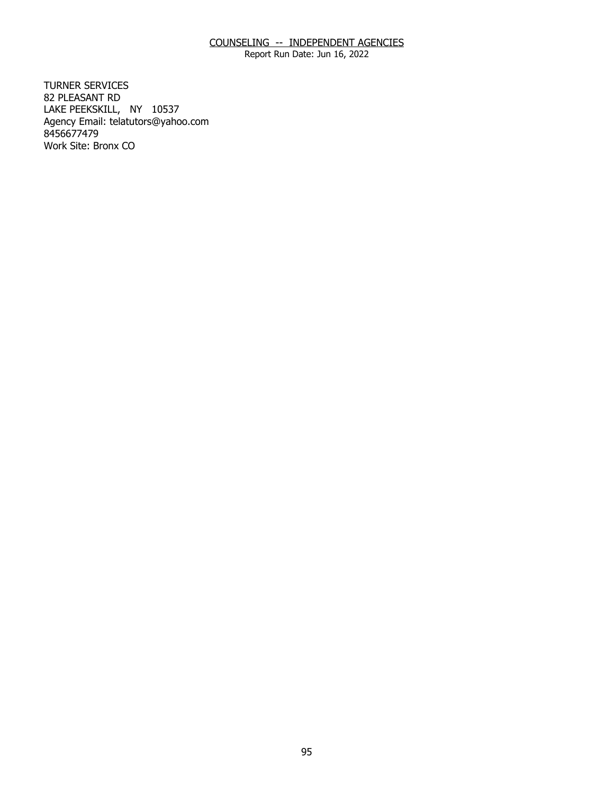Report Run Date: Jun 16, 2022

**TURNER SERVICES** 82 PLEASANT RD TURNER SERVICES<br>82 PLEASANT RD<br>LAKE PEEKSKILL, NY 10537 Agency Email: [telatutors@yahoo.com](mailto:telatutors@yahoo.com) 8456677479 Work Site: Bronx CO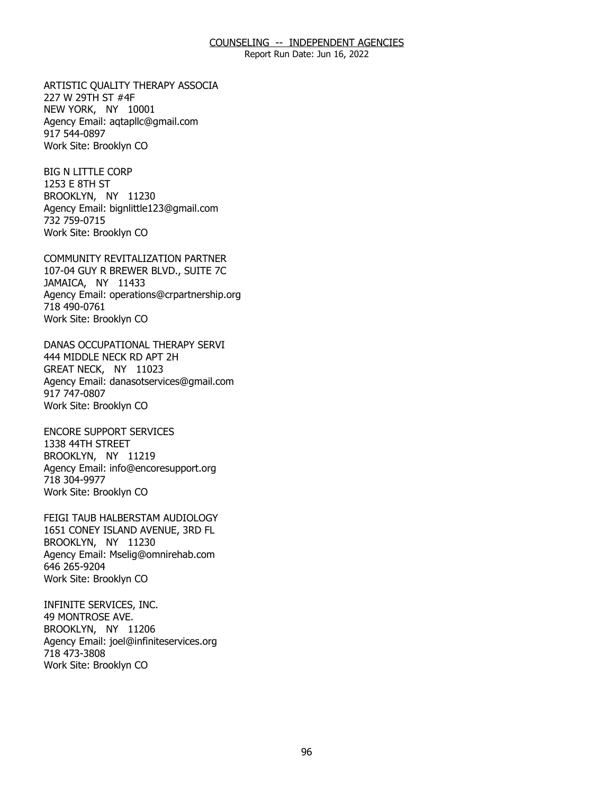Report Run Date: Jun 16, 2022

ARTISTIC QUALITY THERAPY ASSOCIA<br>227 W 29TH ST #4F<br>NEW YORK, NY 10001 227 W 29TH ST #4F NEW YORK, NY 10001 Agency Email: [aqtapllc@gmail.com](mailto:aqtapllc@gmail.com)  917 544-0897 Work Site: Brooklyn CO

**BIG N LITTLE CORP** 1253 E 8TH ST BIG N LITTLE CORP<br>1253 E 8TH ST<br>BROOKLYN, NY 11230 Agency Email: [bignlittle123@gmail.com](mailto:bignlittle123@gmail.com)  732 759-0715 Work Site: Brooklyn CO

COMMUNITY REVITALIZATION PARTNER JAMAICA, NY 11433 COMMUNITY REVITALIZATION PARTNER<br>107-04 GUY R BREWER BLVD., SUITE 7C<br>JAMAICA, NY 11433 Agency Email: [operations@crpartnership.org](mailto:operations@crpartnership.org) 718 490-0761 Work Site: Brooklyn CO

DANAS OCCUPATIONAL THERAPY SERVI<br>444 MIDDLE NECK RD APT 2H<br>GREAT NECK, NY 11023 444 MIDDLE NECK RD APT 2H GREAT NECK, NY 11023 Agency Email: [danasotservices@gmail.com](mailto:danasotservices@gmail.com) 917 747-0807 Work Site: Brooklyn CO

**ENCORE SUPPORT SERVICES** 1338 44TH STREET ENCORE SUPPORT SERVICES<br>1338 44TH STREET<br>BROOKLYN, NY 11219 Agency Email: [info@encoresupport.org](mailto:info@encoresupport.org)  718 304-9977 Work Site: Brooklyn CO

FEIGI TAUB HALBERSTAM AUDIOLOGY BROOKLYN, NY 11230 FEIGI TAUB HALBERSTAM AUDIOLOGY<br>1651 CONEY ISLAND AVENUE, 3RD FL<br>BROOKLYN, NY 11230 Agency Email: [Mselig@omnirehab.com](mailto:Mselig@omnirehab.com) 646 265-9204 Work Site: Brooklyn CO

INFINITE SERVICES, INC. 49 MONTROSE AVE. INFINITE SERVICES, INC.<br>49 MONTROSE AVE.<br>BROOKLYN, NY 11206 Agency Email: [joel@infiniteservices.org](mailto:joel@infiniteservices.org)  718 473-3808 Work Site: Brooklyn CO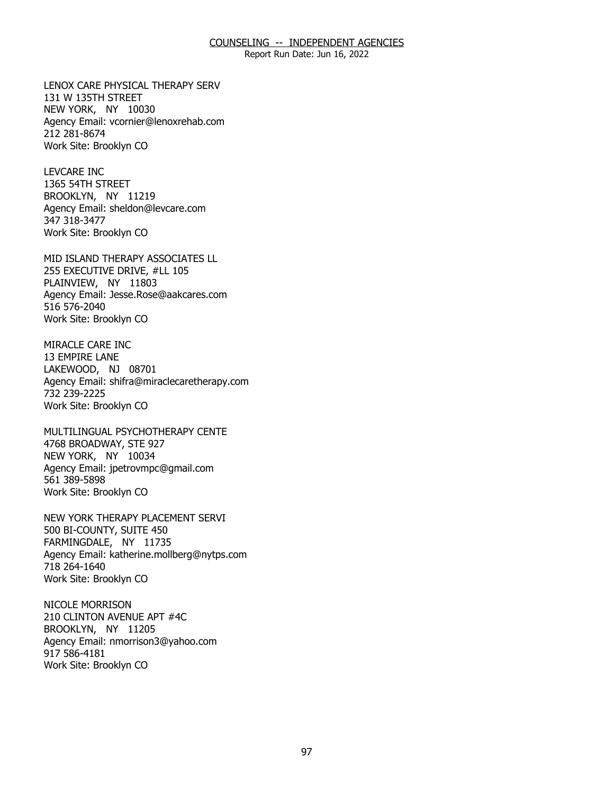Report Run Date: Jun 16, 2022

LENOX CARE PHYSICAL THERAPY SERV<br>131 W 135TH STREET<br>NEW YORK, NY 10030 131 W 135TH STREET NEW YORK, NY 10030 Agency Email: [vcornier@lenoxrehab.com](mailto:vcornier@lenoxrehab.com)  212 281-8674 Work Site: Brooklyn CO

**LEVCARE INC** 1365 54TH STREET LEVCARE INC<br>1365 54TH STREET<br>BROOKLYN, NY 11219 Agency Email: [sheldon@levcare.com](mailto:sheldon@levcare.com) 347 318-3477 Work Site: Brooklyn CO

MID ISLAND THERAPY ASSOCIATES LL<br>255 EXECUTIVE DRIVE, #LL 105<br>PLAINVIEW, NY 11803 255 EXECUTIVE DRIVE, #LL 105 PLAINVIEW, NY 11803 Agency Email: [Jesse.Rose@aakcares.com](mailto:Jesse.Rose@aakcares.com)  516 576-2040 Work Site: Brooklyn CO

MIRACLE CARE INC 13 EMPIRE LANE MIRACLE CARE INC<br>13 EMPIRE LANE<br>LAKEWOOD, NJ 08701 Agency Email: [shifra@miraclecaretherapy.com](mailto:shifra@miraclecaretherapy.com) 732 239-2225 Work Site: Brooklyn CO

MULTILINGUAL PSYCHOTHERAPY CENTE<br>4768 BROADWAY, STE 927<br>NEW YORK, NY 10034 4768 BROADWAY, STE 927 NEW YORK, NY 10034 Agency Email: [jpetrovmpc@gmail.com](mailto:jpetrovmpc@gmail.com) 561 389-5898 Work Site: Brooklyn CO

NEW YORK THERAPY PLACEMENT SERVI<br>500 BI-COUNTY, SUITE 450<br>FARMINGDALE, NY 11735 500 BI-COUNTY, SUITE 450 FARMINGDALE, NY 11735 Agency Email: [katherine.mollberg@nytps.com](mailto:katherine.mollberg@nytps.com) 718 264-1640 Work Site: Brooklyn CO

**NICOLE MORRISON** BROOKLYN, NY 11205 NICOLE MORRISON<br>210 CLINTON AVENUE APT #4C<br>BROOKLYN, NY 11205 Agency Email: [nmorrison3@yahoo.com](mailto:nmorrison3@yahoo.com) 917 586-4181 Work Site: Brooklyn CO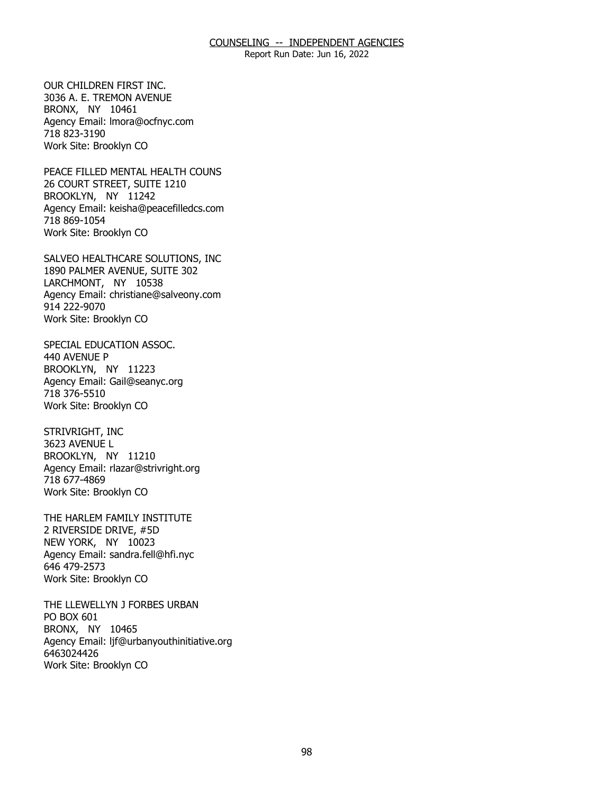Report Run Date: Jun 16, 2022

OUR CHILDREN FIRST INC. BRONX, NY 10461 OUR CHILDREN FIRST INC.<br>3036 A. E. TREMON AVENUE<br>BRONX, NY 10461 Agency Email: [lmora@ocfnyc.com](mailto:lmora@ocfnyc.com) 718 823-3190 Work Site: Brooklyn CO

PEACE FILLED MENTAL HEALTH COUNS<br>26 COURT STREET, SUITE 1210<br>BROOKLYN, NY 11242 26 COURT STREET, SUITE 1210 BROOKLYN, NY 11242 Agency Email: [keisha@peacefilledcs.com](mailto:keisha@peacefilledcs.com)  718 869-1054 Work Site: Brooklyn CO

SALVEO HEALTHCARE SOLUTIONS, INC<br>1890 PALMER AVENUE, SUITE 302<br>LARCHMONT, NY 10538 1890 PALMER AVENUE, SUITE 302 LARCHMONT, NY 10538 Agency Email: [christiane@salveony.com](mailto:christiane@salveony.com) 914 222-9070 Work Site: Brooklyn CO

SPECIAL EDUCATION ASSOC. 440 AVENUE P SPECIAL EDUCATION ASSOC.<br>440 AVENUE P<br>BROOKLYN, NY 11223 Agency Email: [Gail@seanyc.org](mailto:Gail@seanyc.org)  718 376-5510 Work Site: Brooklyn CO

STRIVRIGHT, INC 3623 AVENUE L STRIVRIGHT, INC<br>3623 AVENUE L<br>BROOKLYN, NY 11210 Agency Email: [rlazar@strivright.org](mailto:rlazar@strivright.org) 718 677-4869 Work Site: Brooklyn CO

THE HARLEM FAMILY INSTITUTE<br>2 RIVERSIDE DRIVE, #5D<br>NEW YORK, NY 10023 2 RIVERSIDE DRIVE, #5D NEW YORK, NY 10023 Agency Email: [sandra.fell@hfi.nyc](mailto:sandra.fell@hfi.nyc) 646 479-2573 Work Site: Brooklyn CO

THE LLEWELLYN J FORBES URBAN<br>PO BOX 601<br>BRONX, NY 10465 PO BOX 601 BRONX, NY 10465 Agency Email: [ljf@urbanyouthinitiative.org](mailto:ljf@urbanyouthinitiative.org)  6463024426 Work Site: Brooklyn CO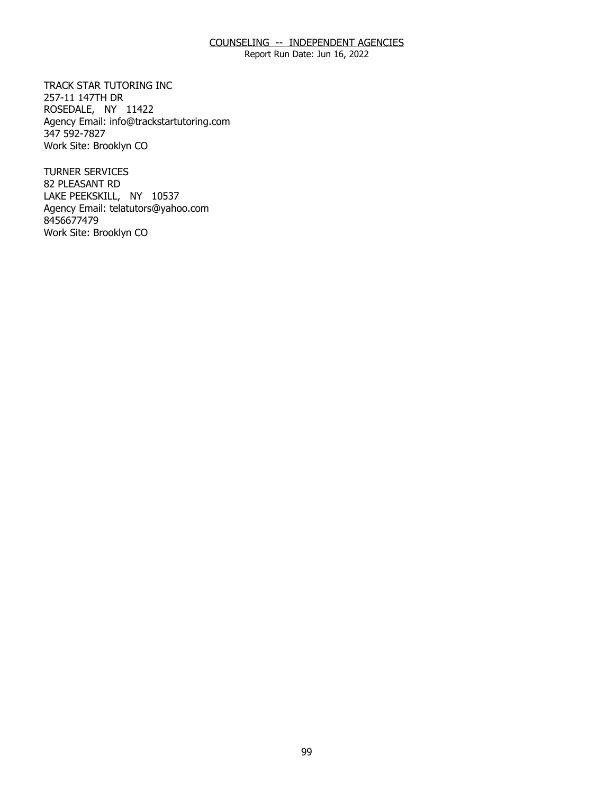Report Run Date: Jun 16, 2022

TRACK STAR TUTORING INC 257-11 147TH DR TRACK STAR TUTORING INC<br>257-11 147TH DR<br>ROSEDALE, NY 11422 Agency Email: [info@trackstartutoring.com](mailto:info@trackstartutoring.com)  347 592-7827 Work Site: Brooklyn CO

**TURNER SERVICES** 82 PLEASANT RD TURNER SERVICES<br>82 PLEASANT RD<br>LAKE PEEKSKILL, NY 10537 Agency Email: [telatutors@yahoo.com](mailto:telatutors@yahoo.com) 8456677479 Work Site: Brooklyn CO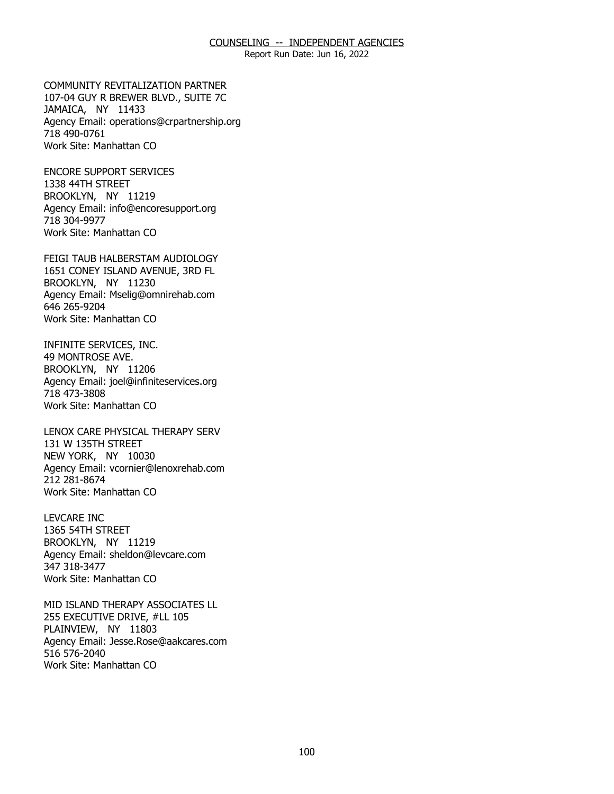Report Run Date: Jun 16, 2022

**COMMUNITY REVITALIZATION PARTNER** JAMAICA, NY 11433 COMMUNITY REVITALIZATION PARTNER<br>107-04 GUY R BREWER BLVD., SUITE 7C<br>JAMAICA, NY 11433 Agency Email: [operations@crpartnership.org](mailto:operations@crpartnership.org) 718 490-0761 Work Site: Manhattan CO

**ENCORE SUPPORT SERVICES** 1338 44TH STREET ENCORE SUPPORT SERVICES<br>1338 44TH STREET<br>BROOKLYN, NY 11219 Agency Email: [info@encoresupport.org](mailto:info@encoresupport.org)  718 304-9977 Work Site: Manhattan CO

FEIGI TAUB HALBERSTAM AUDIOLOGY BROOKLYN, NY 11230 FEIGI TAUB HALBERSTAM AUDIOLOGY<br>1651 CONEY ISLAND AVENUE, 3RD FL<br>BROOKLYN, NY 11230 Agency Email: [Mselig@omnirehab.com](mailto:Mselig@omnirehab.com) 646 265-9204 Work Site: Manhattan CO

INFINITE SERVICES, INC. 49 MONTROSE AVE. INFINITE SERVICES, INC.<br>49 MONTROSE AVE.<br>BROOKLYN, NY 11206 Agency Email: [joel@infiniteservices.org](mailto:joel@infiniteservices.org)  718 473-3808 Work Site: Manhattan CO

LENOX CARE PHYSICAL THERAPY SERV<br>131 W 135TH STREET<br>NEW YORK, NY 10030 131 W 135TH STREET NEW YORK, NY 10030 Agency Email: [vcornier@lenoxrehab.com](mailto:vcornier@lenoxrehab.com)  212 281-8674 Work Site: Manhattan CO

**LEVCARE INC** 1365 54TH STREET LEVCARE INC<br>1365 54TH STREET<br>BROOKLYN, NY 11219 Agency Email: [sheldon@levcare.com](mailto:sheldon@levcare.com) 347 318-3477 Work Site: Manhattan CO

MID ISLAND THERAPY ASSOCIATES LL<br>255 EXECUTIVE DRIVE, #LL 105<br>PLAINVIEW, NY 11803 255 EXECUTIVE DRIVE, #LL 105 PLAINVIEW, NY 11803 Agency Email: [Jesse.Rose@aakcares.com](mailto:Jesse.Rose@aakcares.com)  516 576-2040 Work Site: Manhattan CO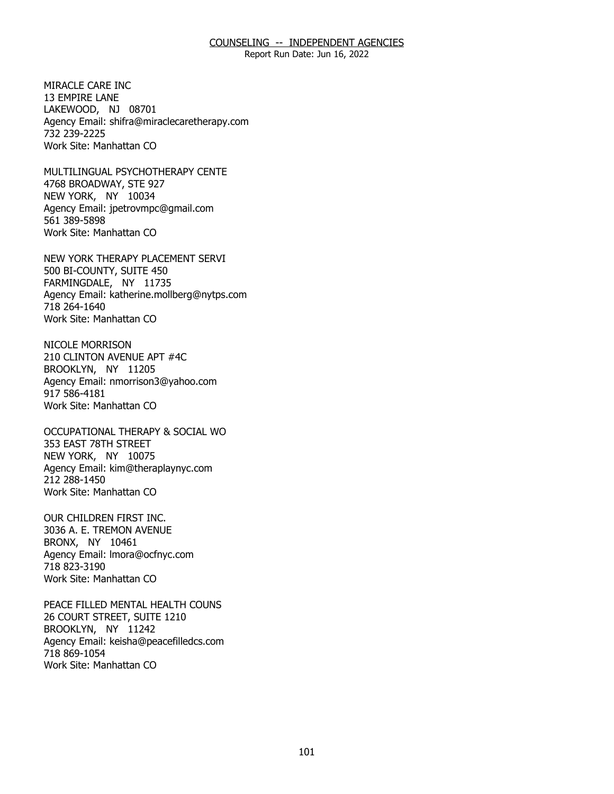Report Run Date: Jun 16, 2022

MIRACLE CARE INC. 13 EMPIRE LANE MIRACLE CARE INC<br>13 EMPIRE LANE<br>LAKEWOOD, NJ 08701 Agency Email: [shifra@miraclecaretherapy.com](mailto:shifra@miraclecaretherapy.com) 732 239-2225 Work Site: Manhattan CO

MULTILINGUAL PSYCHOTHERAPY CENTE<br>4768 BROADWAY, STE 927<br>NEW YORK, NY 10034 4768 BROADWAY, STE 927 NEW YORK, NY 10034 Agency Email: [jpetrovmpc@gmail.com](mailto:jpetrovmpc@gmail.com) 561 389-5898 Work Site: Manhattan CO

NEW YORK THERAPY PLACEMENT SERVI<br>500 BI-COUNTY, SUITE 450<br>FARMINGDALE, NY 11735 500 BI-COUNTY, SUITE 450 FARMINGDALE, NY 11735 Agency Email: [katherine.mollberg@nytps.com](mailto:katherine.mollberg@nytps.com) 718 264-1640 Work Site: Manhattan CO

NICOLE MORRISON BROOKLYN, NY 11205 NICOLE MORRISON<br>210 CLINTON AVENUE APT #4C<br>BROOKLYN, NY 11205 Agency Email: [nmorrison3@yahoo.com](mailto:nmorrison3@yahoo.com) 917 586-4181 Work Site: Manhattan CO

OCCUPATIONAL THERAPY & SOCIAL WO<br>353 EAST 78TH STREET<br>NEW YORK, NY 10075 353 EAST 78TH STREET NEW YORK, NY 10075 Agency Email: [kim@theraplaynyc.com](mailto:kim@theraplaynyc.com)  212 288-1450 Work Site: Manhattan CO

OUR CHILDREN FIRST INC. BRONX, NY 10461 OUR CHILDREN FIRST INC.<br>3036 A. E. TREMON AVENUE<br>BRONX, NY 10461 Agency Email: [lmora@ocfnyc.com](mailto:lmora@ocfnyc.com) 718 823-3190 Work Site: Manhattan CO

PEACE FILLED MENTAL HEALTH COUNS<br>26 COURT STREET, SUITE 1210<br>BROOKLYN, NY 11242 26 COURT STREET, SUITE 1210 BROOKLYN, NY 11242 Agency Email: [keisha@peacefilledcs.com](mailto:keisha@peacefilledcs.com)  718 869-1054 Work Site: Manhattan CO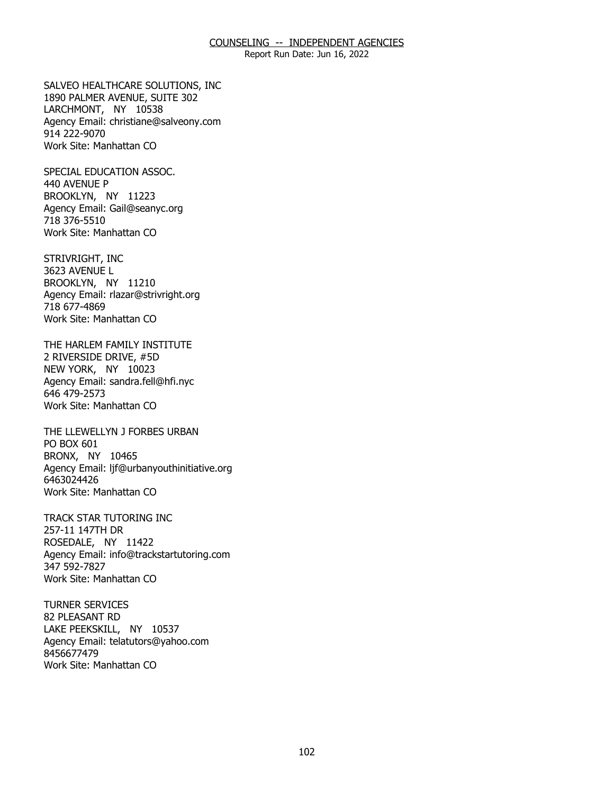Report Run Date: Jun 16, 2022

SALVEO HEALTHCARE SOLUTIONS, INC<br>1890 PALMER AVENUE, SUITE 302<br>LARCHMONT, NY 10538 1890 PALMER AVENUE, SUITE 302 LARCHMONT, NY 10538 Agency Email: [christiane@salveony.com](mailto:christiane@salveony.com) 914 222-9070 Work Site: Manhattan CO

SPECIAL EDUCATION ASSOC. 440 AVENUE P SPECIAL EDUCATION ASSOC.<br>440 AVENUE P<br>BROOKLYN, NY 11223 Agency Email: [Gail@seanyc.org](mailto:Gail@seanyc.org)  718 376-5510 Work Site: Manhattan CO

STRIVRIGHT, INC 3623 AVENUE L STRIVRIGHT, INC<br>3623 AVENUE L<br>BROOKLYN, NY 11210 Agency Email: [rlazar@strivright.org](mailto:rlazar@strivright.org) 718 677-4869 Work Site: Manhattan CO

THE HARLEM FAMILY INSTITUTE 2 RIVERSIDE DRIVE, #5D THE HARLEM FAMILY INSTITUTE<br>2 RIVERSIDE DRIVE, #5D<br>NEW YORK, NY 10023 Agency Email: [sandra.fell@hfi.nyc](mailto:sandra.fell@hfi.nyc) 646 479-2573 Work Site: Manhattan CO

THE LLEWELLYN J FORBES URBAN<br>PO BOX 601<br>BRONX, NY 10465 PO BOX 601 BRONX, NY 10465 Agency Email: [ljf@urbanyouthinitiative.org](mailto:ljf@urbanyouthinitiative.org)  6463024426 Work Site: Manhattan CO

TRACK STAR TUTORING INC 257-11 147TH DR TRACK STAR TUTORING INC<br>257-11 147TH DR<br>ROSEDALE, NY 11422 Agency Email: [info@trackstartutoring.com](mailto:info@trackstartutoring.com)  347 592-7827 Work Site: Manhattan CO

**TURNER SERVICES** 82 PLEASANT RD TURNER SERVICES<br>82 PLEASANT RD<br>LAKE PEEKSKILL, NY 10537 Agency Email: [telatutors@yahoo.com](mailto:telatutors@yahoo.com) 8456677479 Work Site: Manhattan CO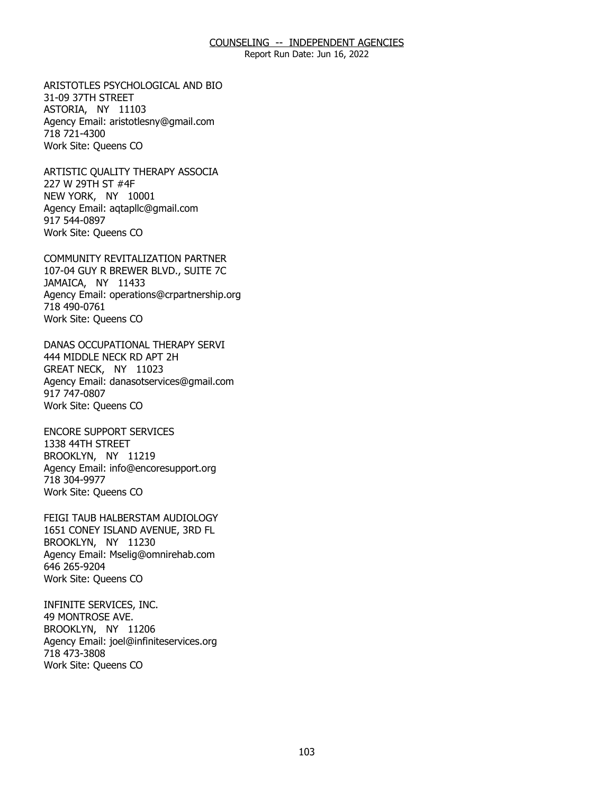Report Run Date: Jun 16, 2022

ARISTOTLES PSYCHOLOGICAL AND BIO<br>31-09 37TH STREET<br>ASTORIA, NY 11103 31-09 37TH STREET ASTORIA, NY 11103 Agency Email: [aristotlesny@gmail.com](mailto:aristotlesny@gmail.com)  718 721-4300 Work Site: Queens CO

ARTISTIC QUALITY THERAPY ASSOCIA<br>227 W 29TH ST #4F<br>NEW YORK, NY 10001 227 W 29TH ST #4F NEW YORK, NY 10001 Agency Email: [aqtapllc@gmail.com](mailto:aqtapllc@gmail.com)  917 544-0897 Work Site: Queens CO

COMMUNITY REVITALIZATION PARTNER JAMAICA, NY 11433 COMMUNITY REVITALIZATION PARTNER<br>107-04 GUY R BREWER BLVD., SUITE 7C<br>JAMAICA, NY 11433 Agency Email: [operations@crpartnership.org](mailto:operations@crpartnership.org) 718 490-0761 Work Site: Queens CO

DANAS OCCUPATIONAL THERAPY SERVI<br>444 MIDDLE NECK RD APT 2H<br>GREAT NECK, NY 11023 444 MIDDLE NECK RD APT 2H GREAT NECK, NY 11023 Agency Email: [danasotservices@gmail.com](mailto:danasotservices@gmail.com) 917 747-0807 Work Site: Queens CO

**ENCORE SUPPORT SERVICES** 1338 44TH STREET ENCORE SUPPORT SERVICES<br>1338 44TH STREET<br>BROOKLYN, NY 11219 Agency Email: [info@encoresupport.org](mailto:info@encoresupport.org)  718 304-9977 Work Site: Queens CO

FEIGI TAUB HALBERSTAM AUDIOLOGY BROOKLYN, NY 11230 FEIGI TAUB HALBERSTAM AUDIOLOGY<br>1651 CONEY ISLAND AVENUE, 3RD FL<br>BROOKLYN, NY 11230 Agency Email: [Mselig@omnirehab.com](mailto:Mselig@omnirehab.com) 646 265-9204 Work Site: Queens CO

INFINITE SERVICES, INC. 49 MONTROSE AVE. INFINITE SERVICES, INC.<br>49 MONTROSE AVE.<br>BROOKLYN, NY 11206 Agency Email: [joel@infiniteservices.org](mailto:joel@infiniteservices.org)  718 473-3808 Work Site: Queens CO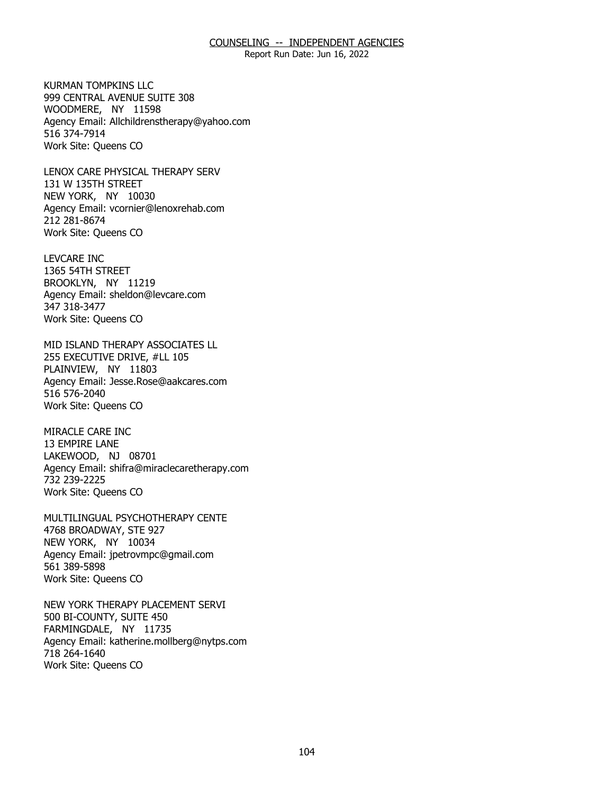Report Run Date: Jun 16, 2022

KURMAN TOMPKINS LLC. WOODMERE, NY 11598 KURMAN TOMPKINS LLC<br>999 CENTRAL AVENUE SUITE 308<br>WOODMERE, NY 11598 Agency Email: [Allchildrenstherapy@yahoo.com](mailto:Allchildrenstherapy@yahoo.com)  516 374-7914 Work Site: Queens CO

LENOX CARE PHYSICAL THERAPY SERV<br>131 W 135TH STREET<br>NEW YORK, NY 10030 131 W 135TH STREET NEW YORK, NY 10030 Agency Email: [vcornier@lenoxrehab.com](mailto:vcornier@lenoxrehab.com)  212 281-8674 Work Site: Queens CO

**LEVCARE INC** 1365 54TH STREET LEVCARE INC<br>1365 54TH STREET<br>BROOKLYN, NY 11219 Agency Email: [sheldon@levcare.com](mailto:sheldon@levcare.com) 347 318-3477 Work Site: Queens CO

MID ISLAND THERAPY ASSOCIATES LL<br>255 EXECUTIVE DRIVE, #LL 105<br>PLAINVIEW, NY 11803 255 EXECUTIVE DRIVE, #LL 105 PLAINVIEW, NY 11803 Agency Email: [Jesse.Rose@aakcares.com](mailto:Jesse.Rose@aakcares.com)  516 576-2040 Work Site: Queens CO

MIRACLE CARE INC 13 EMPIRE LANE MIRACLE CARE INC<br>13 EMPIRE LANE<br>LAKEWOOD, NJ 08701 Agency Email: [shifra@miraclecaretherapy.com](mailto:shifra@miraclecaretherapy.com) 732 239-2225 Work Site: Queens CO

MULTILINGUAL PSYCHOTHERAPY CENTE<br>4768 BROADWAY, STE 927<br>NEW YORK, NY 10034 4768 BROADWAY, STE 927 NEW YORK, NY 10034 Agency Email: [jpetrovmpc@gmail.com](mailto:jpetrovmpc@gmail.com) 561 389-5898 Work Site: Queens CO

NEW YORK THERAPY PLACEMENT SERVI<br>500 BI-COUNTY, SUITE 450<br>FARMINGDALE, NY 11735 500 BI-COUNTY, SUITE 450 FARMINGDALE, NY 11735 Agency Email: [katherine.mollberg@nytps.com](mailto:katherine.mollberg@nytps.com) 718 264-1640 Work Site: Queens CO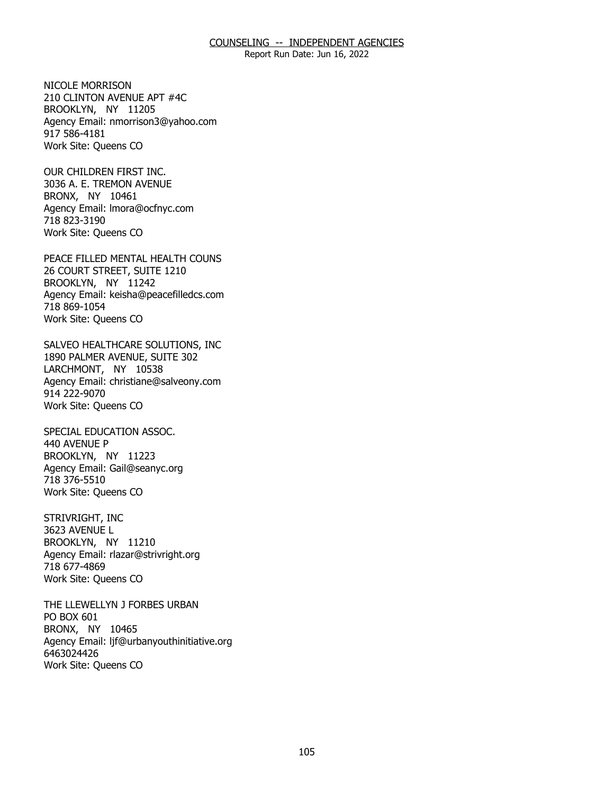Report Run Date: Jun 16, 2022

NICOLE MORRISON BROOKLYN, NY 11205 NICOLE MORRISON<br>210 CLINTON AVENUE APT #4C<br>BROOKLYN, NY 11205 Agency Email: [nmorrison3@yahoo.com](mailto:nmorrison3@yahoo.com) 917 586-4181 Work Site: Queens CO

OUR CHILDREN FIRST INC. BRONX, NY 10461 OUR CHILDREN FIRST INC.<br>3036 A. E. TREMON AVENUE<br>BRONX, NY 10461 Agency Email: [lmora@ocfnyc.com](mailto:lmora@ocfnyc.com) 718 823-3190 Work Site: Queens CO

PEACE FILLED MENTAL HEALTH COUNS<br>26 COURT STREET, SUITE 1210<br>BROOKLYN, NY 11242 26 COURT STREET, SUITE 1210 BROOKLYN, NY 11242 Agency Email: [keisha@peacefilledcs.com](mailto:keisha@peacefilledcs.com)  718 869-1054 Work Site: Queens CO

SALVEO HEALTHCARE SOLUTIONS, INC<br>1890 PALMER AVENUE, SUITE 302<br>LARCHMONT, NY 10538 1890 PALMER AVENUE, SUITE 302 LARCHMONT, NY 10538 Agency Email: [christiane@salveony.com](mailto:christiane@salveony.com) 914 222-9070 Work Site: Queens CO

SPECIAL EDUCATION ASSOC. 440 AVENUE P SPECIAL EDUCATION ASSOC.<br>440 AVENUE P<br>BROOKLYN, NY 11223 Agency Email: [Gail@seanyc.org](mailto:Gail@seanyc.org)  718 376-5510 Work Site: Queens CO

STRIVRIGHT, INC 3623 AVENUE L STRIVRIGHT, INC<br>3623 AVENUE L<br>BROOKLYN, NY 11210 Agency Email: [rlazar@strivright.org](mailto:rlazar@strivright.org) 718 677-4869 Work Site: Queens CO

THE LLEWELLYN J FORBES URBAN<br>PO BOX 601<br>BRONX, NY 10465 PO BOX 601 BRONX, NY 10465 Agency Email: [ljf@urbanyouthinitiative.org](mailto:ljf@urbanyouthinitiative.org)  6463024426 Work Site: Queens CO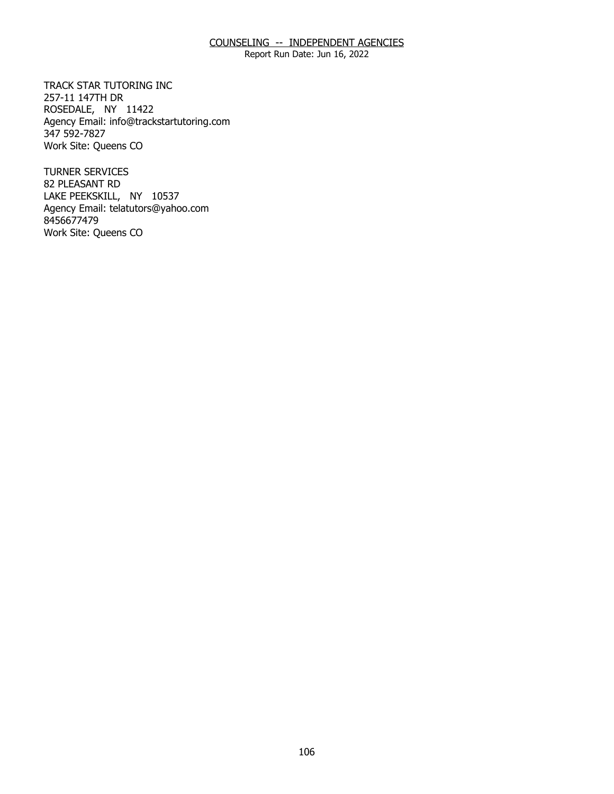Report Run Date: Jun 16, 2022

TRACK STAR TUTORING INC 257-11 147TH DR TRACK STAR TUTORING INC<br>257-11 147TH DR<br>ROSEDALE, NY 11422 Agency Email: [info@trackstartutoring.com](mailto:info@trackstartutoring.com)  347 592-7827 Work Site: Queens CO

**TURNER SERVICES** 82 PLEASANT RD TURNER SERVICES<br>82 PLEASANT RD<br>LAKE PEEKSKILL, NY 10537 Agency Email: [telatutors@yahoo.com](mailto:telatutors@yahoo.com) 8456677479 Work Site: Queens CO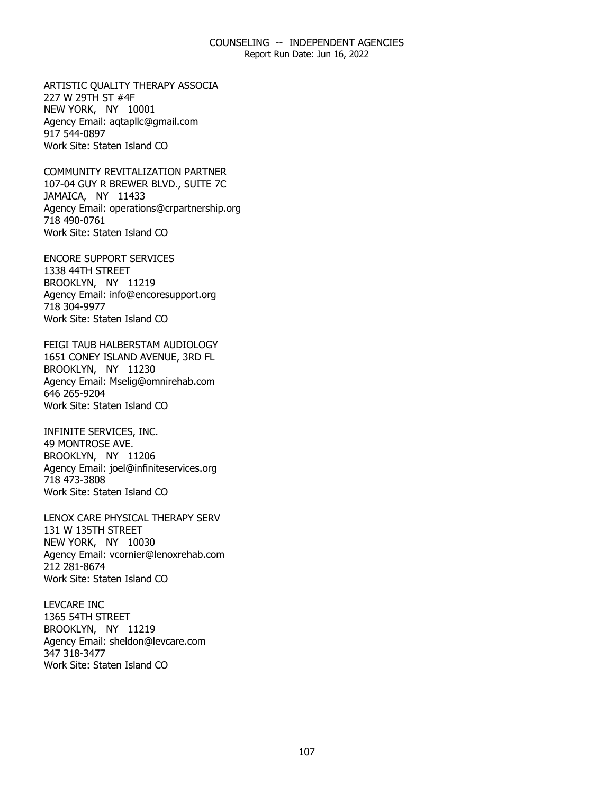Report Run Date: Jun 16, 2022

ARTISTIC QUALITY THERAPY ASSOCIA<br>227 W 29TH ST #4F<br>NEW YORK, NY 10001 227 W 29TH ST #4F NEW YORK, NY 10001 Agency Email: [aqtapllc@gmail.com](mailto:aqtapllc@gmail.com)  917 544-0897 Work Site: Staten Island CO

COMMUNITY REVITALIZATION PARTNER JAMAICA, NY 11433 COMMUNITY REVITALIZATION PARTNER<br>107-04 GUY R BREWER BLVD., SUITE 7C<br>JAMAICA, NY 11433 Agency Email: [operations@crpartnership.org](mailto:operations@crpartnership.org) 718 490-0761 Work Site: Staten Island CO

ENCORE SUPPORT SERVICES<br>1338 44TH STREET<br>BROOKLYN, NY 11219 1338 44TH STREET BROOKLYN, NY 11219 Agency Email: [info@encoresupport.org](mailto:info@encoresupport.org)  718 304-9977 Work Site: Staten Island CO

FEIGI TAUB HALBERSTAM AUDIOLOGY BROOKLYN, NY 11230 FEIGI TAUB HALBERSTAM AUDIOLOGY<br>1651 CONEY ISLAND AVENUE, 3RD FL<br>BROOKLYN, NY 11230 Agency Email: [Mselig@omnirehab.com](mailto:Mselig@omnirehab.com) 646 265-9204 Work Site: Staten Island CO

INFINITE SERVICES, INC. 49 MONTROSE AVE. INFINITE SERVICES, INC.<br>49 MONTROSE AVE.<br>BROOKLYN, NY 11206 Agency Email: [joel@infiniteservices.org](mailto:joel@infiniteservices.org)  718 473-3808 Work Site: Staten Island CO

LENOX CARE PHYSICAL THERAPY SERV<br>131 W 135TH STREET<br>NEW YORK, NY 10030 131 W 135TH STREET NEW YORK, NY 10030 Agency Email: [vcornier@lenoxrehab.com](mailto:vcornier@lenoxrehab.com)  212 281-8674 Work Site: Staten Island CO

**LEVCARE INC** 1365 54TH STREET LEVCARE INC<br>1365 54TH STREET<br>BROOKLYN, NY 11219 Agency Email: [sheldon@levcare.com](mailto:sheldon@levcare.com) 347 318-3477 Work Site: Staten Island CO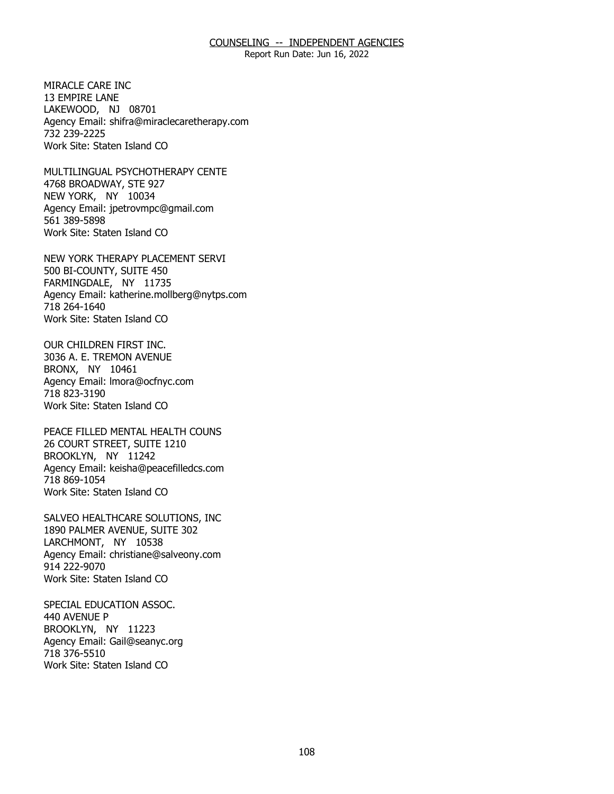Report Run Date: Jun 16, 2022

MIRACLE CARE INC. 13 EMPIRE LANE MIRACLE CARE INC<br>13 EMPIRE LANE<br>LAKEWOOD, NJ 08701 Agency Email: [shifra@miraclecaretherapy.com](mailto:shifra@miraclecaretherapy.com) 732 239-2225 Work Site: Staten Island CO

MULTILINGUAL PSYCHOTHERAPY CENTE<br>4768 BROADWAY, STE 927<br>NEW YORK, NY 10034 4768 BROADWAY, STE 927 NEW YORK, NY 10034 Agency Email: [jpetrovmpc@gmail.com](mailto:jpetrovmpc@gmail.com) 561 389-5898 Work Site: Staten Island CO

NEW YORK THERAPY PLACEMENT SERVI<br>500 BI-COUNTY, SUITE 450<br>FARMINGDALE, NY 11735 500 BI-COUNTY, SUITE 450 FARMINGDALE, NY 11735 Agency Email: [katherine.mollberg@nytps.com](mailto:katherine.mollberg@nytps.com) 718 264-1640 Work Site: Staten Island CO

OUR CHILDREN FIRST INC. BRONX, NY 10461 OUR CHILDREN FIRST INC.<br>3036 A. E. TREMON AVENUE<br>BRONX, NY 10461 Agency Email: [lmora@ocfnyc.com](mailto:lmora@ocfnyc.com) 718 823-3190 Work Site: Staten Island CO

PEACE FILLED MENTAL HEALTH COUNS BROOKLYN, NY 11242 PEACE FILLED MENTAL HEALTH COUNS<br>26 COURT STREET, SUITE 1210<br>BROOKLYN, NY 11242 Agency Email: [keisha@peacefilledcs.com](mailto:keisha@peacefilledcs.com)  718 869-1054 Work Site: Staten Island CO

SALVEO HEALTHCARE SOLUTIONS, INC<br>1890 PALMER AVENUE, SUITE 302<br>LARCHMONT, NY 10538 1890 PALMER AVENUE, SUITE 302 LARCHMONT, NY 10538 Agency Email: [christiane@salveony.com](mailto:christiane@salveony.com) 914 222-9070 Work Site: Staten Island CO

SPECIAL EDUCATION ASSOC. 440 AVENUE P SPECIAL EDUCATION ASSOC.<br>440 AVENUE P<br>BROOKLYN, NY 11223 Agency Email: [Gail@seanyc.org](mailto:Gail@seanyc.org)  718 376-5510 Work Site: Staten Island CO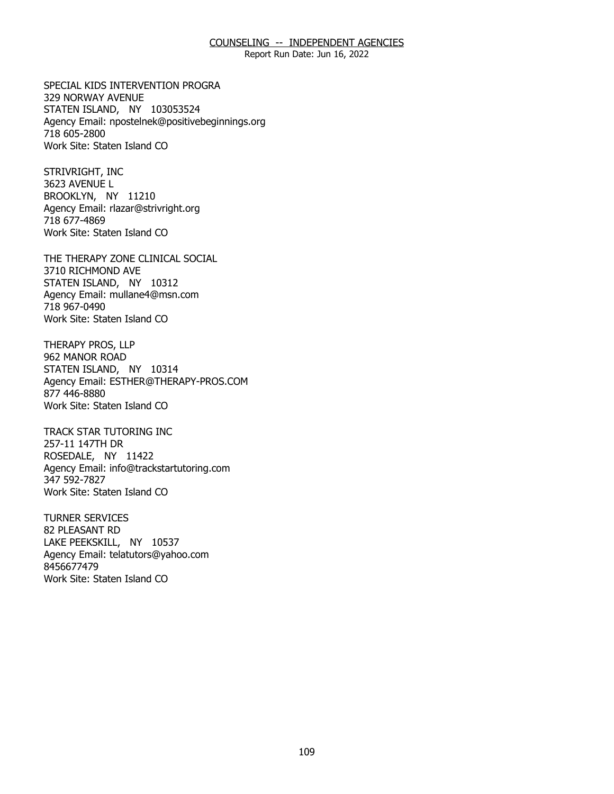#### COUNSELING -- INDEPENDENT AGENCIES

Report Run Date: Jun 16, 2022

SPECIAL KIDS INTERVENTION PROGRA 329 NORWAY AVENUE SPECIAL KIDS INTERVENTION PROGRA<br>329 NORWAY AVENUE<br>STATEN ISLAND, NY 103053524 Agency Email: [npostelnek@positivebeginnings.org](mailto:npostelnek@positivebeginnings.org)  718 605-2800 Work Site: Staten Island CO

STRIVRIGHT, INC 3623 AVENUE L STRIVRIGHT, INC<br>3623 AVENUE L<br>BROOKLYN, NY 11210 Agency Email: [rlazar@strivright.org](mailto:rlazar@strivright.org) 718 677-4869 Work Site: Staten Island CO

THE THERAPY ZONE CLINICAL SOCIAL<br>3710 RICHMOND AVE<br>STATEN ISLAND, NY 10312 3710 RICHMOND AVE STATEN ISLAND, NY 10312 Agency Email: [mullane4@msn.com](mailto:mullane4@msn.com) 718 967-0490 Work Site: Staten Island CO

THERAPY PROS, LLP 962 MANOR ROAD THERAPY PROS, LLP<br>962 MANOR ROAD<br>STATEN ISLAND, NY 10314 Agency Email: [ESTHER@THERAPY-PROS.COM](mailto:ESTHER@THERAPY-PROS.COM)  877 446-8880 Work Site: Staten Island CO

TRACK STAR TUTORING INC 257-11 147TH DR TRACK STAR TUTORING INC<br>257-11 147TH DR<br>ROSEDALE, NY 11422 Agency Email: [info@trackstartutoring.com](mailto:info@trackstartutoring.com)  347 592-7827 Work Site: Staten Island CO

**TURNER SERVICES** 82 PLEASANT RD TURNER SERVICES<br>82 PLEASANT RD<br>LAKE PEEKSKILL, NY 10537 Agency Email: [telatutors@yahoo.com](mailto:telatutors@yahoo.com) 8456677479 Work Site: Staten Island CO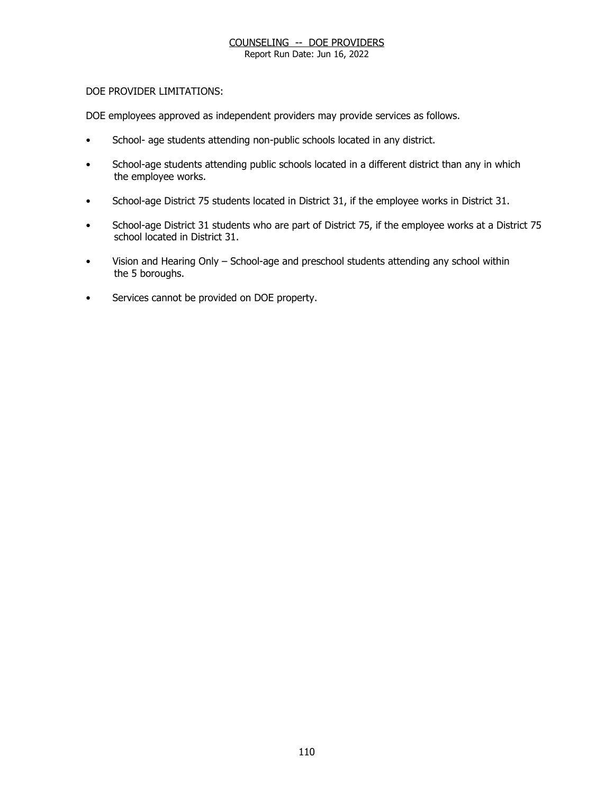Report Run Date: Jun 16, 2022

### DOE PROVIDER LIMITATIONS:

DOE employees approved as independent providers may provide services as follows.

- School- age students attending non-public schools located in any district.
- School-age students attending public schools located in a different district than any in which the employee works.
- School-age District 75 students located in District 31, if the employee works in District 31.
- School-age District 31 students who are part of District 75, if the employee works at a District 75 school located in District 31.
- Vision and Hearing Only School-age and preschool students attending any school within the 5 boroughs.
- Services cannot be provided on DOE property.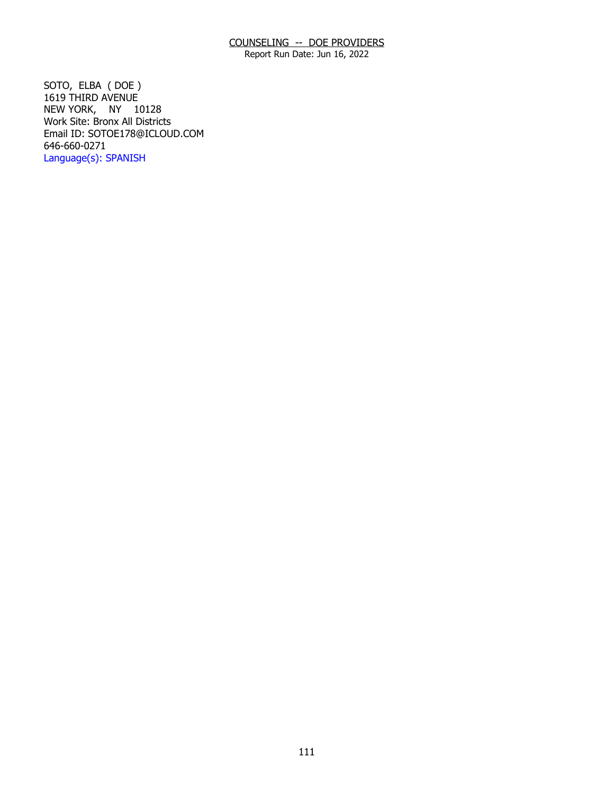Report Run Date: Jun 16, 2022

 NEW YORK, NY 10128 SOTO, ELBA ( DOE ) 1619 THIRD AVENUE Work Site: Bronx All Districts Email ID: [SOTOE178@ICLOUD.COM](mailto:SOTOE178@ICLOUD.COM)  646-660-0271 Language(s): SPANISH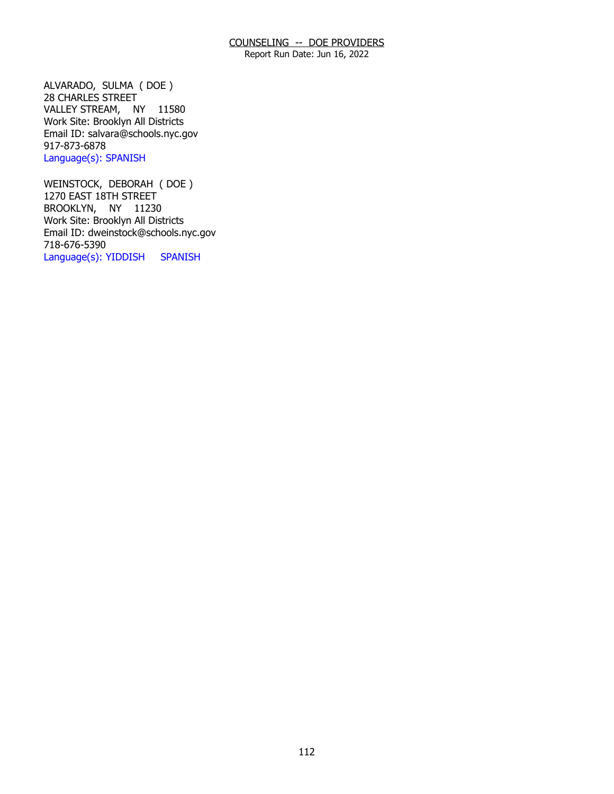Report Run Date: Jun 16, 2022

 VALLEY STREAM, NY 11580 ALVARADO, SULMA ( DOE ) 28 CHARLES STREET Work Site: Brooklyn All Districts Email ID: [salvara@schools.nyc.gov](mailto:salvara@schools.nyc.gov)  917-873-6878 Language(s): SPANISH

 BROOKLYN, NY 11230 WEINSTOCK, DEBORAH ( DOE ) 1270 EAST 18TH STREET Work Site: Brooklyn All Districts Email ID: [dweinstock@schools.nyc.gov](mailto:dweinstock@schools.nyc.gov) 718-676-5390 Language(s): YIDDISH SPANISH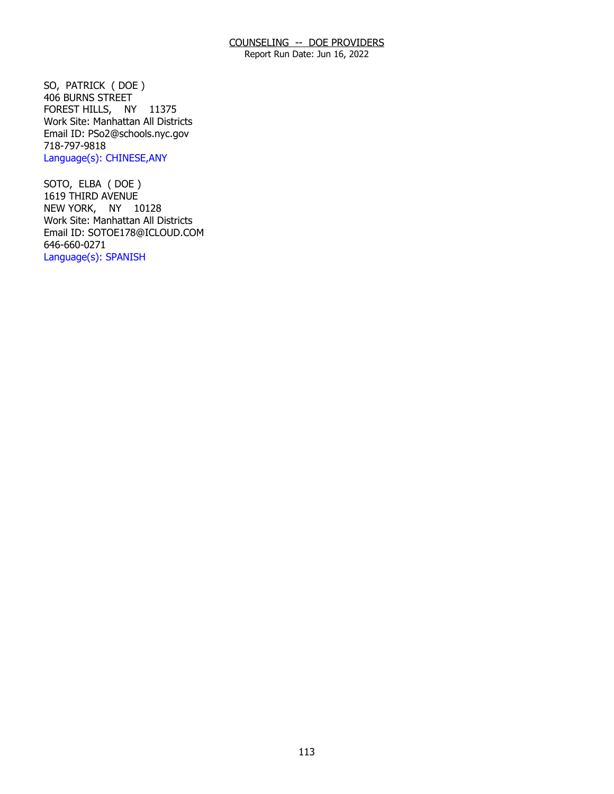Report Run Date: Jun 16, 2022

 FOREST HILLS, NY 11375 SO, PATRICK ( DOE ) 406 BURNS STREET Work Site: Manhattan All Districts Email ID: [PSo2@schools.nyc.gov](mailto:PSo2@schools.nyc.gov) 718-797-9818 Language(s): CHINESE,ANY

 NEW YORK, NY 10128 SOTO, ELBA ( DOE ) 1619 THIRD AVENUE Work Site: Manhattan All Districts Email ID: [SOTOE178@ICLOUD.COM](mailto:SOTOE178@ICLOUD.COM)  646-660-0271 Language(s): SPANISH